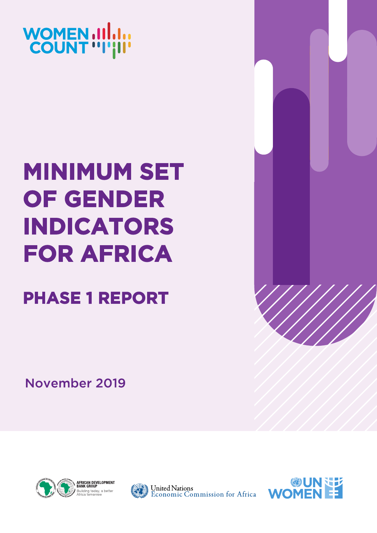

# **MINIMUM SET OF GENDER INDICATORS FOR AFRICA**

**PHASE 1 REPORT** 

November 2019





**United Nations** Economic Commission for Africa

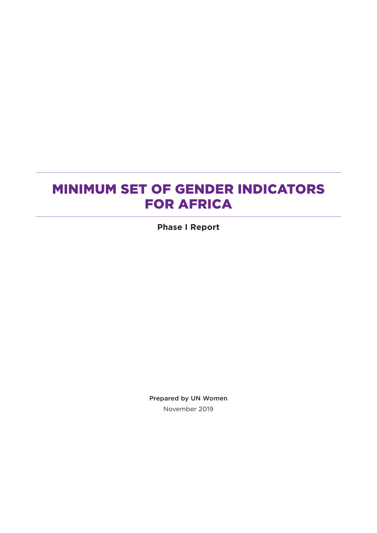## MINIMUM SET OF GENDER INDICATORS FOR AFRICA

**Phase I Report** 

Prepared by UN Women November 2019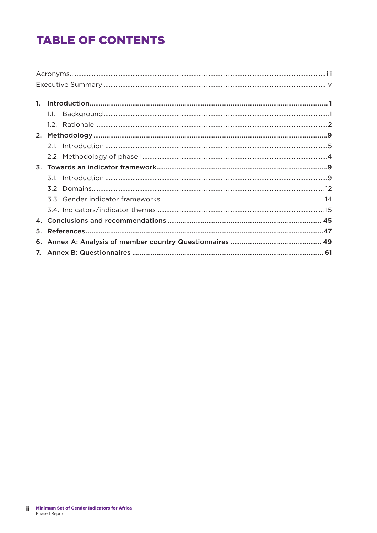## **TABLE OF CONTENTS**

| 1.1. |  |
|------|--|
|      |  |
|      |  |
|      |  |
|      |  |
|      |  |
|      |  |
|      |  |
|      |  |
|      |  |
|      |  |
|      |  |
|      |  |
|      |  |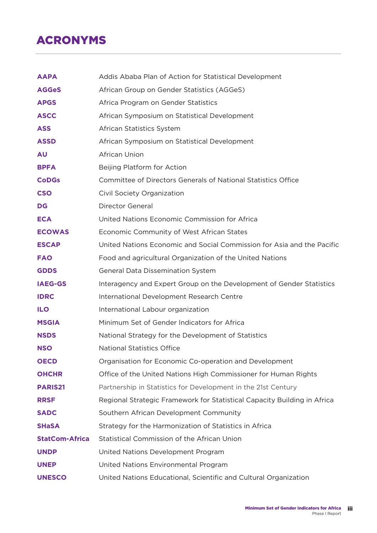## ACRONYMS

| <b>AAPA</b>           | Addis Ababa Plan of Action for Statistical Development                   |
|-----------------------|--------------------------------------------------------------------------|
| <b>AGGeS</b>          | African Group on Gender Statistics (AGGeS)                               |
| <b>APGS</b>           | Africa Program on Gender Statistics                                      |
| <b>ASCC</b>           | African Symposium on Statistical Development                             |
| <b>ASS</b>            | African Statistics System                                                |
| <b>ASSD</b>           | African Symposium on Statistical Development                             |
| <b>AU</b>             | <b>African Union</b>                                                     |
| <b>BPFA</b>           | Beijing Platform for Action                                              |
| <b>CoDGs</b>          | Committee of Directors Generals of National Statistics Office            |
| <b>CSO</b>            | Civil Society Organization                                               |
| <b>DG</b>             | <b>Director General</b>                                                  |
| <b>ECA</b>            | United Nations Economic Commission for Africa                            |
| <b>ECOWAS</b>         | Economic Community of West African States                                |
| <b>ESCAP</b>          | United Nations Economic and Social Commission for Asia and the Pacific   |
| <b>FAO</b>            | Food and agricultural Organization of the United Nations                 |
| <b>GDDS</b>           | General Data Dissemination System                                        |
| <b>IAEG-GS</b>        | Interagency and Expert Group on the Development of Gender Statistics     |
| <b>IDRC</b>           | International Development Research Centre                                |
| <b>ILO</b>            | International Labour organization                                        |
| <b>MSGIA</b>          | Minimum Set of Gender Indicators for Africa                              |
| <b>NSDS</b>           | National Strategy for the Development of Statistics                      |
| <b>NSO</b>            | <b>National Statistics Office</b>                                        |
| <b>OECD</b>           | Organisation for Economic Co-operation and Development                   |
| <b>OHCHR</b>          | Office of the United Nations High Commissioner for Human Rights          |
| <b>PARIS21</b>        | Partnership in Statistics for Development in the 21st Century            |
| <b>RRSF</b>           | Regional Strategic Framework for Statistical Capacity Building in Africa |
| <b>SADC</b>           | Southern African Development Community                                   |
| <b>SHaSA</b>          | Strategy for the Harmonization of Statistics in Africa                   |
| <b>StatCom-Africa</b> | Statistical Commission of the African Union                              |
| <b>UNDP</b>           | United Nations Development Program                                       |
| <b>UNEP</b>           | United Nations Environmental Program                                     |
| <b>UNESCO</b>         | United Nations Educational, Scientific and Cultural Organization         |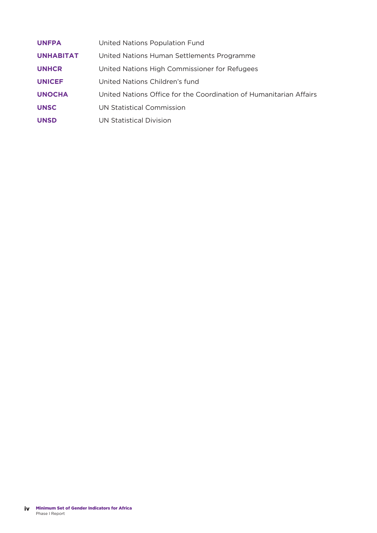| <b>UNFPA</b>     | United Nations Population Fund                                     |
|------------------|--------------------------------------------------------------------|
| <b>UNHABITAT</b> | United Nations Human Settlements Programme                         |
| <b>UNHCR</b>     | United Nations High Commissioner for Refugees                      |
| <b>UNICEF</b>    | United Nations Children's fund                                     |
| <b>UNOCHA</b>    | United Nations Office for the Coordination of Humanitarian Affairs |
| <b>UNSC</b>      | UN Statistical Commission                                          |
| <b>UNSD</b>      | UN Statistical Division                                            |
|                  |                                                                    |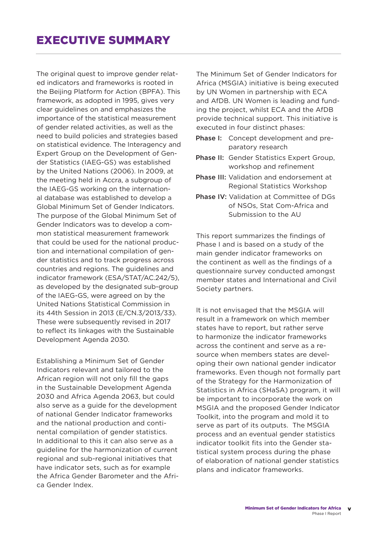The original quest to improve gender related indicators and frameworks is rooted in the Beijing Platform for Action (BPFA). This framework, as adopted in 1995, gives very clear guidelines on and emphasizes the importance of the statistical measurement of gender related activities, as well as the need to build policies and strategies based on statistical evidence. The Interagency and Expert Group on the Development of Gender Statistics (IAEG-GS) was established by the United Nations (2006). In 2009, at the meeting held in Accra, a subgroup of the IAEG-GS working on the international database was established to develop a Global Minimum Set of Gender Indicators. The purpose of the Global Minimum Set of Gender Indicators was to develop a common statistical measurement framework that could be used for the national production and international compilation of gender statistics and to track progress across countries and regions. The guidelines and indicator framework (ESA/STAT/AC.242/5), as developed by the designated sub-group of the IAEG-GS, were agreed on by the United Nations Statistical Commission in its 44th Session in 2013 (E/CN.3/2013/33). These were subsequently revised in 2017 to reflect its linkages with the Sustainable Development Agenda 2030.

Establishing a Minimum Set of Gender Indicators relevant and tailored to the African region will not only fill the gaps in the Sustainable Development Agenda 2030 and Africa Agenda 2063, but could also serve as a guide for the development of national Gender Indicator frameworks and the national production and continental compilation of gender statistics. In additional to this it can also serve as a guideline for the harmonization of current regional and sub-regional initiatives that have indicator sets, such as for example the Africa Gender Barometer and the Africa Gender Index.

The Minimum Set of Gender Indicators for Africa (MSGIA) initiative is being executed by UN Women in partnership with ECA and AfDB. UN Women is leading and funding the project, whilst ECA and the AfDB provide technical support. This initiative is executed in four distinct phases:

- Phase I: Concept development and preparatory research
- Phase II: Gender Statistics Expert Group, workshop and refinement
- Phase III: Validation and endorsement at Regional Statistics Workshop
- Phase IV: Validation at Committee of DGs of NSOs, Stat Com-Africa and Submission to the AU

This report summarizes the findings of Phase I and is based on a study of the main gender indicator frameworks on the continent as well as the findings of a questionnaire survey conducted amongst member states and International and Civil Society partners.

It is not envisaged that the MSGIA will result in a framework on which member states have to report, but rather serve to harmonize the indicator frameworks across the continent and serve as a resource when members states are developing their own national gender indicator frameworks. Even though not formally part of the Strategy for the Harmonization of Statistics in Africa (SHaSA) program, it will be important to incorporate the work on MSGIA and the proposed Gender Indicator Toolkit, into the program and mold it to serve as part of its outputs. The MSGIA process and an eventual gender statistics indicator toolkit fits into the Gender statistical system process during the phase of elaboration of national gender statistics plans and indicator frameworks.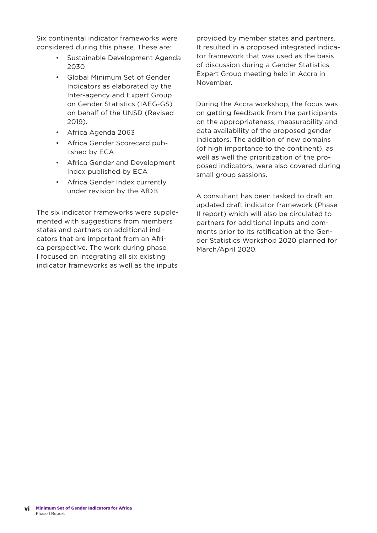Six continental indicator frameworks were considered during this phase. These are:

- Sustainable Development Agenda 2030
- Global Minimum Set of Gender Indicators as elaborated by the Inter-agency and Expert Group on Gender Statistics (IAEG-GS) on behalf of the UNSD (Revised 2019).
- Africa Agenda 2063
- Africa Gender Scorecard published by ECA
- Africa Gender and Development Index published by ECA
- Africa Gender Index currently under revision by the AfDB

The six indicator frameworks were supplemented with suggestions from members states and partners on additional indicators that are important from an Africa perspective. The work during phase I focused on integrating all six existing indicator frameworks as well as the inputs

provided by member states and partners. It resulted in a proposed integrated indicator framework that was used as the basis of discussion during a Gender Statistics Expert Group meeting held in Accra in November.

During the Accra workshop, the focus was on getting feedback from the participants on the appropriateness, measurability and data availability of the proposed gender indicators. The addition of new domains (of high importance to the continent), as well as well the prioritization of the proposed indicators, were also covered during small group sessions.

A consultant has been tasked to draft an updated draft indicator framework (Phase II report) which will also be circulated to partners for additional inputs and comments prior to its ratification at the Gender Statistics Workshop 2020 planned for March/April 2020.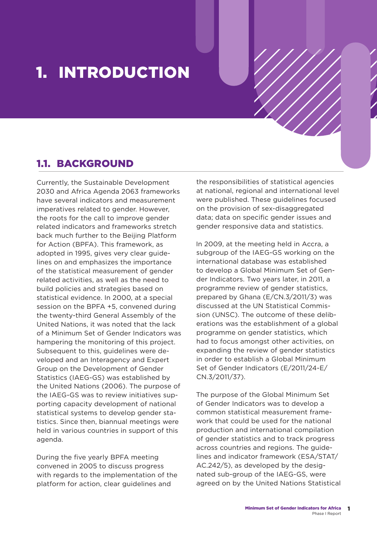## 1. INTRODUCTION

### 1.1. BACKGROUND

Currently, the Sustainable Development 2030 and Africa Agenda 2063 frameworks have several indicators and measurement imperatives related to gender. However, the roots for the call to improve gender related indicators and frameworks stretch back much further to the Beijing Platform for Action (BPFA). This framework, as adopted in 1995, gives very clear guidelines on and emphasizes the importance of the statistical measurement of gender related activities, as well as the need to build policies and strategies based on statistical evidence. In 2000, at a special session on the BPFA +5, convened during the twenty-third General Assembly of the United Nations, it was noted that the lack of a Minimum Set of Gender Indicators was hampering the monitoring of this project. Subsequent to this, guidelines were developed and an Interagency and Expert Group on the Development of Gender Statistics (IAEG-GS) was established by the United Nations (2006). The purpose of the IAEG-GS was to review initiatives supporting capacity development of national statistical systems to develop gender statistics. Since then, biannual meetings were held in various countries in support of this agenda.

During the five yearly BPFA meeting convened in 2005 to discuss progress with regards to the implementation of the platform for action, clear guidelines and

the responsibilities of statistical agencies at national, regional and international level were published. These guidelines focused on the provision of sex-disaggregated data; data on specific gender issues and gender responsive data and statistics.

In 2009, at the meeting held in Accra, a subgroup of the IAEG-GS working on the international database was established to develop a Global Minimum Set of Gender Indicators. Two years later, in 2011, a programme review of gender statistics, prepared by Ghana (E/CN.3/2011/3) was discussed at the UN Statistical Commission (UNSC). The outcome of these deliberations was the establishment of a global programme on gender statistics, which had to focus amongst other activities, on expanding the review of gender statistics in order to establish a Global Minimum Set of Gender Indicators (E/2011/24-E/ CN.3/2011/37).

The purpose of the Global Minimum Set of Gender Indicators was to develop a common statistical measurement framework that could be used for the national production and international compilation of gender statistics and to track progress across countries and regions. The guidelines and indicator framework (ESA/STAT/ AC.242/5), as developed by the designated sub-group of the IAEG-GS, were agreed on by the United Nations Statistical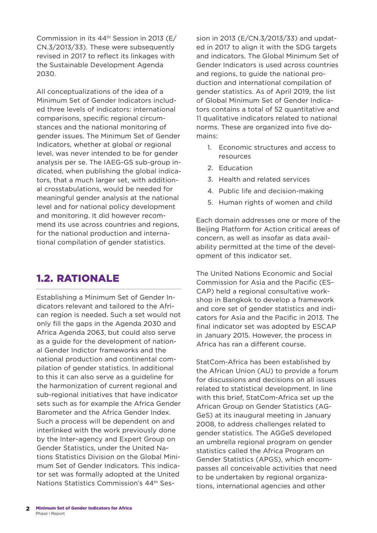Commission in its 44th Session in 2013 (E/ CN.3/2013/33). These were subsequently revised in 2017 to reflect its linkages with the Sustainable Development Agenda 2030.

All conceptualizations of the idea of a Minimum Set of Gender Indicators included three levels of indicators: international comparisons, specific regional circumstances and the national monitoring of gender issues. The Minimum Set of Gender Indicators, whether at global or regional level, was never intended to be for gender analysis per se. The IAEG-GS sub-group indicated, when publishing the global indicators, that a much larger set, with additional crosstabulations, would be needed for meaningful gender analysis at the national level and for national policy development and monitoring. It did however recommend its use across countries and regions, for the national production and international compilation of gender statistics.

### 1.2. RATIONALE

Establishing a Minimum Set of Gender Indicators relevant and tailored to the African region is needed. Such a set would not only fill the gaps in the Agenda 2030 and Africa Agenda 2063, but could also serve as a guide for the development of national Gender Indictor frameworks and the national production and continental compilation of gender statistics. In additional to this it can also serve as a guideline for the harmonization of current regional and sub-regional initiatives that have indicator sets such as for example the Africa Gender Barometer and the Africa Gender Index. Such a process will be dependent on and interlinked with the work previously done by the Inter-agency and Expert Group on Gender Statistics, under the United Nations Statistics Division on the Global Minimum Set of Gender Indicators. This indicator set was formally adopted at the United Nations Statistics Commission's 44th Session in 2013 (E/CN.3/2013/33) and updated in 2017 to align it with the SDG targets and indicators. The Global Minimum Set of Gender Indicators is used across countries and regions, to guide the national production and international compilation of gender statistics. As of April 2019, the list of Global Minimum Set of Gender Indicators contains a total of 52 quantitative and 11 qualitative indicators related to national norms. These are organized into five domains:

- 1. Economic structures and access to resources
- 2. Education
- 3. Health and related services
- 4. Public life and decision-making
- 5. Human rights of women and child

Each domain addresses one or more of the Beijing Platform for Action critical areas of concern, as well as insofar as data availability permitted at the time of the development of this indicator set.

The United Nations Economic and Social Commission for Asia and the Pacific (ES-CAP) held a regional consultative workshop in Bangkok to develop a framework and core set of gender statistics and indicators for Asia and the Pacific in 2013. The final indicator set was adopted by ESCAP in January 2015. However, the process in Africa has ran a different course.

StatCom-Africa has been established by the African Union (AU) to provide a forum for discussions and decisions on all issues related to statistical development. In line with this brief, StatCom-Africa set up the African Group on Gender Statistics (AG-GeS) at its inaugural meeting in January 2008, to address challenges related to gender statistics. The AGGeS developed an umbrella regional program on gender statistics called the Africa Program on Gender Statistics (APGS), which encompasses all conceivable activities that need to be undertaken by regional organizations, international agencies and other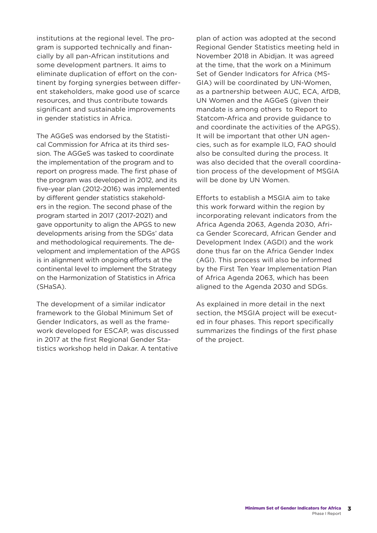institutions at the regional level. The program is supported technically and financially by all pan-African institutions and some development partners. It aims to eliminate duplication of effort on the continent by forging synergies between different stakeholders, make good use of scarce resources, and thus contribute towards significant and sustainable improvements in gender statistics in Africa.

The AGGeS was endorsed by the Statistical Commission for Africa at its third session. The AGGeS was tasked to coordinate the implementation of the program and to report on progress made. The first phase of the program was developed in 2012, and its five-year plan (2012-2016) was implemented by different gender statistics stakeholders in the region. The second phase of the program started in 2017 (2017-2021) and gave opportunity to align the APGS to new developments arising from the SDGs' data and methodological requirements. The development and implementation of the APGS is in alignment with ongoing efforts at the continental level to implement the Strategy on the Harmonization of Statistics in Africa (SHaSA).

The development of a similar indicator framework to the Global Minimum Set of Gender Indicators, as well as the framework developed for ESCAP, was discussed in 2017 at the first Regional Gender Statistics workshop held in Dakar. A tentative

plan of action was adopted at the second Regional Gender Statistics meeting held in November 2018 in Abidjan. It was agreed at the time, that the work on a Minimum Set of Gender Indicators for Africa (MS-GIA) will be coordinated by UN-Women, as a partnership between AUC, ECA, AfDB, UN Women and the AGGeS (given their mandate is among others to Report to Statcom-Africa and provide guidance to and coordinate the activities of the APGS). It will be important that other UN agencies, such as for example ILO, FAO should also be consulted during the process. It was also decided that the overall coordination process of the development of MSGIA will be done by UN Women.

Efforts to establish a MSGIA aim to take this work forward within the region by incorporating relevant indicators from the Africa Agenda 2063, Agenda 2030, Africa Gender Scorecard, African Gender and Development Index (AGDI) and the work done thus far on the Africa Gender Index (AGI). This process will also be informed by the First Ten Year Implementation Plan of Africa Agenda 2063, which has been aligned to the Agenda 2030 and SDGs.

As explained in more detail in the next section, the MSGIA project will be executed in four phases. This report specifically summarizes the findings of the first phase of the project.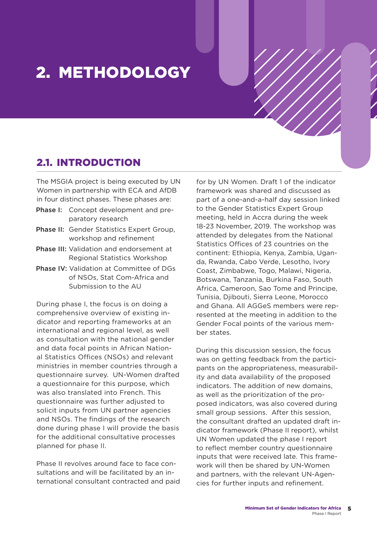## 2. METHODOLOGY

### 2.1. INTRODUCTION

The MSGIA project is being executed by UN Women in partnership with ECA and AfDB in four distinct phases. These phases are:

- Phase I: Concept development and preparatory research
- Phase II: Gender Statistics Expert Group, workshop and refinement
- Phase III: Validation and endorsement at Regional Statistics Workshop
- Phase IV: Validation at Committee of DGs of NSOs, Stat Com-Africa and Submission to the AU

During phase I, the focus is on doing a comprehensive overview of existing indicator and reporting frameworks at an international and regional level, as well as consultation with the national gender and data focal points in African National Statistics Offices (NSOs) and relevant ministries in member countries through a questionnaire survey. UN-Women drafted a questionnaire for this purpose, which was also translated into French. This questionnaire was further adjusted to solicit inputs from UN partner agencies and NSOs. The findings of the research done during phase I will provide the basis for the additional consultative processes planned for phase II.

Phase II revolves around face to face consultations and will be facilitated by an international consultant contracted and paid for by UN Women. Draft 1 of the indicator framework was shared and discussed as part of a one-and-a-half day session linked to the Gender Statistics Expert Group meeting, held in Accra during the week 18-23 November, 2019. The workshop was attended by delegates from the National Statistics Offices of 23 countries on the continent: Ethiopia, Kenya, Zambia, Uganda, Rwanda, Cabo Verde, Lesotho, Ivory Coast, Zimbabwe, Togo, Malawi, Nigeria, Botswana, Tanzania, Burkina Faso, South Africa, Cameroon, Sao Tome and Principe, Tunisia, Djibouti, Sierra Leone, Morocco and Ghana. All AGGeS members were represented at the meeting in addition to the Gender Focal points of the various member states.

During this discussion session, the focus was on getting feedback from the participants on the appropriateness, measurability and data availability of the proposed indicators. The addition of new domains, as well as the prioritization of the proposed indicators, was also covered during small group sessions. After this session, the consultant drafted an updated draft indicator framework (Phase II report), whilst UN Women updated the phase I report to reflect member country questionnaire inputs that were received late. This framework will then be shared by UN-Women and partners, with the relevant UN-Agencies for further inputs and refinement.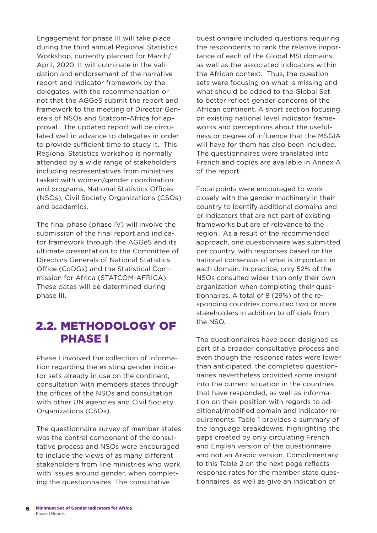Engagement for phase III will take place during the third annual Regional Statistics Workshop, currently planned for March/ April, 2020. It will culminate in the validation and endorsement of the narrative report and indicator framework by the delegates, with the recommendation or not that the AGGeS submit the report and framework to the meeting of Director Generals of NSOs and Statcom-Africa for approval. The updated report will be circulated well in advance to delegates in order to provide sufficient time to study it. This Regional Statistics workshop is normally attended by a wide range of stakeholders including representatives from ministries tasked with women/gender coordination and programs, National Statistics Offices (NSOs), Civil Society Organizations (CSOs) and academics.

The final phase (phase IV) will involve the submission of the final report and indicator framework through the AGGeS and its ultimate presentation to the Committee of Directors Generals of National Statistics Office (CoDGs) and the Statistical Commission for Africa (STATCOM-AFRICA). These dates will be determined during phase III.

## 2.2. METHODOLOGY OF PHASE I

Phase I involved the collection of information regarding the existing gender indicator sets already in use on the continent, consultation with members states through the offices of the NSOs and consultation with other UN agencies and Civil Society Organizations (CSOs).

The questionnaire survey of member states was the central component of the consultative process and NSOs were encouraged to include the views of as many different stakeholders from line ministries who work with issues around gender, when completing the questionnaires. The consultative

questionnaire included questions requiring the respondents to rank the relative importance of each of the Global MSI domains, as well as the associated indicators within the African context. Thus, the question sets were focusing on what is missing and what should be added to the Global Set to better reflect gender concerns of the African continent. A short section focusing on existing national level indicator frameworks and perceptions about the usefulness or degree of influence that the MSGIA will have for them has also been included. The questionnaires were translated into French and copies are available in Annex A of the report.

Focal points were encouraged to work closely with the gender machinery in their country to identify additional domains and or indicators that are not part of existing frameworks but are of relevance to the region. As a result of the recommended approach, one questionnaire was submitted per country, with responses based on the national consensus of what is important in each domain. In practice, only 52% of the NSOs consulted wider than only their own organization when completing their questionnaires. A total of 8 (29%) of the responding countries consulted two or more stakeholders in addition to officials from the NSO.

The questionnaires have been designed as part of a broader consultative process and even though the response rates were lower than anticipated, the completed questionnaires nevertheless provided some insight into the current situation in the countries that have responded, as well as information on their position with regards to additional/modified domain and indicator requirements. Table 1 provides a summary of the language breakdowns, highlighting the gaps created by only circulating French and English version of the questionnaire and not an Arabic version. Complimentary to this Table 2 on the next page reflects response rates for the member state questionnaires, as well as give an indication of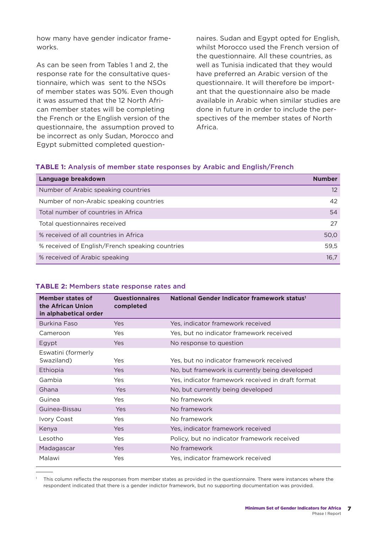how many have gender indicator frameworks.

As can be seen from Tables 1 and 2, the response rate for the consultative questionnaire, which was sent to the NSOs of member states was 50%. Even though it was assumed that the 12 North African member states will be completing the French or the English version of the questionnaire, the assumption proved to be incorrect as only Sudan, Morocco and Egypt submitted completed questionnaires. Sudan and Egypt opted for English, whilst Morocco used the French version of the questionnaire. All these countries, as well as Tunisia indicated that they would have preferred an Arabic version of the questionnaire. It will therefore be important that the questionnaire also be made available in Arabic when similar studies are done in future in order to include the perspectives of the member states of North Africa.

### **TABLE 1:** Analysis of member state responses by Arabic and English/French

| Language breakdown                              | <b>Number</b>     |
|-------------------------------------------------|-------------------|
| Number of Arabic speaking countries             | $12 \overline{ }$ |
| Number of non-Arabic speaking countries         | 42                |
| Total number of countries in Africa             | 54                |
| Total questionnaires received                   | 27                |
| % received of all countries in Africa           | 50,0              |
| % received of English/French speaking countries | 59,5              |
| % received of Arabic speaking                   | 16,7              |

#### **TABLE 2:** Members state response rates and

| Member states of<br>the African Union<br>in alphabetical order | <b>Questionnaires</b><br>completed | National Gender Indicator framework status <sup>1</sup> |
|----------------------------------------------------------------|------------------------------------|---------------------------------------------------------|
| Burkina Faso                                                   | <b>Yes</b>                         | Yes, indicator framework received                       |
| Cameroon                                                       | Yes                                | Yes, but no indicator framework received                |
| Egypt                                                          | <b>Yes</b>                         | No response to question                                 |
| Eswatini (formerly<br>Swaziland)                               | Yes                                | Yes, but no indicator framework received                |
| Ethiopia                                                       | <b>Yes</b>                         | No, but framework is currently being developed          |
| Gambia                                                         | Yes                                | Yes, indicator framework received in draft format       |
| Ghana                                                          | Yes                                | No, but currently being developed                       |
| Guinea                                                         | Yes                                | No framework                                            |
| Guinea-Bissau                                                  | Yes                                | No framework                                            |
| Ivory Coast                                                    | Yes                                | No framework                                            |
| Kenya                                                          | Yes                                | Yes, indicator framework received                       |
| Lesotho                                                        | Yes                                | Policy, but no indicator framework received             |
| Madagascar                                                     | Yes                                | No framework                                            |
| Malawi                                                         | Yes                                | Yes, indicator framework received                       |

This column reflects the responses from member states as provided in the questionnaire. There were instances where the respondent indicated that there is a gender indictor framework, but no supporting documentation was provided.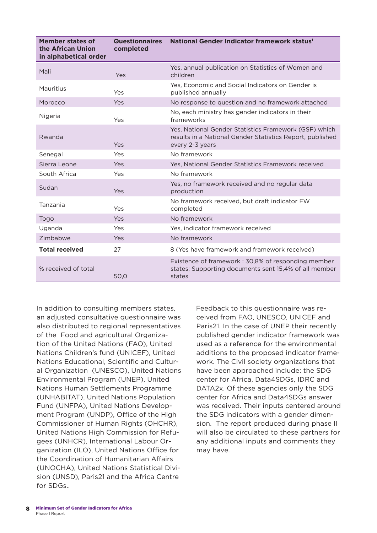| Member states of<br>the African Union<br>in alphabetical order | <b>Questionnaires</b><br>completed | National Gender Indicator framework status <sup>1</sup>                                                                               |
|----------------------------------------------------------------|------------------------------------|---------------------------------------------------------------------------------------------------------------------------------------|
| Mali                                                           | Yes                                | Yes, annual publication on Statistics of Women and<br>children                                                                        |
| Mauritius                                                      | Yes                                | Yes, Economic and Social Indicators on Gender is<br>published annually                                                                |
| Morocco                                                        | Yes                                | No response to question and no framework attached                                                                                     |
| Nigeria                                                        | Yes                                | No, each ministry has gender indicators in their<br>frameworks                                                                        |
| Rwanda                                                         | Yes                                | Yes, National Gender Statistics Framework (GSF) which<br>results in a National Gender Statistics Report, published<br>every 2-3 years |
| Senegal                                                        | Yes                                | No framework                                                                                                                          |
| Sierra Leone                                                   | Yes                                | Yes, National Gender Statistics Framework received                                                                                    |
| South Africa                                                   | Yes                                | No framework                                                                                                                          |
| Sudan                                                          | Yes                                | Yes, no framework received and no regular data<br>production                                                                          |
| Tanzania                                                       | Yes                                | No framework received, but draft indicator FW<br>completed                                                                            |
| Togo                                                           | Yes                                | No framework                                                                                                                          |
| Uganda                                                         | Yes                                | Yes, indicator framework received                                                                                                     |
| Zimbabwe                                                       | Yes                                | No framework                                                                                                                          |
| <b>Total received</b>                                          | 27                                 | 8 (Yes have framework and framework received)                                                                                         |
| % received of total                                            | 50,0                               | Existence of framework: 30,8% of responding member<br>states; Supporting documents sent 15,4% of all member<br>states                 |

In addition to consulting members states, an adjusted consultative questionnaire was also distributed to regional representatives of the Food and agricultural Organization of the United Nations (FAO), United Nations Children's fund (UNICEF), United Nations Educational, Scientific and Cultural Organization (UNESCO), United Nations Environmental Program (UNEP), United Nations Human Settlements Programme (UNHABITAT), United Nations Population Fund (UNFPA), United Nations Development Program (UNDP), Office of the High Commissioner of Human Rights (OHCHR), United Nations High Commission for Refugees (UNHCR), International Labour Organization (ILO), United Nations Office for the Coordination of Humanitarian Affairs (UNOCHA), United Nations Statistical Division (UNSD), Paris21 and the Africa Centre for SDGs..

Feedback to this questionnaire was received from FAO, UNESCO, UNICEF and Paris21. In the case of UNEP their recently published gender indicator framework was used as a reference for the environmental additions to the proposed indicator framework. The Civil society organizations that have been approached include: the SDG center for Africa, Data4SDGs, IDRC and DATA2x. Of these agencies only the SDG center for Africa and Data4SDGs answer was received. Their inputs centered around the SDG indicators with a gender dimension. The report produced during phase II will also be circulated to these partners for any additional inputs and comments they may have.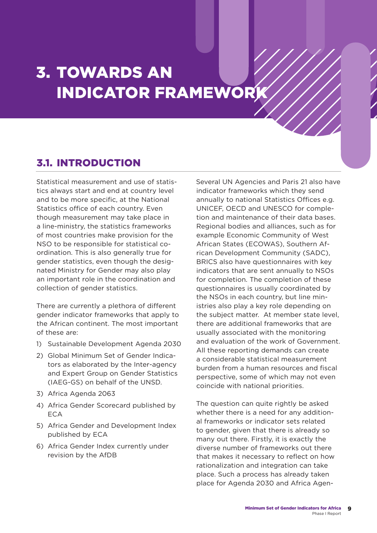## 3. TOWARDS AN INDICATOR FRAMEWORK

### 3.1. INTRODUCTION

Statistical measurement and use of statistics always start and end at country level and to be more specific, at the National Statistics office of each country. Even though measurement may take place in a line-ministry, the statistics frameworks of most countries make provision for the NSO to be responsible for statistical coordination. This is also generally true for gender statistics, even though the designated Ministry for Gender may also play an important role in the coordination and collection of gender statistics.

There are currently a plethora of different gender indicator frameworks that apply to the African continent. The most important of these are:

- 1) Sustainable Development Agenda 2030
- 2) Global Minimum Set of Gender Indicators as elaborated by the Inter-agency and Expert Group on Gender Statistics (IAEG-GS) on behalf of the UNSD.
- 3) Africa Agenda 2063
- 4) Africa Gender Scorecard published by ECA
- 5) Africa Gender and Development Index published by ECA
- 6) Africa Gender Index currently under revision by the AfDB

Several UN Agencies and Paris 21 also have indicator frameworks which they send annually to national Statistics Offices e.g. UNICEF, OECD and UNESCO for completion and maintenance of their data bases. Regional bodies and alliances, such as for example Economic Community of West African States (ECOWAS), Southern African Development Community (SADC), BRICS also have questionnaires with key indicators that are sent annually to NSOs for completion. The completion of these questionnaires is usually coordinated by the NSOs in each country, but line ministries also play a key role depending on the subject matter. At member state level, there are additional frameworks that are usually associated with the monitoring and evaluation of the work of Government. All these reporting demands can create a considerable statistical measurement burden from a human resources and fiscal perspective, some of which may not even coincide with national priorities.

The question can quite rightly be asked whether there is a need for any additional frameworks or indicator sets related to gender, given that there is already so many out there. Firstly, it is exactly the diverse number of frameworks out there that makes it necessary to reflect on how rationalization and integration can take place. Such a process has already taken place for Agenda 2030 and Africa Agen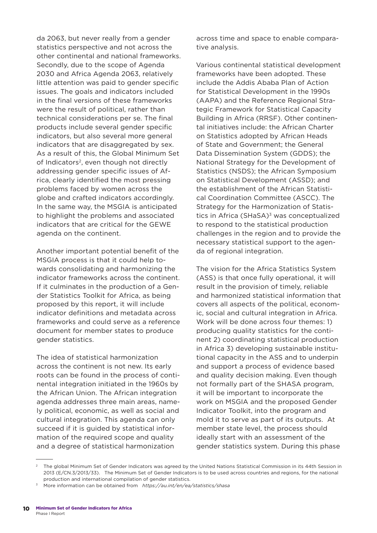da 2063, but never really from a gender statistics perspective and not across the other continental and national frameworks. Secondly, due to the scope of Agenda 2030 and Africa Agenda 2063, relatively little attention was paid to gender specific issues. The goals and indicators included in the final versions of these frameworks were the result of political, rather than technical considerations per se. The final products include several gender specific indicators, but also several more general indicators that are disaggregated by sex. As a result of this, the Global Minimum Set of Indicators<sup>2</sup>, even though not directly addressing gender specific issues of Africa, clearly identified the most pressing problems faced by women across the globe and crafted indicators accordingly. In the same way, the MSGIA is anticipated to highlight the problems and associated indicators that are critical for the GEWE agenda on the continent.

Another important potential benefit of the MSGIA process is that it could help towards consolidating and harmonizing the indicator frameworks across the continent. If it culminates in the production of a Gender Statistics Toolkit for Africa, as being proposed by this report, it will include indicator definitions and metadata across frameworks and could serve as a reference document for member states to produce gender statistics.

The idea of statistical harmonization across the continent is not new. Its early roots can be found in the process of continental integration initiated in the 1960s by the African Union. The African integration agenda addresses three main areas, namely political, economic, as well as social and cultural integration. This agenda can only succeed if it is guided by statistical information of the required scope and quality and a degree of statistical harmonization

across time and space to enable comparative analysis.

Various continental statistical development frameworks have been adopted. These include the Addis Ababa Plan of Action for Statistical Development in the 1990s (AAPA) and the Reference Regional Strategic Framework for Statistical Capacity Building in Africa (RRSF). Other continental initiatives include: the African Charter on Statistics adopted by African Heads of State and Government; the General Data Dissemination System (GDDS); the National Strategy for the Development of Statistics (NSDS); the African Symposium on Statistical Development (ASSD); and the establishment of the African Statistical Coordination Committee (ASCC). The Strategy for the Harmonization of Statistics in Africa (SHaSA) $3$  was conceptualized to respond to the statistical production challenges in the region and to provide the necessary statistical support to the agenda of regional integration.

The vision for the Africa Statistics System (ASS) is that once fully operational, it will result in the provision of timely, reliable and harmonized statistical information that covers all aspects of the political, economic, social and cultural integration in Africa. Work will be done across four themes: 1) producing quality statistics for the continent 2) coordinating statistical production in Africa 3) developing sustainable institutional capacity in the ASS and to underpin and support a process of evidence based and quality decision making. Even though not formally part of the SHASA program, it will be important to incorporate the work on MSGIA and the proposed Gender Indicator Toolkit, into the program and mold it to serve as part of its outputs. At member state level, the process should ideally start with an assessment of the gender statistics system. During this phase

<sup>2</sup> The global Minimum Set of Gender Indicators was agreed by the United Nations Statistical Commission in its 44th Session in 2013 (E/CN.3/2013/33). The Minimum Set of Gender Indicators is to be used across countries and regions, for the national production and international compilation of gender statistics.

<sup>3</sup> More information can be obtained from *https://au.int/en/ea/statistics/shasa*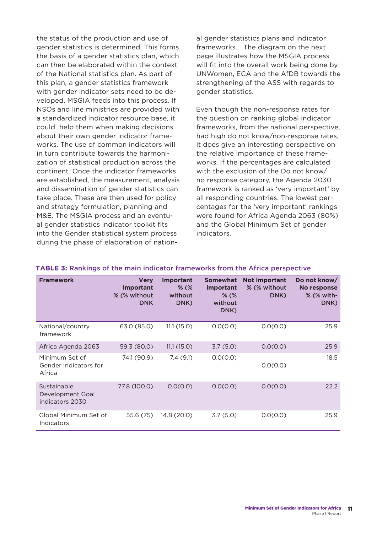the status of the production and use of gender statistics is determined. This forms the basis of a gender statistics plan, which can then be elaborated within the context of the National statistics plan. As part of this plan, a gender statistics framework with gender indicator sets need to be developed. MSGIA feeds into this process. If NSOs and line ministries are provided with a standardized indicator resource base, it could help them when making decisions about their own gender indicator frameworks. The use of common indicators will in turn contribute towards the harmonization of statistical production across the continent. Once the indicator frameworks are established, the measurement, analysis and dissemination of gender statistics can take place. These are then used for policy and strategy formulation, planning and M&E. The MSGIA process and an eventual gender statistics indicator toolkit fits into the Gender statistical system process during the phase of elaboration of national gender statistics plans and indicator frameworks. The diagram on the next page illustrates how the MSGIA process will fit into the overall work being done by UNWomen, ECA and the AfDB towards the strengthening of the ASS with regards to gender statistics.

Even though the non-response rates for the question on ranking global indicator frameworks, from the national perspective, had high do not know/non-response rates, it does give an interesting perspective on the relative importance of these frameworks. If the percentages are calculated with the exclusion of the Do not know/ no response category, the Agenda 2030 framework is ranked as 'very important' by all responding countries. The lowest percentages for the 'very important' rankings were found for Africa Agenda 2063 (80%) and the Global Minimum Set of gender indicators.

| <b>Framework</b>                                   | <b>Very</b><br>Important<br>% (% without<br><b>DNK</b> | Important<br>$%$ (%<br>without<br>DNK) | <b>Somewhat</b><br>important<br>$%$ (%<br>without<br>DNK) | <b>Not important</b><br>% (% without<br>DNK) | Do not know/<br>No response<br>% (% with-<br>DNK) |
|----------------------------------------------------|--------------------------------------------------------|----------------------------------------|-----------------------------------------------------------|----------------------------------------------|---------------------------------------------------|
| National/country<br>framework                      | 63.0 (85.0)                                            | 11.1(15.0)                             | 0.0(0.0)                                                  | 0.0(0.0)                                     | 25.9                                              |
| Africa Agenda 2063                                 | 59.3 (80.0)                                            | 11.1(15.0)                             | 3.7(5.0)                                                  | 0.0(0.0)                                     | 25.9                                              |
| Minimum Set of<br>Gender Indicators for<br>Africa  | 74.1 (90.9)                                            | 7.4(9.1)                               | 0.0(0.0)                                                  | 0.0(0.0)                                     | 18.5                                              |
| Sustainable<br>Development Goal<br>indicators 2030 | 77.8 (100.0)                                           | 0.0(0.0)                               | 0.0(0.0)                                                  | 0.0(0.0)                                     | 22.2                                              |
| Global Minimum Set of<br><b>Indicators</b>         | 55.6 (75)                                              | 14.8 (20.0)                            | 3.7(5.0)                                                  | 0.0(0.0)                                     | 25.9                                              |

#### **TABLE 3:** Rankings of the main indicator frameworks from the Africa perspective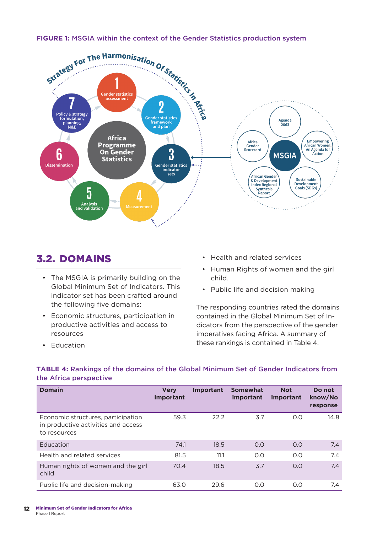

### 3.2. DOMAINS

- The MSGIA is primarily building on the Global Minimum Set of Indicators. This indicator set has been crafted around the following five domains:
- Economic structures, participation in productive activities and access to resources
- Health and related services
- Human Rights of women and the girl child.
- Public life and decision making

The responding countries rated the domains contained in the Global Minimum Set of Indicators from the perspective of the gender imperatives facing Africa. A summary of these rankings is contained in Table 4.

• Education

### **TABLE 4:** Rankings of the domains of the Global Minimum Set of Gender Indicators from the Africa perspective

| <b>Domain</b>                                                                             | <b>Very</b><br><b>Important</b> | Important | <b>Somewhat</b><br>important | <b>Not</b><br>important | Do not<br>know/No<br>response |
|-------------------------------------------------------------------------------------------|---------------------------------|-----------|------------------------------|-------------------------|-------------------------------|
| Economic structures, participation<br>in productive activities and access<br>to resources | 59.3                            | 22.2      | 3.7                          | 0.0                     | 14.8                          |
| Education                                                                                 | 74.1                            | 18.5      | 0.0                          | 0.0                     | 7.4                           |
| Health and related services                                                               | 81.5                            | 11.1      | 0.0                          | 0.0                     | 7.4                           |
| Human rights of women and the girl<br>child                                               | 70.4                            | 18.5      | 3.7                          | 0.0                     | 7.4                           |
| Public life and decision-making                                                           | 63.0                            | 29.6      | O.O                          | 0.0                     | 7.4                           |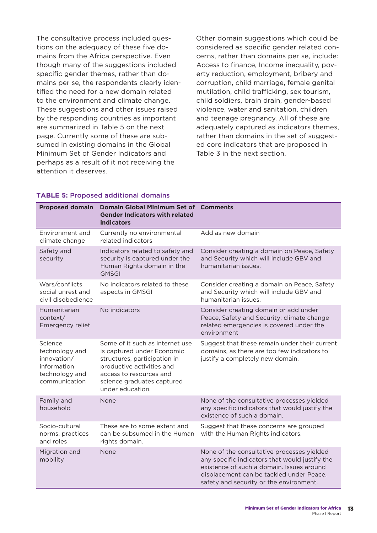The consultative process included questions on the adequacy of these five domains from the Africa perspective. Even though many of the suggestions included specific gender themes, rather than domains per se, the respondents clearly identified the need for a new domain related to the environment and climate change. These suggestions and other issues raised by the responding countries as important are summarized in Table 5 on the next page. Currently some of these are subsumed in existing domains in the Global Minimum Set of Gender Indicators and perhaps as a result of it not receiving the attention it deserves.

Other domain suggestions which could be considered as specific gender related concerns, rather than domains per se, include: Access to finance, Income inequality, poverty reduction, employment, bribery and corruption, child marriage, female genital mutilation, child trafficking, sex tourism, child soldiers, brain drain, gender-based violence, water and sanitation, children and teenage pregnancy. All of these are adequately captured as indicators themes, rather than domains in the set of suggested core indicators that are proposed in Table 3 in the next section.

| <b>Proposed domain</b>                                                                     | Domain Global Minimum Set of Comments<br><b>Gender Indicators with related</b><br><b>indicators</b>                                                                                                     |                                                                                                                                                                                                                                  |
|--------------------------------------------------------------------------------------------|---------------------------------------------------------------------------------------------------------------------------------------------------------------------------------------------------------|----------------------------------------------------------------------------------------------------------------------------------------------------------------------------------------------------------------------------------|
| Environment and<br>climate change                                                          | Currently no environmental<br>related indicators                                                                                                                                                        | Add as new domain                                                                                                                                                                                                                |
| Safety and<br>security                                                                     | Indicators related to safety and<br>security is captured under the<br>Human Rights domain in the<br><b>GMSGI</b>                                                                                        | Consider creating a domain on Peace, Safety<br>and Security which will include GBV and<br>humanitarian issues.                                                                                                                   |
| Wars/conflicts,<br>social unrest and<br>civil disobedience                                 | No indicators related to these<br>aspects in GMSGI                                                                                                                                                      | Consider creating a domain on Peace, Safety<br>and Security which will include GBV and<br>humanitarian issues.                                                                                                                   |
| Humanitarian<br>context/<br>Emergency relief                                               | No indicators                                                                                                                                                                                           | Consider creating domain or add under<br>Peace, Safety and Security; climate change<br>related emergencies is covered under the<br>environment                                                                                   |
| Science<br>technology and<br>innovation/<br>information<br>technology and<br>communication | Some of it such as internet use<br>is captured under Economic<br>structures, participation in<br>productive activities and<br>access to resources and<br>science graduates captured<br>under education. | Suggest that these remain under their current<br>domains, as there are too few indicators to<br>justify a completely new domain.                                                                                                 |
| Family and<br>household                                                                    | None                                                                                                                                                                                                    | None of the consultative processes yielded<br>any specific indicators that would justify the<br>existence of such a domain.                                                                                                      |
| Socio-cultural<br>norms, practices<br>and roles                                            | These are to some extent and<br>can be subsumed in the Human<br>rights domain.                                                                                                                          | Suggest that these concerns are grouped<br>with the Human Rights indicators.                                                                                                                                                     |
| Migration and<br>mobility                                                                  | None                                                                                                                                                                                                    | None of the consultative processes yielded<br>any specific indicators that would justify the<br>existence of such a domain. Issues around<br>displacement can be tackled under Peace,<br>safety and security or the environment. |

### **TABLE 5:** Proposed additional domains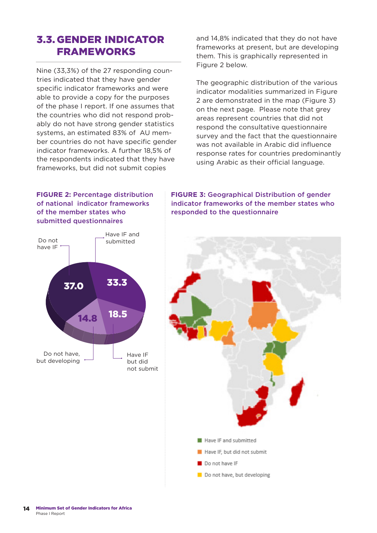### 3.3. GENDER INDICATOR FRAMEWORKS

Nine (33,3%) of the 27 responding countries indicated that they have gender specific indicator frameworks and were able to provide a copy for the purposes of the phase I report. If one assumes that the countries who did not respond probably do not have strong gender statistics systems, an estimated 83% of AU member countries do not have specific gender indicator frameworks. A further 18,5% of the respondents indicated that they have frameworks, but did not submit copies

and 14,8% indicated that they do not have frameworks at present, but are developing them. This is graphically represented in Figure 2 below.

The geographic distribution of the various indicator modalities summarized in Figure 2 are demonstrated in the map (Figure 3) on the next page. Please note that grey areas represent countries that did not respond the consultative questionnaire survey and the fact that the questionnaire was not available in Arabic did influence response rates for countries predominantly using Arabic as their official language.

### **FIGURE 2:** Percentage distribution of national indicator frameworks of the member states who submitted questionnaires



**FIGURE 3:** Geographical Distribution of gender indicator frameworks of the member states who responded to the questionnaire

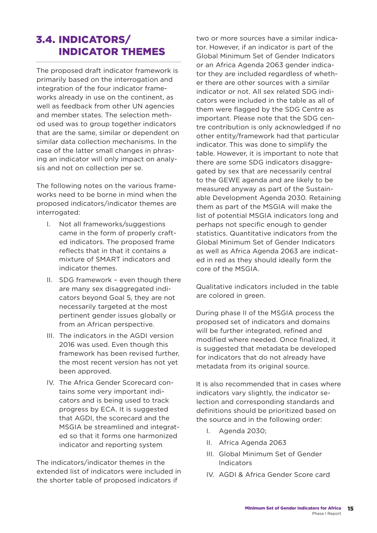## 3.4. INDICATORS/ INDICATOR THEMES

The proposed draft indicator framework is primarily based on the interrogation and integration of the four indicator frameworks already in use on the continent, as well as feedback from other UN agencies and member states. The selection method used was to group together indicators that are the same, similar or dependent on similar data collection mechanisms. In the case of the latter small changes in phrasing an indicator will only impact on analysis and not on collection per se.

The following notes on the various frameworks need to be borne in mind when the proposed indicators/indicator themes are interrogated:

- I. Not all frameworks/suggestions came in the form of properly crafted indicators. The proposed frame reflects that in that it contains a mixture of SMART indicators and indicator themes.
- II. SDG framework even though there are many sex disaggregated indicators beyond Goal 5, they are not necessarily targeted at the most pertinent gender issues globally or from an African perspective.
- III. The indicators in the AGDI version 2016 was used. Even though this framework has been revised further, the most recent version has not yet been approved.
- IV. The Africa Gender Scorecard contains some very important indicators and is being used to track progress by ECA. It is suggested that AGDI, the scorecard and the MSGIA be streamlined and integrated so that it forms one harmonized indicator and reporting system

The indicators/indicator themes in the extended list of indicators were included in the shorter table of proposed indicators if

two or more sources have a similar indicator. However, if an indicator is part of the Global Minimum Set of Gender Indicators or an Africa Agenda 2063 gender indicator they are included regardless of whether there are other sources with a similar indicator or not. All sex related SDG indicators were included in the table as all of them were flagged by the SDG Centre as important. Please note that the SDG centre contribution is only acknowledged if no other entity/framework had that particular indicator. This was done to simplify the table. However, it is important to note that there are some SDG indicators disaggregated by sex that are necessarily central to the GEWE agenda and are likely to be measured anyway as part of the Sustainable Development Agenda 2030. Retaining them as part of the MSGIA will make the list of potential MSGIA indicators long and perhaps not specific enough to gender statistics. Quantitative indicators from the Global Minimum Set of Gender Indicators as well as Africa Agenda 2063 are indicated in red as they should ideally form the core of the MSGIA.

Qualitative indicators included in the table are colored in green.

During phase II of the MSGIA process the proposed set of indicators and domains will be further integrated, refined and modified where needed. Once finalized, it is suggested that metadata be developed for indicators that do not already have metadata from its original source.

It is also recommended that in cases where indicators vary slightly, the indicator selection and corresponding standards and definitions should be prioritized based on the source and in the following order:

- I. Agenda 2030;
- II. Africa Agenda 2063
- III. Global Minimum Set of Gender Indicators
- IV. AGDI & Africa Gender Score card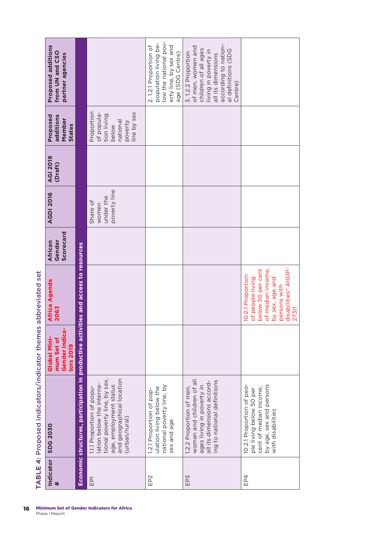| Indicator | <b>SDG 2030</b>                                                                                                                                               | Gender Indica-<br>Global Mini-<br>mum Set of<br>tors 2019 | Africa Agenda<br>2063                                                                                                                               | Scorecard<br>Gender<br><b>African</b> | <b>AGDI 2016</b>                               | <b>AGI 2019</b><br>(Draft) | Proposed<br>additions<br>Member<br><b>States</b>                                      | Proposed additions<br>from UN and CSO<br>partner agencies                                                                                                               |
|-----------|---------------------------------------------------------------------------------------------------------------------------------------------------------------|-----------------------------------------------------------|-----------------------------------------------------------------------------------------------------------------------------------------------------|---------------------------------------|------------------------------------------------|----------------------------|---------------------------------------------------------------------------------------|-------------------------------------------------------------------------------------------------------------------------------------------------------------------------|
|           | Economic structures, participation in productive activit                                                                                                      |                                                           | es and access to resources                                                                                                                          |                                       |                                                |                            |                                                                                       |                                                                                                                                                                         |
| EPT       | tional poverty line, by sex,<br>and geographical location<br>ation below the interna-<br>age, employment status<br>1.1.1 Proportion of popu-<br>(urban/rural) |                                                           |                                                                                                                                                     |                                       | poverty line<br>under the<br>Share of<br>women |                            | Proportion<br>ine by sex<br>of popula-<br>tion living<br>national<br>poverty<br>below |                                                                                                                                                                         |
| EP2       | national poverty line, by<br>ulation living below the<br>1.2.1 Proportion of pop-<br>sex and age                                                              |                                                           |                                                                                                                                                     |                                       |                                                |                            |                                                                                       | low the national pov-<br>population living be-<br>erty line, by sex and<br>2.1.2.1 Proportion of<br>age (SDG Centre)                                                    |
| EP3       | women and children of all<br>ing to national definitions<br>all its dimensions accord-<br>ages living in poverty in<br>1.2.2 Proportion of men,               |                                                           |                                                                                                                                                     |                                       |                                                |                            |                                                                                       | according to nation-<br>of men, women and<br>children of all ages<br>al definitions (SDG<br>living in poverty in<br>3.1.2.2 Proportion<br>all its dimensions<br>Centre) |
| EP4       | 10.2.1 Proportion of peo-<br>by age, sex and persons<br>cent of median income,<br>ple living below 50 per<br>with disabilities                                |                                                           | disabilities* A1G1P-<br>below 50 per cent<br>of median income,<br>10.2.1 Proportion<br>of people living<br>by sex, age and<br>persons with<br>27311 |                                       |                                                |                            |                                                                                       |                                                                                                                                                                         |

TABLE 4: Proposed indicators/indicator themes abbreviated set **TABLE 4:** Proposed indicators/indicator themes abbreviated set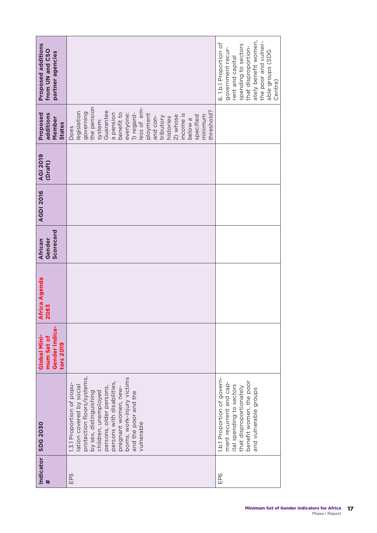| Proposed additions<br>from UN and CSO<br>partner agencies |                                                                                                                                                                                                                                                                                            | ately benefit women,<br>the poor and vulner-<br>6. 1.b.1 Proportion of<br>spending to sectors<br>that disproportion-<br>government recur-<br>able groups (SDG<br>rent and capital<br>Centre) |
|-----------------------------------------------------------|--------------------------------------------------------------------------------------------------------------------------------------------------------------------------------------------------------------------------------------------------------------------------------------------|----------------------------------------------------------------------------------------------------------------------------------------------------------------------------------------------|
| additions<br>Proposed<br>Member<br><b>States</b>          | the pension<br>less of em-<br>threshold?<br>Guarantee<br>legislation<br>governing<br>benefit to<br>1) regard-<br>a pension<br>everyone:<br>ployment<br>income is<br>2) whose<br>minimum<br>specified<br>and con-<br>tributory<br>histories<br>below a<br>system:<br>Does                   |                                                                                                                                                                                              |
| <b>AGI 2019</b><br>(Draft)                                |                                                                                                                                                                                                                                                                                            |                                                                                                                                                                                              |
| <b>AGDI 2016</b>                                          |                                                                                                                                                                                                                                                                                            |                                                                                                                                                                                              |
| Scorecard<br>Gender<br>African                            |                                                                                                                                                                                                                                                                                            |                                                                                                                                                                                              |
| Africa Agenda<br>2063                                     |                                                                                                                                                                                                                                                                                            |                                                                                                                                                                                              |
| Gender Indica<br>Global Mini-<br>mum Set of<br>tors 2019  |                                                                                                                                                                                                                                                                                            |                                                                                                                                                                                              |
| <b>SDG 2030</b>                                           | protection floors/systems,<br>borns, work-injury victims<br>persons with disabilities,<br>1.3.1 Proportion of popu-<br>lation covered by social<br>persons, older persons,<br>pregnant women, new-<br>children, unemployed<br>by sex, distinguishing<br>and the poor and the<br>vulnerable | 1.b.1 Proportion of govern-<br>benefit women, the poor<br>ment recurrent and cap-<br>ital spending to sectors<br>that disproportionately<br>and vulnerable groups                            |
| Indicator<br>#                                            | EP5                                                                                                                                                                                                                                                                                        | EP6                                                                                                                                                                                          |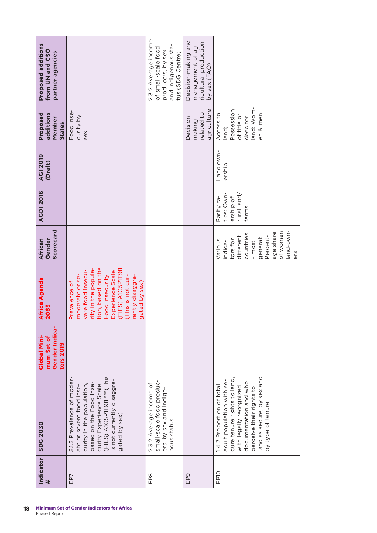| Proposed additions<br>from UN and CSO<br>partner agencies |                                                                                                                                                                                                                           | 2.3.2 Average income<br>and indigenous sta-<br>of small-scale food<br>producers, by sex<br>tus (SDG Centre) | Decision-making and<br>ricultural production<br>management of ag- |                                                                                                                                                                                                                          |
|-----------------------------------------------------------|---------------------------------------------------------------------------------------------------------------------------------------------------------------------------------------------------------------------------|-------------------------------------------------------------------------------------------------------------|-------------------------------------------------------------------|--------------------------------------------------------------------------------------------------------------------------------------------------------------------------------------------------------------------------|
|                                                           |                                                                                                                                                                                                                           |                                                                                                             | by sex (FAO)                                                      |                                                                                                                                                                                                                          |
| Proposed<br>additions<br>Member<br><b>States</b>          | Food inse-<br>curity by<br>sex                                                                                                                                                                                            |                                                                                                             | agriculture<br>related to<br>Decision<br>making                   | land: Wom-<br>Possession<br>Access to<br>en & men<br>of title or<br>deed for<br>land;                                                                                                                                    |
| <b>AGI 2019</b><br>(Draft)                                |                                                                                                                                                                                                                           |                                                                                                             |                                                                   | Land own-<br>ership                                                                                                                                                                                                      |
| <b>AGDI 2016</b>                                          |                                                                                                                                                                                                                           |                                                                                                             |                                                                   | rural land/<br>tios: Own-<br>Parity ra-<br>ership of<br>farms                                                                                                                                                            |
| Scorecard<br>African<br>Gender                            |                                                                                                                                                                                                                           |                                                                                                             |                                                                   | of women<br>and-own-<br>age share<br>countries<br>different<br>Percent-<br>general:<br>tors for<br>Various<br>indica-<br>- most<br>ers                                                                                   |
| Africa Agenda<br>2063                                     | tion, based on the<br>(FIES) AIG5PIT9II<br>rity in the popula-<br>vere food insecu-<br>Experience Scale<br>moderate or se-<br>(This is not cur-<br>rently disaggre-<br>Food Insecurity<br>Prevalence of<br>gated by sex)  |                                                                                                             |                                                                   |                                                                                                                                                                                                                          |
| Gender Indica-<br>Global Mini-<br>mum Set of<br>tors 2019 |                                                                                                                                                                                                                           |                                                                                                             |                                                                   |                                                                                                                                                                                                                          |
| <b>SDG 2030</b>                                           | $(FIES)$ A1G5P1T911 *** (This<br>2.1.2 Prevalence of moder-<br>is not currently disaggre-<br>curity in the population,<br>based on the Food Inse-<br>ate or severe food inse-<br>curity Experience Scale<br>gated by sex) | small-scale food produc-<br>2.3.2 Average income of<br>ers, by sex and indige-<br>nous status               |                                                                   | land as secure, by sex and<br>cure tenure rights to land,<br>adult population with se-<br>documentation and who<br>1.4.2 Proportion of total<br>with legally recognized<br>perceive their rights to<br>by type of tenure |
| Indicator<br>$\#$                                         | EP7                                                                                                                                                                                                                       | EP8                                                                                                         | EP9                                                               | EP <sub>10</sub>                                                                                                                                                                                                         |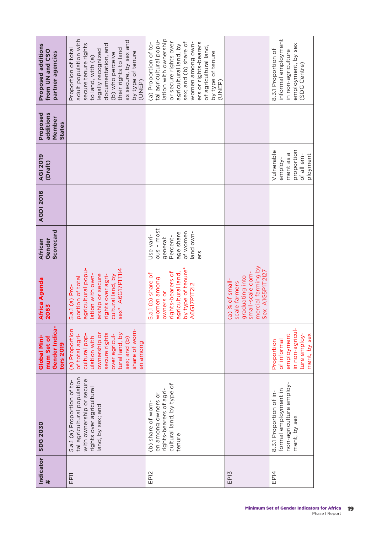| Proposed additions<br>from UN and CSO<br>partner agencies | adult population with<br>as secure, by sex and<br>secure tenure rights<br>documentation, and<br>Proportion of total<br>their rights to land<br>legally recognized<br>by type of tenure<br>(b) who perceive<br>to land, with (a)<br>(UNEP) | lation with ownership<br>tal agricultural popu-<br>or secure rights over<br>sex; and (b) share of<br>women among own-<br>ers or rights-bearers<br>(a) Proportion of to-<br>agricultural land, by<br>of agricultural land,<br>by type of tenure<br>(UNEP) |                                                                                                                  | informal employment<br>employment, by sex<br>8.3.1 Proportion of<br>in non-agriculture<br>(SDG Centre) |
|-----------------------------------------------------------|-------------------------------------------------------------------------------------------------------------------------------------------------------------------------------------------------------------------------------------------|----------------------------------------------------------------------------------------------------------------------------------------------------------------------------------------------------------------------------------------------------------|------------------------------------------------------------------------------------------------------------------|--------------------------------------------------------------------------------------------------------|
| Proposed<br>additions<br>Member<br><b>States</b>          |                                                                                                                                                                                                                                           |                                                                                                                                                                                                                                                          |                                                                                                                  |                                                                                                        |
| <b>AGI 2019</b><br>(Draft)                                |                                                                                                                                                                                                                                           |                                                                                                                                                                                                                                                          |                                                                                                                  | proportion<br>Vulnerable<br>ment as a<br>ployment<br>of all em-<br>employ-                             |
| <b>AGDI 2016</b>                                          |                                                                                                                                                                                                                                           |                                                                                                                                                                                                                                                          |                                                                                                                  |                                                                                                        |
| Scorecard<br>Gender<br>African                            |                                                                                                                                                                                                                                           | $ous - most$<br>of women<br>and own-<br>age share<br>Use vari-<br>Percent-<br>general:<br>ers                                                                                                                                                            |                                                                                                                  |                                                                                                        |
| Africa Agenda<br>2063                                     | agricultural popu-<br>sex* A6G17P1T114<br>rights over agri-<br>cultural land, by<br>lation with own-<br>ership or secure<br>portion of total<br>5.a.1 (a) Pro-                                                                            | by type of tenure*<br>rights-bearers of<br>agricultural land,<br>5.a.1 (b) share of<br>women among<br>A6G17P1T212<br>owners or                                                                                                                           | mercial farming by<br>Sex A1G5P1T2I27<br>small-scale com-<br>graduating into<br>(a) % of small-<br>scale farmers |                                                                                                        |
| Gender Indica-<br>Global Mini-<br>mum Set of<br>tors 2019 | share of wom-<br>(a) Proportion<br>secure rights<br>ownership or<br>tural land, by<br>of total agri-<br>over agricul-<br>cultural pop-<br>ulation with<br>sex; and (b)<br>en among                                                        |                                                                                                                                                                                                                                                          |                                                                                                                  | in non-agricul-<br>ture employ-<br>employment<br>ment, by sex<br>of informal<br>Proportion             |
| <b>SDG 2030</b>                                           | tal agricultural population<br>with ownership or secure<br>5.a.1 (a) Proportion of to-<br>rights over agricultural<br>land, by sex; and                                                                                                   | cultural land, by type of<br>rights-bearers of agri-<br>en among owners or<br>(b) share of wom-<br>tenure                                                                                                                                                |                                                                                                                  | non-agriculture employ-<br>formal employment in<br>8.3.1 Proportion of in-<br>ment, by sex             |
| Indicator<br>#                                            | EP <sub>11</sub>                                                                                                                                                                                                                          | EP12                                                                                                                                                                                                                                                     | EP13                                                                                                             | EP14                                                                                                   |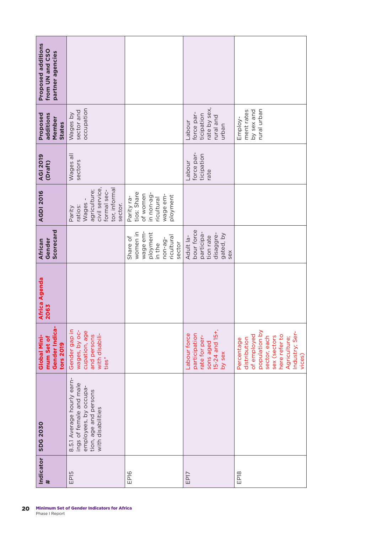| Proposed additions<br>from UN and CSO<br>partner agencies |                                                                                                                              |                                                                                           |                                                                                         |                                                                                                                                                        |
|-----------------------------------------------------------|------------------------------------------------------------------------------------------------------------------------------|-------------------------------------------------------------------------------------------|-----------------------------------------------------------------------------------------|--------------------------------------------------------------------------------------------------------------------------------------------------------|
| Proposed<br>additions<br>Member<br>States                 | occupation<br>sector and<br>Wages by                                                                                         |                                                                                           | ate by sex,<br>force par-<br>ticipation<br>rural and<br><b>Labour</b><br>urban          | rural urban<br>ment rates<br>by sex and<br>Employ-                                                                                                     |
| <b>AGI 2019</b><br>(Draft)                                | Wages all<br>sectors                                                                                                         |                                                                                           | force par-<br>ticipation<br>Labour<br>rate                                              |                                                                                                                                                        |
| <b>AGDI 2016</b>                                          | civil service,<br>tor, informa<br>agriculture;<br>formal sec-<br>Wages-<br>sector.<br>ratios:<br>Parity                      | tios: Share<br>in non-ag-<br>of women<br>wage em-<br>ployment<br>Parity ra-<br>ricultural |                                                                                         |                                                                                                                                                        |
| Scorecard<br>Gender<br>African                            |                                                                                                                              | women in<br>wage em-<br>ployment<br>ricultural<br>Share of<br>non-ag-<br>sector<br>in the | bour force<br>participa-<br>disaggre-<br>gated, by<br>tion rate<br>Adult la-<br>sex     |                                                                                                                                                        |
| Africa Agenda<br>2063                                     |                                                                                                                              |                                                                                           |                                                                                         |                                                                                                                                                        |
| Gender Indica-<br>Global Mini-<br>mum Set of<br>tors 2019 | Gender gap in<br>wages, by oc-<br>cupation, age<br>with disabili-<br>and persons<br>ties <sup>*</sup>                        |                                                                                           | 15-24 and 15+,<br>Labour force<br>participation<br>rate for per-<br>sons aged<br>by sex | population by<br>Industry; Ser-<br>here refer to<br>of employed<br>sex (sectors<br>sector, each<br>Agriculture;<br>distribution<br>Percentage<br>vices |
| <b>SDG 2030</b>                                           | 8.5.1 Average hourly earn-<br>ings of female and male<br>employees, by occupa-<br>tion, age and persons<br>with disabilities |                                                                                           |                                                                                         |                                                                                                                                                        |
| Indicator<br>#                                            | EP <sub>15</sub>                                                                                                             | EP <sub>16</sub>                                                                          | EP17                                                                                    | EP <sub>18</sub>                                                                                                                                       |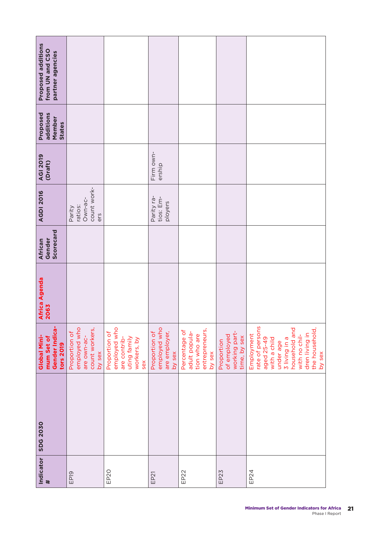| Proposed additions<br>from UN and CSO<br>partner agencies |                                                                          |                                                                                     |                                                          |                                                                            |                                                            |                                                                                                                                                                           |
|-----------------------------------------------------------|--------------------------------------------------------------------------|-------------------------------------------------------------------------------------|----------------------------------------------------------|----------------------------------------------------------------------------|------------------------------------------------------------|---------------------------------------------------------------------------------------------------------------------------------------------------------------------------|
| Proposed<br>additions<br>Member<br><b>States</b>          |                                                                          |                                                                                     |                                                          |                                                                            |                                                            |                                                                                                                                                                           |
| <b>AGI 2019</b><br>(Draft)                                |                                                                          |                                                                                     | Firm own-<br>ership                                      |                                                                            |                                                            |                                                                                                                                                                           |
| <b>AGDI 2016</b>                                          | count work-<br>Own-ac-<br>ratios:<br>Parity<br>ers                       |                                                                                     | Parity ra-<br>tios: Em-<br>ployers                       |                                                                            |                                                            |                                                                                                                                                                           |
| Scorecard<br>Gender<br>African                            |                                                                          |                                                                                     |                                                          |                                                                            |                                                            |                                                                                                                                                                           |
| <b>Africa Agenda</b><br>2063                              |                                                                          |                                                                                     |                                                          |                                                                            |                                                            |                                                                                                                                                                           |
| Gender Indica-<br>Global Mini-<br>mum Set of<br>tors 2019 | employed who<br>count workers,<br>Proportion of<br>are own-ac-<br>by sex | employed who<br>Proportion of<br>uting family<br>are contrib-<br>workers, by<br>sex | employed who<br>Proportion of<br>are employer,<br>by sex | entrepreneurs,<br>Percentage of<br>adult popula-<br>tion who are<br>by sex | working part-<br>of employed<br>time, by sex<br>Proportion | rate of persons<br>household and<br>the household,<br>dren living in<br>Employment<br>with no chil-<br>aged 25-49<br>with a child<br>s ni pnivil 3<br>under age<br>by sex |
| <b>SDG 2030</b>                                           |                                                                          |                                                                                     |                                                          |                                                                            |                                                            |                                                                                                                                                                           |
| Indicator<br>#                                            | EP <sub>19</sub>                                                         | EP20                                                                                | EP21                                                     | EP22                                                                       | EP23                                                       | EP24                                                                                                                                                                      |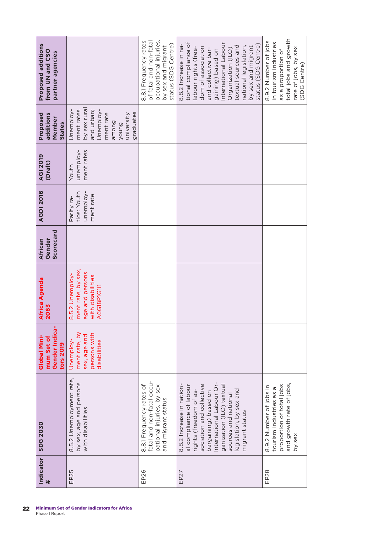| <b>SDG 2030</b>                                                                                                                                                                                                                                                | Gender Indica-<br>Global Mini-<br>mum Set of<br>tors 2019                  | Africa Agenda<br>2063                                                                        | Scorecard<br>Gender<br>African | <b>AGDI 2016</b>                                    | <b>AGI 2019</b><br>(Draft)       | Proposed<br>additions<br>Member<br>States                                                                                   | <b>Proposed additions</b><br>from UN and CSO<br>partner agencies                                                                                                                                                                                                                   |
|----------------------------------------------------------------------------------------------------------------------------------------------------------------------------------------------------------------------------------------------------------------|----------------------------------------------------------------------------|----------------------------------------------------------------------------------------------|--------------------------------|-----------------------------------------------------|----------------------------------|-----------------------------------------------------------------------------------------------------------------------------|------------------------------------------------------------------------------------------------------------------------------------------------------------------------------------------------------------------------------------------------------------------------------------|
| 8.5.2 Unemployment rate,<br>by sex, age and persons<br>with disabilities                                                                                                                                                                                       | ment rate, by<br>persons with<br>sex, age and<br>disabilities<br>Unemploy- | ment rate, by sex,<br>age and persons<br>8.5.2 Unemploy-<br>with disabilities<br>A6G18P1G1I1 |                                | tios: Youth<br>unemploy-<br>ment rate<br>Parity ra- | ment rates<br>unemploy-<br>Youth | by sex rura<br>ment rates<br>and urban;<br>Unemploy-<br>Jnemploy-<br>graduates<br>ment rate<br>university<br>among<br>punox |                                                                                                                                                                                                                                                                                    |
| fatal and non-fatal occu-<br>8.8.1 Frequency rates of<br>pational injuries, by sex<br>and migrant status                                                                                                                                                       |                                                                            |                                                                                              |                                |                                                     |                                  |                                                                                                                             | occupational injuries,<br>8.8.1 Frequency rates<br>of fatal and non-fatal<br>status (SDG Centre)<br>by sex and migrant                                                                                                                                                             |
| International Labour Or-<br>ganization (ILO) textual<br>8.8.2 Increase in nation-<br>sociation and collective<br>al compliance of labour<br>rights (freedom of as-<br>egislation, by sex and<br>bargaining) based on<br>sources and national<br>migrant status |                                                                            |                                                                                              |                                |                                                     |                                  |                                                                                                                             | tional compliance of<br>International Labour<br>status (SDG Centre)<br>8.8.2 Increase in na-<br>textual sources and<br>national legislation,<br>by sex and migrant<br>labour rights (free-<br>dom of association<br>and collective bar-<br>Organization (ILO)<br>gaining) based on |
| and growth rate of jobs,<br>proportion of total jobs<br>8.9.2 Number of jobs in<br>tourism industries as a<br>by sex                                                                                                                                           |                                                                            |                                                                                              |                                |                                                     |                                  |                                                                                                                             | total jobs and growth<br>8.9.2 Number of jobs<br>in tourism industries<br>rate of jobs, by sex<br>as a proportion of<br>(SDG Centre)                                                                                                                                               |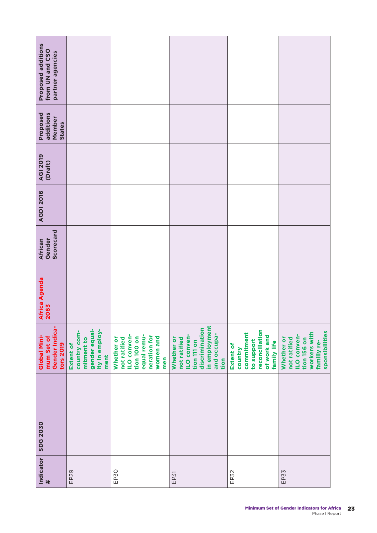| <b>Proposed additions</b><br>from UN and CSO<br>partner agencies |                                                                                    |                                                                                                                    |                                                                                                                           |                                                                                                  |                                                                                                                  |
|------------------------------------------------------------------|------------------------------------------------------------------------------------|--------------------------------------------------------------------------------------------------------------------|---------------------------------------------------------------------------------------------------------------------------|--------------------------------------------------------------------------------------------------|------------------------------------------------------------------------------------------------------------------|
| Proposed<br>additions<br>Member<br><b>States</b>                 |                                                                                    |                                                                                                                    |                                                                                                                           |                                                                                                  |                                                                                                                  |
| <b>AGI 2019</b><br>(Draft)                                       |                                                                                    |                                                                                                                    |                                                                                                                           |                                                                                                  |                                                                                                                  |
| <b>AGDI 2016</b>                                                 |                                                                                    |                                                                                                                    |                                                                                                                           |                                                                                                  |                                                                                                                  |
| Scorecard<br>Gender<br>African                                   |                                                                                    |                                                                                                                    |                                                                                                                           |                                                                                                  |                                                                                                                  |
| Africa Agenda<br>2063                                            |                                                                                    |                                                                                                                    |                                                                                                                           |                                                                                                  |                                                                                                                  |
| Gender Indica-<br>Global Mini-<br>mum Set of<br>tors 2019        | gender equal-<br>ity in employ-<br>country com-<br>mitment to<br>Extent of<br>ment | <b>ILO conven-</b><br>equal remu-<br>neration for<br>women and<br>tion 100 on<br>not ratified<br>Whether or<br>men | in employment<br>discrimination<br>and occupa-<br><b>ILO conven-</b><br>Whether or<br>not ratified<br>tion 111 on<br>tion | reconciliation<br>commitment<br>of work and<br>to support<br>family life<br>Extent of<br>country | sponsibilities<br>workers with<br><b>ILO conven-</b><br>not ratified<br>tion 156 on<br>Whether or<br>familiy re- |
| <b>SDG 2030</b>                                                  |                                                                                    |                                                                                                                    |                                                                                                                           |                                                                                                  |                                                                                                                  |
| Indicator<br>$\#$                                                | EP <sub>29</sub>                                                                   | EP30                                                                                                               | EP31                                                                                                                      | EP32                                                                                             | EP33                                                                                                             |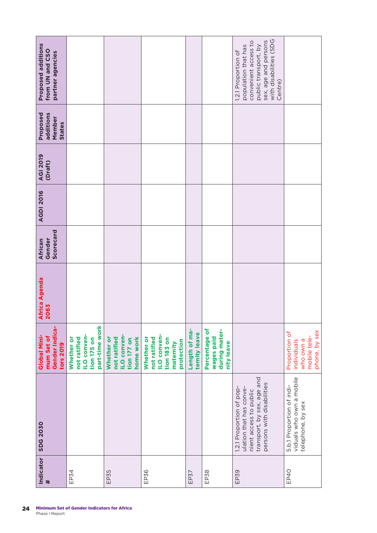| <b>Proposed additions</b><br>from UN and CSO<br>partner agencies |                                                                                   |                                                                              |                                                                                            |                                |                                                            | with disabilities (SDG<br>sex, age and persons<br>convenient access to<br>population that has<br>public transport, by<br>1.2.1 Proportion of |                                                                            |
|------------------------------------------------------------------|-----------------------------------------------------------------------------------|------------------------------------------------------------------------------|--------------------------------------------------------------------------------------------|--------------------------------|------------------------------------------------------------|----------------------------------------------------------------------------------------------------------------------------------------------|----------------------------------------------------------------------------|
|                                                                  |                                                                                   |                                                                              |                                                                                            |                                |                                                            | Centre)                                                                                                                                      |                                                                            |
| Proposed<br>additions<br>Member<br>States                        |                                                                                   |                                                                              |                                                                                            |                                |                                                            |                                                                                                                                              |                                                                            |
| <b>AGI 2019</b><br>(Draft)                                       |                                                                                   |                                                                              |                                                                                            |                                |                                                            |                                                                                                                                              |                                                                            |
| <b>AGDI 2016</b>                                                 |                                                                                   |                                                                              |                                                                                            |                                |                                                            |                                                                                                                                              |                                                                            |
| Scorecard<br>Gender<br>African                                   |                                                                                   |                                                                              |                                                                                            |                                |                                                            |                                                                                                                                              |                                                                            |
| Africa Agenda<br>2063                                            |                                                                                   |                                                                              |                                                                                            |                                |                                                            |                                                                                                                                              |                                                                            |
| Gender Indica-<br>Global Mini-<br>mum Set of<br>tors 2019        | part-time work<br><b>ILO conven-</b><br>not ratified<br>Whether or<br>tion 175 on | <b>ILO conven-</b><br>not ratified<br>home work<br>Whether or<br>tion 177 on | <b>ILO conven-</b><br>not ratified<br>Whether or<br>tion 183 on<br>protection<br>maternity | Length of ma-<br>ternity leave | Percentage of<br>during mater-<br>wages paid<br>nity leave |                                                                                                                                              | phone, by sex<br>Proportion of<br>mobile tele-<br>who own a<br>individuals |
| <b>SDG 2030</b>                                                  |                                                                                   |                                                                              |                                                                                            |                                |                                                            | transport, by sex, age and<br>persons with disabilities<br>1.2.1 Proportion of pop-<br>ulation that has conve-<br>nient access to public     | viduals who own a mobile<br>5.b.1 Proportion of indi-<br>telephone, by sex |
| Indicator<br>$\ddot{\phantom{1}}$                                | EP34                                                                              | EP35                                                                         | EP36                                                                                       | EP37                           | EP <sub>38</sub>                                           | EP39                                                                                                                                         | EP40                                                                       |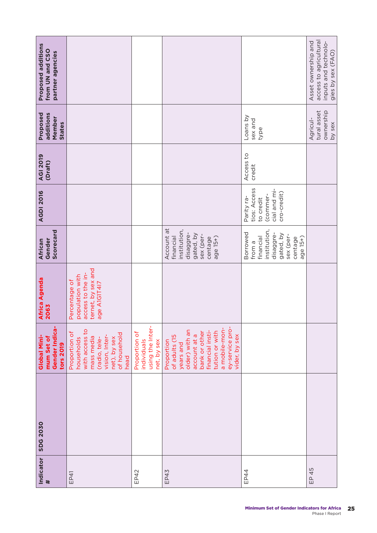| Indicator | <b>SDG 2030</b> | Gender Indica-<br>Global Mini-<br>mum Set of<br>tors 2019                                                                                                                              | <b>Africa Agenda</b><br>2063                                                                | Scorecard<br>Gender<br>African                                                                                | <b>AGDI 2016</b>                                                                   | <b>AGI 2019</b><br>(Draft) | Proposed<br>additions<br>Member<br><b>States</b> | <b>Proposed additions</b><br>from UN and CSO<br>partner agencies                           |
|-----------|-----------------|----------------------------------------------------------------------------------------------------------------------------------------------------------------------------------------|---------------------------------------------------------------------------------------------|---------------------------------------------------------------------------------------------------------------|------------------------------------------------------------------------------------|----------------------------|--------------------------------------------------|--------------------------------------------------------------------------------------------|
|           |                 | with access to<br>Proportion of<br>of household<br>vision, Inter-<br>mass media<br>households<br>net), by sex<br>(radio, tele-<br>head                                                 | ternet, by sex and<br>access to the in-<br>population with<br>Percentage of<br>age A1G1T417 |                                                                                                               |                                                                                    |                            |                                                  |                                                                                            |
|           |                 | using the Inter-<br>Proportion of<br>individuals<br>net, by sex                                                                                                                        |                                                                                             |                                                                                                               |                                                                                    |                            |                                                  |                                                                                            |
|           |                 | ey-service pro-<br>a mobile-mon-<br>older) with an<br>financial insti-<br>tution or with<br>bank or other<br>account at a<br>vider, by sex<br>of adults (15<br>Proportion<br>years and |                                                                                             | Account at<br>institution,<br>disaggre-<br>gated, by<br>sex (per-<br>financial<br>age 15+)<br>centage         |                                                                                    |                            |                                                  |                                                                                            |
|           |                 |                                                                                                                                                                                        |                                                                                             | institution,<br>Borrowed<br>disaggre-<br>gated, by<br>sex (per-<br>age 15+)<br>financial<br>centage<br>from a | tios: Access<br>cial and mi-<br>cro-credit)<br>(commer-<br>Parity ra-<br>to credit | Access to<br>credit        | Loans by<br>sex and<br>type                      |                                                                                            |
|           |                 |                                                                                                                                                                                        |                                                                                             |                                                                                                               |                                                                                    |                            | tural asset<br>ownership<br>Agricul-<br>by sex   | access to agricultural<br>Asset ownership and<br>inputs and technolo-<br>gies by sex (FAO) |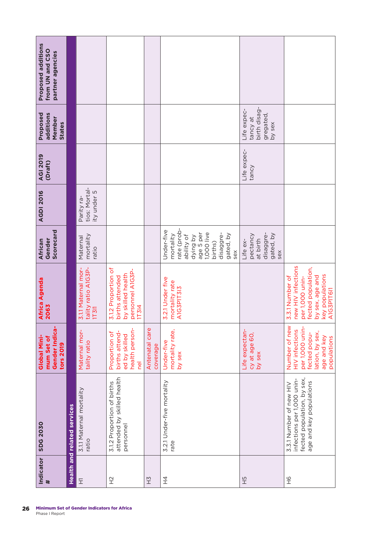| Proposed additions<br>from UN and CSO<br>partner agencies |                                    |                                                     |                                                                                          |                            |                                                                                                                                         |                                                                   |                                                                                                                                    |
|-----------------------------------------------------------|------------------------------------|-----------------------------------------------------|------------------------------------------------------------------------------------------|----------------------------|-----------------------------------------------------------------------------------------------------------------------------------------|-------------------------------------------------------------------|------------------------------------------------------------------------------------------------------------------------------------|
|                                                           |                                    |                                                     |                                                                                          |                            |                                                                                                                                         |                                                                   |                                                                                                                                    |
| Proposed<br>additions<br>Member<br><b>States</b>          |                                    |                                                     |                                                                                          |                            |                                                                                                                                         | birth disag-<br>Life expec-<br>gregated,<br>tancy at<br>by sex    |                                                                                                                                    |
| <b>AGI 2019</b><br>(Draft)                                |                                    |                                                     |                                                                                          |                            |                                                                                                                                         | Life expec-<br>tancy                                              |                                                                                                                                    |
| <b>AGDI 2016</b>                                          |                                    | tios: Mortal-<br>ity under 5<br>Parity ra-          |                                                                                          |                            |                                                                                                                                         |                                                                   |                                                                                                                                    |
| Scorecard<br>Gender<br>African                            |                                    | mortality<br>Maternal<br>ratio                      |                                                                                          |                            | rate (prob-<br>Under-five<br>age 5 per<br>1,000 live<br>disaggre-<br>mortality<br>gated, by<br>ability of<br>dying by<br>births)<br>sex | disaggre-<br>gated, by<br>pectancy<br>at birth<br>Life ex-<br>sex |                                                                                                                                    |
| Africa Agenda<br>2063                                     |                                    | 3.1.1 Maternal mor-<br>tality ratio A1G3P-<br>11311 | 3.1.2 Proportion of<br>personnel A1G3P-<br>by skilled health<br>births attended<br>17314 |                            | 3.2.1 Under five<br>mortality rate<br>A1G3P1T313                                                                                        |                                                                   | new HIV infections<br>fected population,<br>key populations<br>by sex, age and<br>3.3.1 Number of<br>per 1,000 unin-<br>A1G3P1T6I1 |
| Gender Indica-<br>Global Mini-<br>mum Set of<br>tors 2019 |                                    | Maternal mor-<br>tality ratio                       | health person-<br>births attend-<br>Proportion of<br>ed by skilled<br>$\overline{P}$     | Antenatal care<br>coverage | mortality rate,<br>Under-five<br>by sex                                                                                                 | Life expectan-<br>cy at age 60,<br>by sex                         | Number of new<br>per 1,000 unin-<br><b>HIV</b> infections<br>lation, by sex,<br>fected popu-<br>age and key<br>populations         |
| <b>SDG 2030</b>                                           | <b>Health and related services</b> | 3.1.1 Maternal mortality<br>ratio                   | attended by skilled health<br>3.1.2 Proportion of births<br>personnel                    |                            | 3.2.1 Under-five mortality<br>rate                                                                                                      |                                                                   | fected population, by sex,<br>infections per 1,000 unin-<br>age and key populations<br>3.3.1 Number of new HIV                     |
| Indicator<br>$\#$                                         |                                    | $\Xi$                                               | $\frac{1}{2}$                                                                            | $\frac{1}{2}$              | 구<br>구                                                                                                                                  | 5H                                                                | 9H                                                                                                                                 |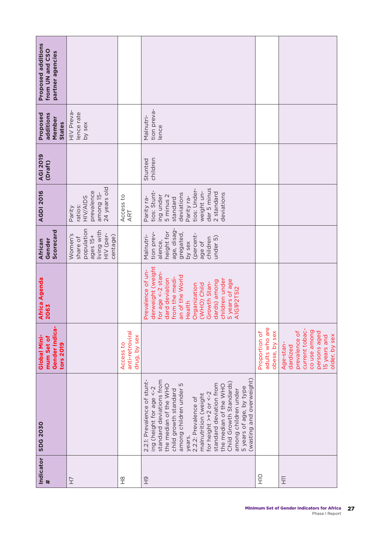| Indicator<br>$\#$ | <b>SDG 2030</b>                                                                                                                                                                                                                                                                                                                                                                                                  | Gender Indica-<br>Global Mini-<br>mum Set of<br>tors 2019                                                                 | Africa Agenda<br>2063                                                                                                                                                                                                                         | Scorecard<br>Gender<br>African                                                                                                        | <b>AGDI 2016</b>                                                                                                                                                      | <b>AGI 2019</b><br>(Draft) | Proposed<br>additions<br>Member<br><b>States</b> | Proposed additions<br>from UN and CSO<br>partner agencies |
|-------------------|------------------------------------------------------------------------------------------------------------------------------------------------------------------------------------------------------------------------------------------------------------------------------------------------------------------------------------------------------------------------------------------------------------------|---------------------------------------------------------------------------------------------------------------------------|-----------------------------------------------------------------------------------------------------------------------------------------------------------------------------------------------------------------------------------------------|---------------------------------------------------------------------------------------------------------------------------------------|-----------------------------------------------------------------------------------------------------------------------------------------------------------------------|----------------------------|--------------------------------------------------|-----------------------------------------------------------|
| Ξ                 |                                                                                                                                                                                                                                                                                                                                                                                                                  |                                                                                                                           |                                                                                                                                                                                                                                               | population<br>living with<br>HIV (per-<br>Women's<br>centage)<br>$a$ ges $15+$<br>share of                                            | 24 years old<br>prevalence<br>among 15-<br>HIV/AIDS<br>ratios:<br>Parity                                                                                              |                            | HIV Preva-<br>lence rate<br>by sex               |                                                           |
| $\frac{8}{1}$     |                                                                                                                                                                                                                                                                                                                                                                                                                  | anti-retroviral<br>drug, by sex<br>Access to                                                                              |                                                                                                                                                                                                                                               |                                                                                                                                       | Access to<br>ART                                                                                                                                                      |                            |                                                  |                                                           |
| 9H                | (wasting and overweight)<br>standard deviations from<br>2.2.1: Prevalence of stunt-<br>Child Growth Standards)<br>among children under 5<br>standard deviation from<br>the median of the WHO<br>the median of the WHO<br>5 years of age, by type<br>ing (height for age <- 2<br>among children under<br>child growth standard<br>for height >+2 or <-2<br>malnutrition (weight<br>2.2.2: Prevalence of<br>years. |                                                                                                                           | derweight (weight<br>Prevalence of un-<br>for age <-2 stan-<br>an of the World<br>from the medi-<br>dard deviation<br>children under<br>5 years of age<br>dards) among<br>Growth Stan-<br>Organization<br>(WHO) Child<br>A1G1P2T5I2<br>Health | age, disag-<br>height for<br>tion prev-<br>gregated,<br>(percent-<br>Malnutri-<br>under 5)<br>children<br>alence,<br>age of<br>by sex | der 5 minus<br>tios: Under-<br>tios: Stunt-<br>weight un-<br>2 standard<br>deviations<br>deviations<br>ing under<br>5 minus 2<br>Parity ra-<br>Parity ra-<br>standard | children<br>Stunted        | tion preva-<br>Malnutri-<br>lence                |                                                           |
| $\frac{1}{2}$     |                                                                                                                                                                                                                                                                                                                                                                                                                  | adults who are<br>Proportion of<br>obese, by sex                                                                          |                                                                                                                                                                                                                                               |                                                                                                                                       |                                                                                                                                                                       |                            |                                                  |                                                           |
| EH                |                                                                                                                                                                                                                                                                                                                                                                                                                  | current tobac-<br>co use among<br>prevalence of<br>persons aged<br>older, by sex<br>15 years and<br>Age-stan-<br>dardized |                                                                                                                                                                                                                                               |                                                                                                                                       |                                                                                                                                                                       |                            |                                                  |                                                           |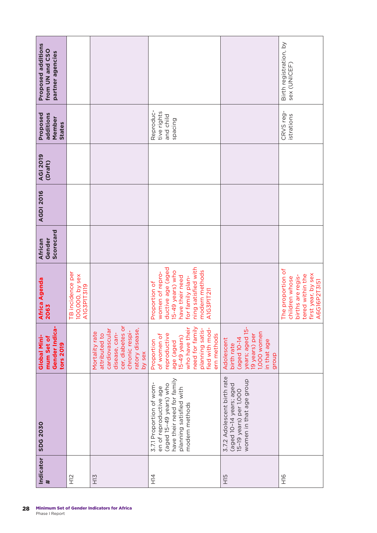| Proposed additions<br>from UN and CSO<br>partner agencies |                                                    |                                                                                                                                       |                                                                                                                                                                         |                                                                                                                    | Birth registration, by<br>sex (UNICEF)                                                                             |
|-----------------------------------------------------------|----------------------------------------------------|---------------------------------------------------------------------------------------------------------------------------------------|-------------------------------------------------------------------------------------------------------------------------------------------------------------------------|--------------------------------------------------------------------------------------------------------------------|--------------------------------------------------------------------------------------------------------------------|
| Proposed<br>additions<br>Member<br><b>States</b>          |                                                    |                                                                                                                                       | Reproduc-<br>tive rights<br>and child<br>spacing                                                                                                                        |                                                                                                                    | CRVS reg-<br>istrations                                                                                            |
| <b>AGI 2019</b><br>(Draft)                                |                                                    |                                                                                                                                       |                                                                                                                                                                         |                                                                                                                    |                                                                                                                    |
| <b>AGDI 2016</b>                                          |                                                    |                                                                                                                                       |                                                                                                                                                                         |                                                                                                                    |                                                                                                                    |
| Scorecard<br>Gender<br>African                            |                                                    |                                                                                                                                       |                                                                                                                                                                         |                                                                                                                    |                                                                                                                    |
| Africa Agenda<br>2063                                     | TB incidence per<br>100,000, by sex<br>A1G3P1T3I19 |                                                                                                                                       | ning satisfied with<br>ductive age (aged<br>modern methods<br>15-49 years) who<br>women of repro-<br>have their need<br>for family plan-<br>Proportion of<br>A1G3P1T2I1 |                                                                                                                    | The proportion of<br>first year, by sex<br>tered within the<br>births are regis-<br>children whose<br>A6G16P2T3I51 |
| Gender Indica-<br>Global Mini-<br>mum Set of<br>tors 2019 |                                                    | cer, diabetes or<br>cardiovascular<br>ratory disease,<br>chronic respi-<br>Mortality rate<br>attributed to<br>disease, can-<br>by sex | need for family<br>who have their<br>planning satis-<br>fied with mod-<br>ern methods<br>of women of<br>reproductive<br>$15-49$ years)<br>Proportion<br>age (aged       | years; aged 15-<br>1,000 women<br>19 years) per<br>(aged 10-14<br>Adolescent<br>in that age<br>birth rate<br>group |                                                                                                                    |
| <b>SDG 2030</b>                                           |                                                    |                                                                                                                                       | have their need for family<br>3.7.1 Proportion of wom-<br>(aged 15-49 years) who<br>en of reproductive age<br>planning satisfied with<br>modern methods                 | 3.7.2 Adolescent birth rate<br>women in that age group<br>(aged 10-14 years; aged<br>15-19 years) per 1,000        |                                                                                                                    |
| Indicator<br>$\#$                                         | $\frac{2}{11}$                                     | H13                                                                                                                                   | 14<br>工                                                                                                                                                                 | H <sub>15</sub>                                                                                                    | 9IH                                                                                                                |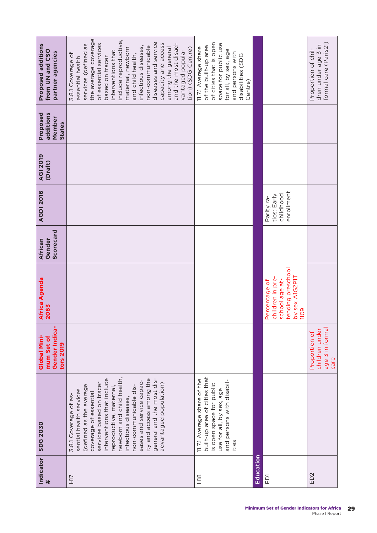| Africa Agenda<br>2063<br>Gender Indica-<br>Global Mini-<br>mum Set of<br>tors 2019                 |
|----------------------------------------------------------------------------------------------------|
|                                                                                                    |
|                                                                                                    |
|                                                                                                    |
| tending preschool<br>children in pre-<br>by sex A1G2P1T<br>1109<br>school age at-<br>Percentage of |
| age 3 in forma<br>children under<br>Proportion of<br>care                                          |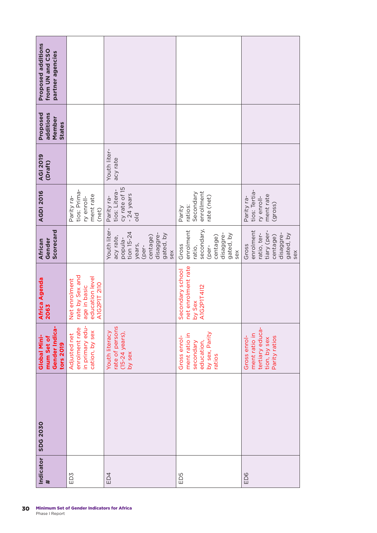| Indicator<br>$\ddot{\phantom{1}}$ | <b>SDG 2030</b> | Gender Indica-<br>Global Mini-<br>mum Set of<br>tors 2019                           | <b>Africa Agenda</b><br>2063                                                        | Scorecard<br>Gender<br>African                                                                                       | <b>AGDI 2016</b>                                                            | <b>AGI 2019</b><br>(Draft) | Proposed<br>additions<br>Member<br><b>States</b> | Proposed additions<br>from UN and CSO<br>partner agencies |
|-----------------------------------|-----------------|-------------------------------------------------------------------------------------|-------------------------------------------------------------------------------------|----------------------------------------------------------------------------------------------------------------------|-----------------------------------------------------------------------------|----------------------------|--------------------------------------------------|-----------------------------------------------------------|
| ED3                               |                 | in primary edu-<br>enrolment rate<br>cation, by sex<br>Adjusted net                 | rate by Sex and<br>education level<br>Net enrolment<br>A1G2P1T 2110<br>age in basic |                                                                                                                      | tios: Prima-<br>ment rate<br>Parity ra-<br>ry enroll-<br>(net)              |                            |                                                  |                                                           |
| ED4                               |                 | rate of persons<br>(15-24 years),<br>Youth literacy<br>by sex                       |                                                                                     | Youth liter-<br>tion $15-24$<br>disaggre-<br>gated, by<br>centage)<br>acy rate,<br>popula-<br>years,<br>(per-<br>sex | cy rate of 15<br>tios: Litera-<br>- 24 years<br>Parity ra-<br>$\frac{d}{d}$ | Youth liter-<br>acy rate   |                                                  |                                                           |
| ED5                               |                 | by sex, Parity<br>ment ratio in<br>Gross enrol<br>education,<br>secondary<br>ratios | net enrolment rate<br>Secondary school<br><b>A1G2P1T4I12</b><br>by Sex              | secondary,<br>enrolment<br>disaggre-<br>gated, by<br>centage)<br>Gross<br>(per-<br>ratio,<br>sex                     | enrollment<br>Secondary<br>rate (net)<br>ratios:<br>Parity                  |                            |                                                  |                                                           |
| ED6                               |                 | tertiary educa-<br>ment ratio in<br>Gross enrol-<br>Parity ratios<br>tion, by sex   |                                                                                     | enrolment<br>tiary (per-<br>disaggre-<br>ratio, ter-<br>gated, by<br>centage)<br>Gross<br>sex                        | tios: Tertia-<br>ment rate<br>(gross)<br>ry enroll-<br>Parity ra-           |                            |                                                  |                                                           |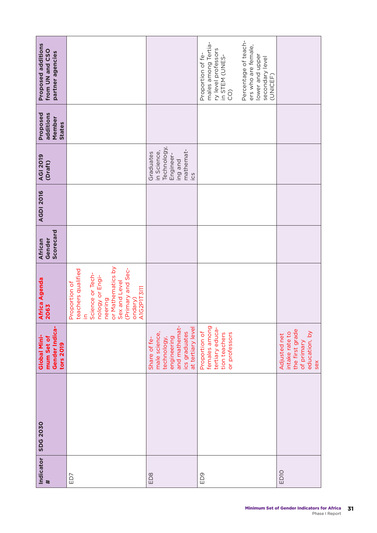| Indicator<br>#   | <b>SDG 2030</b> | Gender Indica-<br>Global Mini-<br>mum Set of<br>tors 2019                                                          | Africa Agenda<br>2063                                                                                                                                                                  | Scorecard<br>Gender<br>African | <b>AGDI 2016</b> | <b>AGI 2019</b><br>(Draft)                                                                       | Proposed<br>additions<br>Member<br>States | Proposed additions<br>from UN and CSO<br>partner agencies                                                                                                                                           |
|------------------|-----------------|--------------------------------------------------------------------------------------------------------------------|----------------------------------------------------------------------------------------------------------------------------------------------------------------------------------------|--------------------------------|------------------|--------------------------------------------------------------------------------------------------|-------------------------------------------|-----------------------------------------------------------------------------------------------------------------------------------------------------------------------------------------------------|
| ED7              |                 |                                                                                                                    | or Mathematics by<br>(Primary and Sec-<br>teachers qualified<br>Science or Tech-<br>nology or Engi-<br>Sex and Level<br>Proportion of<br>A1G2P1T3I11<br>ondary)<br>neering<br>$\equiv$ |                                |                  |                                                                                                  |                                           |                                                                                                                                                                                                     |
| ED <sub>8</sub>  |                 | and mathemat-<br>at tertiary level<br>ics graduates<br>male science,<br>engineering<br>Share of fe-<br>technology, |                                                                                                                                                                                        |                                |                  | Technology,<br>mathemat-<br>in Science,<br>Graduates<br>Engineer-<br>ing and<br>$\overline{c}$ s |                                           |                                                                                                                                                                                                     |
| ED9              |                 | females among<br>tertiary educa-<br>Proportion of<br>tion teachers<br>or professors                                |                                                                                                                                                                                        |                                |                  |                                                                                                  |                                           | Percentage of teach-<br>males among Tertia-<br>ers who are female,<br>ry level professors<br>Proportion of fe-<br>lower and upper<br>in STEM (UNES-<br>secondary level<br>(UNICEF)<br>$\widehat{C}$ |
| ED <sub>10</sub> |                 | the first grade<br>education, by<br>intake rate to<br>Adjusted net<br>of primary<br>sex                            |                                                                                                                                                                                        |                                |                  |                                                                                                  |                                           |                                                                                                                                                                                                     |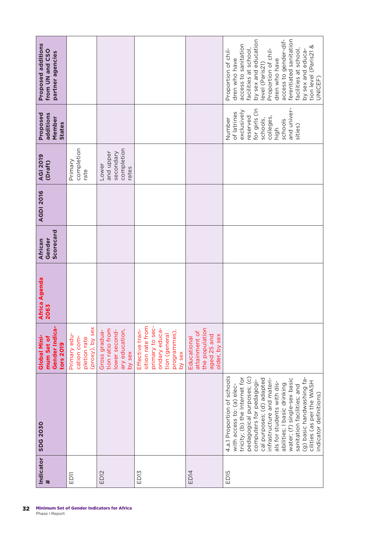| Indicator<br>$\ddot{\phantom{1}}$ | <b>SDG 2030</b>                                                                                                                                                                                                                                                                                                                                                                                                           | Gender Indica-<br>Global Mini-<br>mum Set of<br>tors 2019                                                          | Africa Agenda<br>2063 | Scorecard<br>Gender<br>African | <b>AGDI 2016</b> | <b>AGI 2019</b><br>(Draft)                             | Proposed<br>additions<br>Member<br>States                                                                                               | Proposed additions<br>from UN and CSO<br>partner agencies                                                                                                                                                                                                                                                     |
|-----------------------------------|---------------------------------------------------------------------------------------------------------------------------------------------------------------------------------------------------------------------------------------------------------------------------------------------------------------------------------------------------------------------------------------------------------------------------|--------------------------------------------------------------------------------------------------------------------|-----------------------|--------------------------------|------------------|--------------------------------------------------------|-----------------------------------------------------------------------------------------------------------------------------------------|---------------------------------------------------------------------------------------------------------------------------------------------------------------------------------------------------------------------------------------------------------------------------------------------------------------|
| ED <sub>11</sub>                  |                                                                                                                                                                                                                                                                                                                                                                                                                           | (proxy), by sex<br>Primary edu-<br>cation com-<br>pletion rate                                                     |                       |                                |                  | completion<br>Primary<br>rate                          |                                                                                                                                         |                                                                                                                                                                                                                                                                                                               |
| ED <sub>12</sub>                  |                                                                                                                                                                                                                                                                                                                                                                                                                           | tion ratio from<br>lower second-<br>ary education,<br>Gross gradua-<br>by sex                                      |                       |                                |                  | completion<br>secondary<br>and upper<br>Lower<br>rates |                                                                                                                                         |                                                                                                                                                                                                                                                                                                               |
| ED <sub>13</sub>                  |                                                                                                                                                                                                                                                                                                                                                                                                                           | sition rate from<br>primary to sec-<br>ondary educa-<br>Effective tran-<br>programmes),<br>tion (general<br>by sex |                       |                                |                  |                                                        |                                                                                                                                         |                                                                                                                                                                                                                                                                                                               |
| ED <sub>14</sub>                  |                                                                                                                                                                                                                                                                                                                                                                                                                           | the population<br>attainment of<br>aged 25 and<br>older, by sex<br>Educational                                     |                       |                                |                  |                                                        |                                                                                                                                         |                                                                                                                                                                                                                                                                                                               |
| ED <sub>15</sub>                  | 4.a.1 Proportion of schools<br>pedagogical purposes; (c)<br>(g) basic handwashing fa-<br>tricity; (b) the Internet for<br>water; (f) single-sex basic<br>cal purposes; (d) adapted<br>infrastructure and materi-<br>computers for pedagogi-<br>cilities (as per the WASH<br>als for students with dis-<br>abilities; I basic drinking<br>with access to: (a) elec-<br>sanitation facilities; and<br>ndicator definitions) |                                                                                                                    |                       |                                |                  |                                                        | and univer-<br>for girls (In<br>exclusively<br>of latrines<br>reserved<br>colleges,<br>schools,<br>Number<br>schools<br>sities)<br>high | ferentiated sanitation<br>by sex and education<br>access to gender-dif-<br>access to sanitation<br>tion level (Paris21 &<br>facilities at school,<br>Proportion of chil-<br>Proportion of chil-<br>facilities at school,<br>by sex and educa-<br>dren who have<br>dren who have<br>level (Paris21)<br>UNICEF) |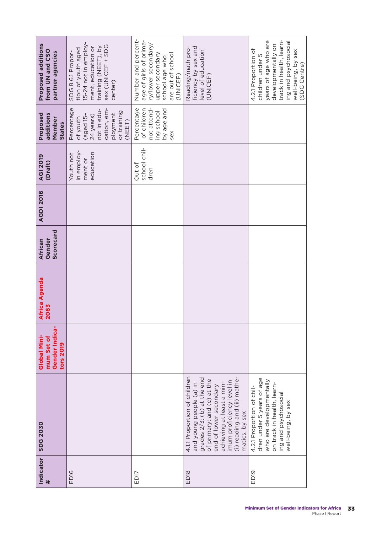| Proposed additions<br>from UN and CSO<br>partner agencies | 15-24 not in employ-<br>sex (UNICEF + SDG<br>training (NEET), by<br>ment, education or<br>tion of youth aged<br>SDG 8.6.1 Propor-<br>center) | Number and percent-<br>age of girls of prima-<br>ry/lower secondary,<br>upper secondary<br>are out of school<br>school age who<br>(UNICEF) | ficiency by sex and<br>Reading/math pro-<br>level of education<br>(UNICEF)                                                                                                                                                                               | track in health, learn-<br>years of age who are<br>ing and psychosocial<br>developmentally on<br>4.2.1 Proportion of<br>well-being, by sex<br>children under 5<br>(SDG Centre) |
|-----------------------------------------------------------|----------------------------------------------------------------------------------------------------------------------------------------------|--------------------------------------------------------------------------------------------------------------------------------------------|----------------------------------------------------------------------------------------------------------------------------------------------------------------------------------------------------------------------------------------------------------|--------------------------------------------------------------------------------------------------------------------------------------------------------------------------------|
| Proposed<br>additions<br>Member<br><b>States</b>          | Percentage<br>cation, em-<br>not in edu-<br>or training<br>ployment<br>24 years)<br>(aged 15<br>of youth<br>(NEET)                           | Percentage<br>not attend-<br>of children<br>by age and<br>ing school<br>sex                                                                |                                                                                                                                                                                                                                                          |                                                                                                                                                                                |
| <b>AGI 2019</b><br>(Draft)                                | in employ-<br>education<br>Youth not<br>ment or                                                                                              | school chil-<br>Out of<br>dren                                                                                                             |                                                                                                                                                                                                                                                          |                                                                                                                                                                                |
| <b>AGDI 2016</b>                                          |                                                                                                                                              |                                                                                                                                            |                                                                                                                                                                                                                                                          |                                                                                                                                                                                |
| Scorecard<br>Gender<br>African                            |                                                                                                                                              |                                                                                                                                            |                                                                                                                                                                                                                                                          |                                                                                                                                                                                |
| Africa Agenda<br>2063                                     |                                                                                                                                              |                                                                                                                                            |                                                                                                                                                                                                                                                          |                                                                                                                                                                                |
| Gender Indica<br>Global Mini-<br>mum Set of<br>tors 2019  |                                                                                                                                              |                                                                                                                                            |                                                                                                                                                                                                                                                          |                                                                                                                                                                                |
| <b>SDG 2030</b>                                           |                                                                                                                                              |                                                                                                                                            | 4.1.1 Proportion of children<br>grades 2/3; (b) at the end<br>(i) reading and (ii) mathe-<br>of primary; and (c) at the<br>imum proficiency level in<br>achieving at least a min-<br>and young people (a) in<br>end of lower secondary<br>matics, by sex | dren under 5 years of age<br>who are developmentally<br>on track in health, learn-<br>4.2.1 Proportion of chil-<br>ing and psychosocial<br>well-being, by sex                  |
| Indicator<br>$\pmb{\ast}$                                 | ED <sub>16</sub>                                                                                                                             | ED17                                                                                                                                       | ED <sub>18</sub>                                                                                                                                                                                                                                         | ED <sub>19</sub>                                                                                                                                                               |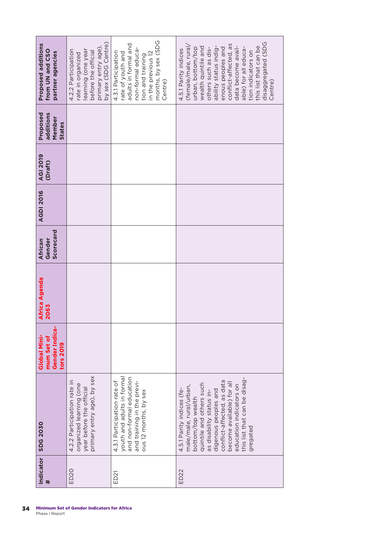| Proposed additions<br>from UN and CSO<br>partner agencies | by sex (SDG Centre)<br>primary entry age),<br>4.2.2 Participation<br>earning (one year<br>before the official<br>rate in organized | months, by sex (SDG<br>adults in formal and<br>non-formal educa-<br>4.3.1 Participation<br>rate of youth and<br>in the previous 12<br>tion and training | disaggregated (SDG<br>conflict-affected, as<br>this list that can be<br>ability status indig-<br>(female/male, rural<br>data become avail-<br>wealth quintile and<br>others such as dis-<br>able) for all educa-<br>urban, bottom/top<br>enous peoples and<br>4.5.1 Parity indices<br>tion indicators on |
|-----------------------------------------------------------|------------------------------------------------------------------------------------------------------------------------------------|---------------------------------------------------------------------------------------------------------------------------------------------------------|----------------------------------------------------------------------------------------------------------------------------------------------------------------------------------------------------------------------------------------------------------------------------------------------------------|
|                                                           |                                                                                                                                    | Centre)                                                                                                                                                 | Centre)                                                                                                                                                                                                                                                                                                  |
| Proposed<br>additions<br>Member<br>States                 |                                                                                                                                    |                                                                                                                                                         |                                                                                                                                                                                                                                                                                                          |
| <b>AGI 2019</b><br>(Draft)                                |                                                                                                                                    |                                                                                                                                                         |                                                                                                                                                                                                                                                                                                          |
| <b>AGDI 2016</b>                                          |                                                                                                                                    |                                                                                                                                                         |                                                                                                                                                                                                                                                                                                          |
| Scorecard<br>African<br>Gender                            |                                                                                                                                    |                                                                                                                                                         |                                                                                                                                                                                                                                                                                                          |
| Africa Agenda<br>2063                                     |                                                                                                                                    |                                                                                                                                                         |                                                                                                                                                                                                                                                                                                          |
| Gender Indica-<br>Global Mini-<br>mum Set of<br>tors 2019 |                                                                                                                                    |                                                                                                                                                         |                                                                                                                                                                                                                                                                                                          |
| <b>SDG 2030</b>                                           | primary entry age), by sex<br>4.2.2 Participation rate in<br>organized learning (one<br>year before the official                   | youth and adults in formal<br>and non-formal education<br>4.3.1 Participation rate of<br>and training in the previ-<br>ous 12 months, by sex            | this list that can be disag-<br>conflict-affected, as data<br>become available) for all<br>quintile and others such<br>education indicators on<br>male/male, rural/urban,<br>4.5.1 Parity indices (fe-<br>digenous peoples and<br>as disability status in-<br>bottom/top wealth<br>gregated              |
| Indicator                                                 | ED <sub>20</sub>                                                                                                                   | ED <sub>21</sub>                                                                                                                                        | ED <sub>22</sub>                                                                                                                                                                                                                                                                                         |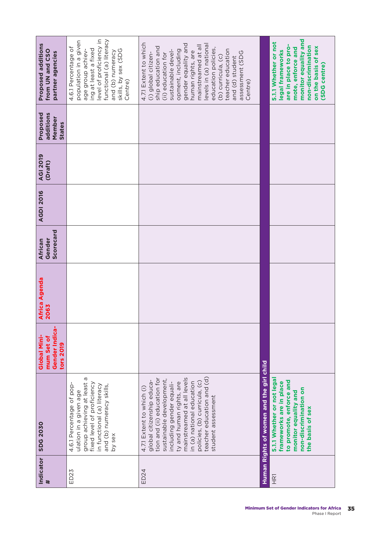| Proposed additions<br>from UN and CSO<br>partner agencies | level of proficiency in<br>functional (a) literacy<br>population in a given<br>4.6.1 Percentage of<br>ing at least a fixed<br>age group achiev-<br>skills, by sex (SDG<br>and (b) numeracy<br>Centre) | 4.7.1 Extent to which<br>gender equality and<br>levels in (a) national<br>mainstreamed at all<br>ship education and<br>education policies,<br>teacher education<br>opment, including<br>sustainable devel-<br>human rights, are<br>assessment (SDG<br>(i) global citizen-<br>(ii) education for<br>(b) curricula, (c)<br>and (d) student<br>Centre) |                                          | monitor equality and<br>5.1.1 Whether or not<br>are in place to pro-<br>non-discrimination<br>on the basis of sex<br>mote, enforce and<br>legal frameworks<br>(SDG centre) |
|-----------------------------------------------------------|-------------------------------------------------------------------------------------------------------------------------------------------------------------------------------------------------------|-----------------------------------------------------------------------------------------------------------------------------------------------------------------------------------------------------------------------------------------------------------------------------------------------------------------------------------------------------|------------------------------------------|----------------------------------------------------------------------------------------------------------------------------------------------------------------------------|
| Proposed<br>additions<br>Member<br>States                 |                                                                                                                                                                                                       |                                                                                                                                                                                                                                                                                                                                                     |                                          |                                                                                                                                                                            |
| <b>AGI 2019</b><br>(Draft)                                |                                                                                                                                                                                                       |                                                                                                                                                                                                                                                                                                                                                     |                                          |                                                                                                                                                                            |
| <b>AGDI 2016</b>                                          |                                                                                                                                                                                                       |                                                                                                                                                                                                                                                                                                                                                     |                                          |                                                                                                                                                                            |
| Scorecard<br>Gender<br>African                            |                                                                                                                                                                                                       |                                                                                                                                                                                                                                                                                                                                                     |                                          |                                                                                                                                                                            |
| Africa Agenda<br>2063                                     |                                                                                                                                                                                                       |                                                                                                                                                                                                                                                                                                                                                     |                                          |                                                                                                                                                                            |
| Gender Indica-<br>Global Mini-<br>mum Set of<br>tors 2019 |                                                                                                                                                                                                       |                                                                                                                                                                                                                                                                                                                                                     |                                          |                                                                                                                                                                            |
| <b>SDG 2030</b>                                           | group achieving at least a<br>fixed level of proficiency<br>4.6.1 Percentage of pop-<br>in functional (a) literacy<br>and (b) numeracy skills,<br>ulation in a given age<br>by sex                    | teacher education and (d)<br>mainstreamed at all levels<br>tion and (ii) education for<br>sustainable development,<br>global citizenship educa-<br>policies, (b) curricula, (c)<br>in (a) national education<br>including gender equali-<br>ty and human rights, are<br>4.7.1 Extent to which (i)<br>student assessment                             | Human Rights of women and the girl child | 5.1.1 Whether or not lega<br>to promote, enforce and<br>frameworks are in place<br>non-discrimination on<br>monitor equality and<br>the basis of sex                       |
| Indicator<br>$\ddot{}$                                    | ED <sub>23</sub>                                                                                                                                                                                      | ED24                                                                                                                                                                                                                                                                                                                                                |                                          | $\frac{1}{2}$                                                                                                                                                              |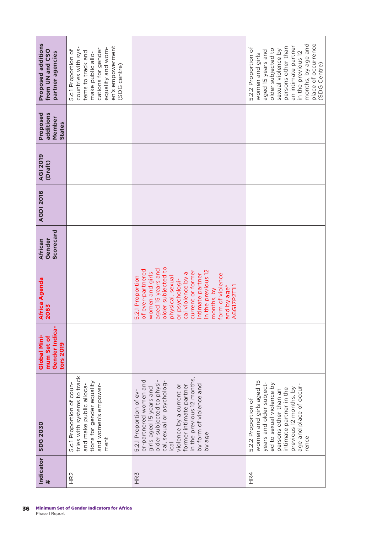| Proposed additions<br>from UN and CSO<br>partner agencies | en's empowerment<br>equality and wom-<br>countries with sys-<br>cations for gender<br>5.c.1 Proportion of<br>tems to track and<br>make public allo-<br>(SDG centre) |                                                                                                                                                                                                                                                                                               | place of occurrence<br>months, by age and<br>an intimate partner<br>persons other than<br>5.2.2 Proportion of<br>older subjected to<br>sexual violence by<br>aged 15 years and<br>in the previous 12<br>women and girls<br>(SDG Centre) |
|-----------------------------------------------------------|---------------------------------------------------------------------------------------------------------------------------------------------------------------------|-----------------------------------------------------------------------------------------------------------------------------------------------------------------------------------------------------------------------------------------------------------------------------------------------|-----------------------------------------------------------------------------------------------------------------------------------------------------------------------------------------------------------------------------------------|
|                                                           |                                                                                                                                                                     |                                                                                                                                                                                                                                                                                               |                                                                                                                                                                                                                                         |
| Proposed<br>additions<br>Member<br><b>States</b>          |                                                                                                                                                                     |                                                                                                                                                                                                                                                                                               |                                                                                                                                                                                                                                         |
| <b>AGI 2019</b><br>(Draft)                                |                                                                                                                                                                     |                                                                                                                                                                                                                                                                                               |                                                                                                                                                                                                                                         |
| <b>AGDI 2016</b>                                          |                                                                                                                                                                     |                                                                                                                                                                                                                                                                                               |                                                                                                                                                                                                                                         |
| Scorecard<br>Gender<br>African                            |                                                                                                                                                                     |                                                                                                                                                                                                                                                                                               |                                                                                                                                                                                                                                         |
| Africa Agenda<br>2063                                     |                                                                                                                                                                     | older subjected to<br>aged 15 years and<br>of ever-partnered<br>in the previous 12<br>current or former<br>women and girls<br>cal violence by a<br>intimate partner<br>form of violence<br>5.2.1 Proportion<br>physical, sexual<br>or psychologi-<br>A6G17P2T111<br>and by age*<br>months, by |                                                                                                                                                                                                                                         |
| Gender Indica-<br>Global Mini-<br>mum Set of<br>tors 2019 |                                                                                                                                                                     |                                                                                                                                                                                                                                                                                               |                                                                                                                                                                                                                                         |
| <b>SDG 2030</b>                                           | tries with systems to track<br>tions for gender equality<br>5.c.1 Proportion of coun-<br>and women's empower-<br>and make public alloca-<br>ment                    | in the previous 12 months,<br>older subjected to physi-<br>er-partnered women and<br>cal, sexual or psycholog-<br>by form of violence and<br>violence by a current or<br>former intimate partner<br>girls aged 15 years and<br>5.2.1 Proportion of ev-<br>by age<br>$i$ cal                   | women and girls aged 15<br>years and older subject-<br>ed to sexual violence by<br>age and place of occur-<br>previous 12 months, by<br>intimate partner in the<br>persons other than an<br>5.2.2 Proportion of<br>rence                |
| Indicator<br>#                                            | HR <sub>2</sub>                                                                                                                                                     | HR <sub>3</sub>                                                                                                                                                                                                                                                                               | HR4                                                                                                                                                                                                                                     |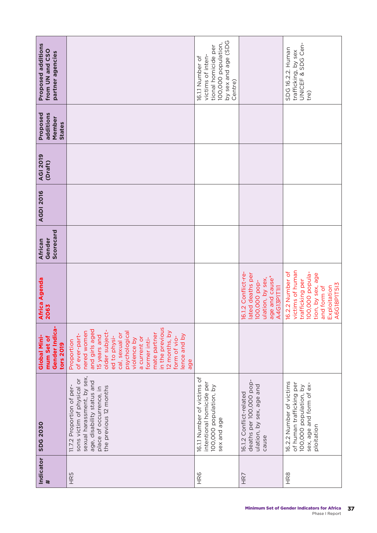| Indicator<br>#  | <b>SDG 2030</b>                                                                                                                                                          | Gender Indica-<br>Global Mini-<br>mum Set of<br>tors 2019                                                                                                                                                                                                                                   | Africa Agenda<br>2063                                                                                                                         | Scorecard<br>Gender<br>African | <b>AGDI 2016</b> | <b>AGI 2019</b><br>(Draft) | additions<br>Proposed<br>Member<br><b>States</b> | <b>Proposed additions</b><br>from UN and CSO<br>partner agencies                                                      |
|-----------------|--------------------------------------------------------------------------------------------------------------------------------------------------------------------------|---------------------------------------------------------------------------------------------------------------------------------------------------------------------------------------------------------------------------------------------------------------------------------------------|-----------------------------------------------------------------------------------------------------------------------------------------------|--------------------------------|------------------|----------------------------|--------------------------------------------------|-----------------------------------------------------------------------------------------------------------------------|
| HR5             | sexual harassment, by sex,<br>sons victim of physical or<br>age, disability status and<br>11.7.2 Proportion of per-<br>the previous 12 months<br>place of occurrence, in | in the previous<br>and girls aged<br>older subject-<br>nered women<br>12 months, by<br>psychological<br>mate partner<br>cal, sexual or<br>of ever-part-<br>lence and by<br>15 years and<br>ed to physi-<br>form of vio-<br>a current or<br>violence by<br>former inti-<br>Proportion<br>age |                                                                                                                                               |                                |                  |                            |                                                  |                                                                                                                       |
| HR6             | 16.1.1 Number of victims of<br>intentional homicide per<br>100,000 population, by<br>sex and age                                                                         |                                                                                                                                                                                                                                                                                             |                                                                                                                                               |                                |                  |                            |                                                  | by sex and age (SDG<br>100,000 population,<br>tional homicide per<br>victims of inten-<br>16.1.1 Number of<br>Centre) |
| HR7             | deaths per 100,000 pop-<br>ulation, by sex, age and<br>16.1.2 Conflict-related<br>cause                                                                                  |                                                                                                                                                                                                                                                                                             | 16.1.2 Conflict-re-<br>lated deaths per<br>age and cause*<br>ulation, by sex,<br>100,000 pop-<br>A4G13P1T1I1                                  |                                |                  |                            |                                                  |                                                                                                                       |
| HR <sub>8</sub> | 16.2.2 Number of victims<br>of human trafficking per<br>sex, age and form of ex-<br>100,000 population, by<br>ploitation                                                 |                                                                                                                                                                                                                                                                                             | victims of human<br>16.2.2 Number of<br>100,000 popula-<br>tion, by sex, age<br>trafficking per<br>A6G18P1T513<br>and form of<br>Exploitation |                                |                  |                            |                                                  | UNICEF & SDG Cen-<br>SDG 16.2.2. Human<br>trafficking, by sex<br>tre)                                                 |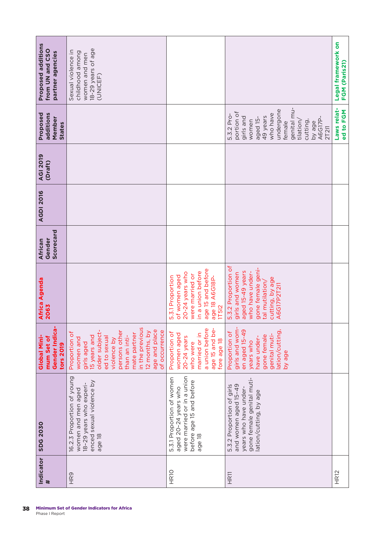| Indicator<br>$\#$ | <b>SDG 2030</b>                                                                                                                   | Gender Indica-<br>Global Mini-<br>mum Set of<br>tors 2019                                                                                                                                                                         | <b>Africa Agenda</b><br>2063                                                                                                                                   | Scorecard<br>Gender<br>African | <b>AGDI 2016</b> | <b>AGI 2019</b><br>(Draft) | additions<br>Proposed<br>Member<br>States                                                                                                                                       | <b>Proposed additions</b><br>from UN and CSO<br>partner agencies                         |
|-------------------|-----------------------------------------------------------------------------------------------------------------------------------|-----------------------------------------------------------------------------------------------------------------------------------------------------------------------------------------------------------------------------------|----------------------------------------------------------------------------------------------------------------------------------------------------------------|--------------------------------|------------------|----------------------------|---------------------------------------------------------------------------------------------------------------------------------------------------------------------------------|------------------------------------------------------------------------------------------|
| HR9               | 16.2.3 Proportion of young<br>enced sexual violence by<br>18-29 years who experi-<br>women and men aged<br>age 18                 | in the previous<br>age and place<br>of occurrence<br>persons other<br>older subject-<br>12 months, by<br>Proportion of<br>mate partner<br>15 years and<br>than an inti-<br>ed to sexual<br>women and<br>violence by<br>girls aged |                                                                                                                                                                |                                |                  |                            |                                                                                                                                                                                 | 18-29 years of age<br>Sexual violence in<br>childhood among<br>women and men<br>(UNICEF) |
| HR <sub>10</sub>  | were married or in a union<br>5.3.1 Proportion of women<br>before age 15 and before<br>aged 20-24 years who<br>age 18             | a union before<br>age 15 and be-<br>Proportion of<br>married or in<br>women aged<br>$20-24$ years<br>fore age 18<br>who were                                                                                                      | age 15 and before<br>in a union before<br>20-24 years who<br>were married or<br>of women aged<br>5.3.1 Proportion<br>age 18 A6G18P-<br><b>1T5I2</b>            |                                |                  |                            |                                                                                                                                                                                 |                                                                                          |
| HR <sub>11</sub>  | gone female genital muti-<br>and women aged 15-49<br>5.3.2 Proportion of girls<br>years who have under-<br>lation/cutting, by age | girls and wom-<br>en aged 15-49<br>lation/cutting,<br>Proportion of<br>genital muti-<br>gone female<br>have under-<br>years who<br>by age                                                                                         | 5.3.2 Proportion of<br>gone female geni-<br>aged 15-49 years<br>girls and women<br>who have under-<br>cutting, by age<br>tal mutilation/<br><b>A6G17P2T2I1</b> |                                |                  |                            | genital mu-<br>undergone<br>portion of<br>who have<br>5.3.2 Pro-<br>girls and<br>49 years<br>aged 15-<br>A6G17P-<br>women<br>tilation/<br>cutting,<br>by age<br>female<br>2T2I1 |                                                                                          |
| HR <sub>12</sub>  |                                                                                                                                   |                                                                                                                                                                                                                                   |                                                                                                                                                                |                                |                  |                            | Laws relat-<br>ed to FGM                                                                                                                                                        | Legal framework on<br>FGM (Paris21)                                                      |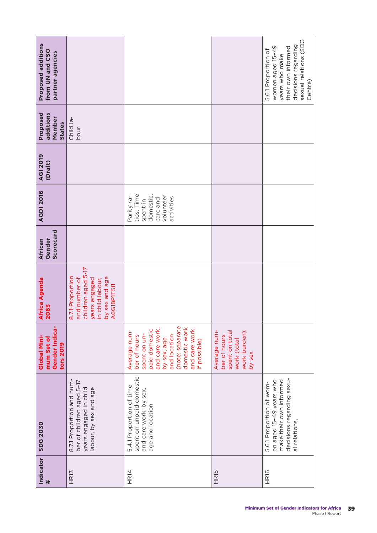| Indicator<br>#   | <b>SDG 2030</b>                                                                                                              | Gender Indica-<br>Global Mini-<br>mum Set of<br>tors 2019                                                                                                                            | <b>Africa Agenda</b><br>2063                                                                                                  | Scorecard<br>Gender<br>African | <b>AGDI 2016</b>                                                                         | <b>AGI 2019</b><br>(Draft) | Proposed<br>additions<br>Member<br>States | <b>Proposed additions</b><br>from UN and CSO<br>partner agencies                                                                           |
|------------------|------------------------------------------------------------------------------------------------------------------------------|--------------------------------------------------------------------------------------------------------------------------------------------------------------------------------------|-------------------------------------------------------------------------------------------------------------------------------|--------------------------------|------------------------------------------------------------------------------------------|----------------------------|-------------------------------------------|--------------------------------------------------------------------------------------------------------------------------------------------|
| HR13             | 8.7.1 Proportion and num-<br>ber of children aged 5-17<br>years engaged in child<br>labour, by sex and age                   |                                                                                                                                                                                      | children aged 5-17<br>8.7.1 Proportion<br>by sex and age<br>and number of<br>in child labour,<br>years engaged<br>A6G18P1T5I1 |                                |                                                                                          |                            | Child la-<br>hour                         |                                                                                                                                            |
| HR14             | spent on unpaid domestic<br>5.4.1 Proportion of time<br>and care work, by sex,<br>age and location                           | (note: separate<br>domestic work<br>and care work,<br>and care work,<br>paid domestic<br>Average num-<br>spent on un-<br>ber of hours<br>and location<br>by sex, age<br>if possible) |                                                                                                                               |                                | tios: Time<br>domestic,<br>volunteer<br>Parity ra-<br>activities<br>care and<br>spent in |                            |                                           |                                                                                                                                            |
| HR <sub>15</sub> |                                                                                                                              | Average num-<br>work burden),<br>spent on total<br>ber of hours<br>work (total<br>by sex                                                                                             |                                                                                                                               |                                |                                                                                          |                            |                                           |                                                                                                                                            |
| HR <sub>16</sub> | decisions regarding sexu-<br>en aged 15-49 years who<br>make their own informed<br>5.6.1 Proportion of wom-<br>al relations, |                                                                                                                                                                                      |                                                                                                                               |                                |                                                                                          |                            |                                           | sexual relations (SDG<br>decisions regarding<br>women aged 15-49<br>their own informed<br>5.6.1 Proportion of<br>years who make<br>Centre) |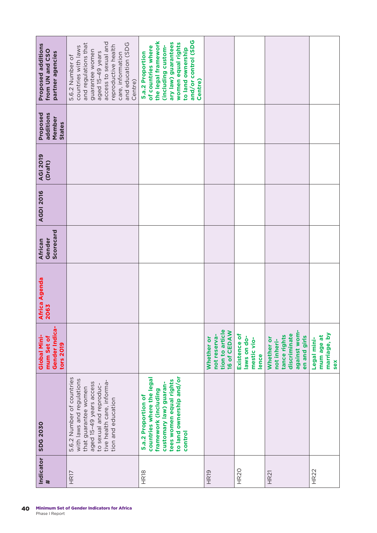| Proposed additions                                        | access to sexual and<br>and education (SDG<br>and regulations that<br>reproductive health<br>countries with laws                                                                         | and/or control (SDG<br>the legal framework<br>ary law) guarantees<br>women equal rights<br>(including custom-<br>of countries where<br>to land ownership             |                                                              |                                                     |                                                                                           |                                                  |
|-----------------------------------------------------------|------------------------------------------------------------------------------------------------------------------------------------------------------------------------------------------|----------------------------------------------------------------------------------------------------------------------------------------------------------------------|--------------------------------------------------------------|-----------------------------------------------------|-------------------------------------------------------------------------------------------|--------------------------------------------------|
| from UN and CSO<br>partner agencies                       | guarantee women<br>aged 15-49 years<br>care, information<br>5.6.2 Number of<br>Centre)                                                                                                   | 5.a.2 Proportion<br>Centre)                                                                                                                                          |                                                              |                                                     |                                                                                           |                                                  |
| additions<br>Proposed<br>Member<br><b>States</b>          |                                                                                                                                                                                          |                                                                                                                                                                      |                                                              |                                                     |                                                                                           |                                                  |
| <b>AGI 2019</b><br>(Draft)                                |                                                                                                                                                                                          |                                                                                                                                                                      |                                                              |                                                     |                                                                                           |                                                  |
| <b>AGDI 2016</b>                                          |                                                                                                                                                                                          |                                                                                                                                                                      |                                                              |                                                     |                                                                                           |                                                  |
| Scorecard<br>Gender<br>African                            |                                                                                                                                                                                          |                                                                                                                                                                      |                                                              |                                                     |                                                                                           |                                                  |
| Africa Agenda<br>2063                                     |                                                                                                                                                                                          |                                                                                                                                                                      |                                                              |                                                     |                                                                                           |                                                  |
| Gender Indica-<br>Global Mini-<br>mum Set of<br>tors 2019 |                                                                                                                                                                                          |                                                                                                                                                                      | tion to article<br>16 of CEDAW<br>not reserva-<br>Whether or | Existence of<br>laws on do-<br>mestic vio-<br>lence | against wom-<br>discriminate<br>tance rights<br>en and girls<br>Whether or<br>not inheri- | marriage, by<br>mum age at<br>Legal mini-<br>sex |
| <b>SDG 2030</b>                                           | 5.6.2 Number of countries<br>with laws and regulations<br>tive health care, informa-<br>aged 15-49 years access<br>to sexual and reproduc-<br>that guarantee women<br>tion and education | to land ownership and/or<br>countries where the legal<br>tees women equal rights<br>customary law) guaran-<br>framework (including<br>5.a.2 Proportion of<br>control |                                                              |                                                     |                                                                                           |                                                  |
| Indicator<br>$\ddot{\phantom{1}}$                         | HR17                                                                                                                                                                                     | HR <sub>18</sub>                                                                                                                                                     | HR <sub>19</sub>                                             | HR <sub>20</sub>                                    | <b>HR21</b>                                                                               | <b>HR22</b>                                      |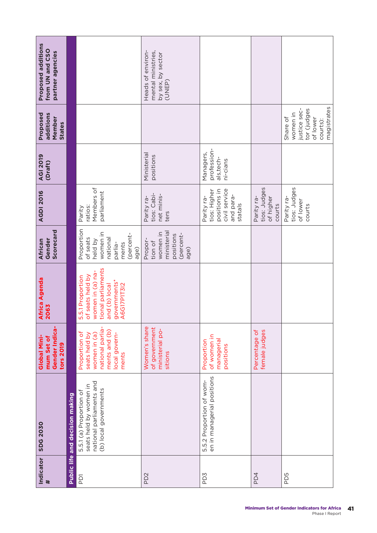| Proposed additions<br>from UN and CSO<br>partner agencies |                                 |                                                                                                                                | Heads of environ-<br>mental ministries,<br>by sex, by sector<br>(UNEP)         |                                                                                     |                                                   |                                                                                            |
|-----------------------------------------------------------|---------------------------------|--------------------------------------------------------------------------------------------------------------------------------|--------------------------------------------------------------------------------|-------------------------------------------------------------------------------------|---------------------------------------------------|--------------------------------------------------------------------------------------------|
| Proposed<br>additions<br>Member<br>States                 |                                 |                                                                                                                                |                                                                                |                                                                                     |                                                   | magistrates<br>tor (judges<br>justice sec-<br>women in<br>Share of<br>of lower<br>courts): |
| <b>AGI 2019</b><br>(Draft)                                |                                 |                                                                                                                                | Ministerial<br>positions                                                       | profession-<br>Managers,<br>als,tech-<br>ni-cians                                   |                                                   |                                                                                            |
| <b>AGDI 2016</b>                                          |                                 | Members of<br>parliament<br>ratios:<br>Parity                                                                                  | tios: Cabi-<br>net minis-<br>Parity ra-<br>ters                                | civil service<br>positions in<br>tios: Higher<br>and para-<br>Parity ra-<br>statals | tios: Judges<br>Parity ra-<br>of higher<br>courts | tios: Judges<br>Parity ra-<br>of lower<br>courts                                           |
| Scorecard<br>Gender<br>African                            |                                 | Proportion<br>women in<br>(percent-<br>of seats<br>national<br>held by<br>ments<br>parlia-<br>age)                             | ministeria<br>women in<br>(percent-<br>positions<br>Propor-<br>tion of<br>age) |                                                                                     |                                                   |                                                                                            |
| Africa Agenda<br>2063                                     |                                 | tional parliaments<br>women in (a) na-<br>of seats held by<br>5.5.1 Proportion<br>governments*<br>and (b) local<br>A6G17P1T3I2 |                                                                                |                                                                                     |                                                   |                                                                                            |
| Gender Indica-<br>Global Mini-<br>mum Set of<br>tors 2019 |                                 | national parlia-<br>ments and (b)<br>Proportion of<br>local govern-<br>women in (a)<br>seats held by<br>ments                  | Women's share<br>of government<br>ministerial po-<br>sitions                   | of women in<br>managerial<br>Proportion<br>positions                                | Percentage of<br>female judges                    |                                                                                            |
| <b>SDG 2030</b>                                           | Public life and decision making | national parliaments and<br>seats held by women in<br>(b) local governments<br>5.5.1 (a) Proportion of                         |                                                                                | en in managerial positions<br>5.5.2 Proportion of wom-                              |                                                   |                                                                                            |
| Indicator<br>$\ddot{\phantom{1}}$                         |                                 | <b>PDT</b>                                                                                                                     | PD <sub>2</sub>                                                                | PD3                                                                                 | PD4                                               | PD5                                                                                        |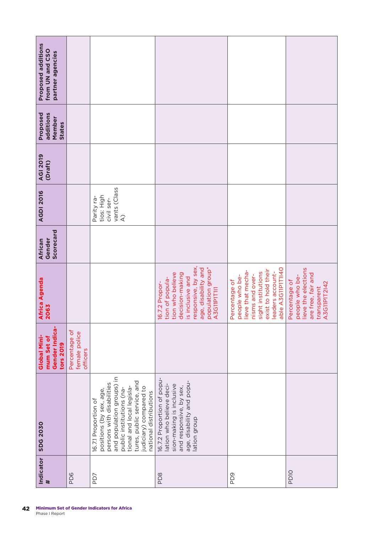| Proposed additions<br>from UN and CSO<br>partner agencies |                                            |                                                                                                                                                                                                                                                      |                                                                                                                                                                                |                                                                                                                                                               |                                                                                                             |
|-----------------------------------------------------------|--------------------------------------------|------------------------------------------------------------------------------------------------------------------------------------------------------------------------------------------------------------------------------------------------------|--------------------------------------------------------------------------------------------------------------------------------------------------------------------------------|---------------------------------------------------------------------------------------------------------------------------------------------------------------|-------------------------------------------------------------------------------------------------------------|
|                                                           |                                            |                                                                                                                                                                                                                                                      |                                                                                                                                                                                |                                                                                                                                                               |                                                                                                             |
| Proposed<br>additions<br>Member<br><b>States</b>          |                                            |                                                                                                                                                                                                                                                      |                                                                                                                                                                                |                                                                                                                                                               |                                                                                                             |
| <b>AGI 2019</b><br>(Draft)                                |                                            |                                                                                                                                                                                                                                                      |                                                                                                                                                                                |                                                                                                                                                               |                                                                                                             |
| <b>AGDI 2016</b>                                          |                                            | vants (Class<br>tios: High<br>Parity ra-<br>civil ser-<br>$\widehat{\mathcal{A}}$                                                                                                                                                                    |                                                                                                                                                                                |                                                                                                                                                               |                                                                                                             |
| Scorecard<br>Gender<br>African                            |                                            |                                                                                                                                                                                                                                                      |                                                                                                                                                                                |                                                                                                                                                               |                                                                                                             |
| Africa Agenda<br>2063                                     |                                            |                                                                                                                                                                                                                                                      | responsive, by sex,<br>population group*<br>age, disability and<br>tion who believe<br>decision-making<br>is inclusive and<br>tion of popula-<br>16.7.2 Propor-<br>A3G11P1T111 | able A3G11P1T1I40<br>exist to hold their<br>lieve that mecha-<br>sight institutions<br>leaders account-<br>nisms and over-<br>people who be-<br>Percentage of | lieve the elections<br>are free, fair and<br>people who be-<br>Percentage of<br>A3G11P1T2142<br>transparent |
| Gender Indica-<br>Global Mini-<br>mum Set of<br>tors 2019 | Percentage of<br>female police<br>officers |                                                                                                                                                                                                                                                      |                                                                                                                                                                                |                                                                                                                                                               |                                                                                                             |
| <b>SDG 2030</b>                                           |                                            | and population groups) in<br>tures, public service, and<br>persons with disabilities<br>judiciary) compared to<br>tional and local legisla-<br>public institutions (na-<br>positions (by sex, age,<br>national distributions<br>16.7.1 Proportion of | 16.7.2 Proportion of popu-<br>age, disability and popu-<br>lation who believe deci-<br>sion-making is inclusive<br>and responsive, by sex,<br>lation group                     |                                                                                                                                                               |                                                                                                             |
| Indicator<br>$\#$                                         | PD6                                        | PD7                                                                                                                                                                                                                                                  | PD <sub>8</sub>                                                                                                                                                                | PD <sub>9</sub>                                                                                                                                               | <b>PD10</b>                                                                                                 |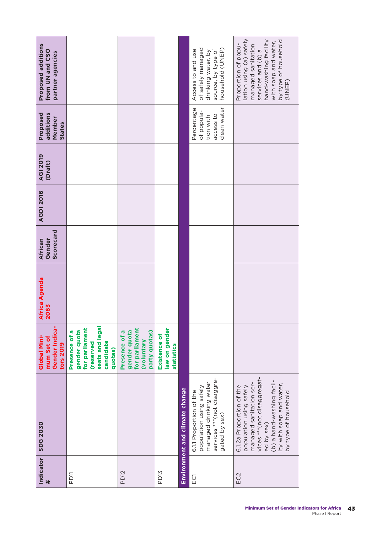| Indicator<br>#   | <b>SDG 2030</b>                                                                                                                                                                                              | Gender Indica-<br>Global Mini-<br>mum Set of<br>tors 2019                                               | <b>Africa Agenda</b><br>2063 | Scorecard<br>Gender<br>African | <b>AGDI 2016</b> | <b>AGI 2019</b><br>(Draft) | Proposed<br>additions<br>Member<br><b>States</b>                  | Proposed additions<br>from UN and CSO<br>partner agencies                                                                                                                     |
|------------------|--------------------------------------------------------------------------------------------------------------------------------------------------------------------------------------------------------------|---------------------------------------------------------------------------------------------------------|------------------------------|--------------------------------|------------------|----------------------------|-------------------------------------------------------------------|-------------------------------------------------------------------------------------------------------------------------------------------------------------------------------|
| PD11             |                                                                                                                                                                                                              | seats and legal<br>for parliament<br>gender quota<br>Presence of a<br>candidate<br>(reserved<br>quotas) |                              |                                |                  |                            |                                                                   |                                                                                                                                                                               |
| PD <sub>12</sub> |                                                                                                                                                                                                              | for parliament<br>gender quota<br>party quotas)<br>Presence of a<br>(voluntary                          |                              |                                |                  |                            |                                                                   |                                                                                                                                                                               |
| PD <sub>13</sub> |                                                                                                                                                                                                              | law on gender<br>Existence of<br>statistics                                                             |                              |                                |                  |                            |                                                                   |                                                                                                                                                                               |
|                  | Environment and climate change                                                                                                                                                                               |                                                                                                         |                              |                                |                  |                            |                                                                   |                                                                                                                                                                               |
| ECT              | services *** (not disaggre-<br>managed drinking water<br>population using safely<br>6.1.1 Proportion of the<br>gated by sex)                                                                                 |                                                                                                         |                              |                                |                  |                            | clean water<br>Percentage<br>of popula-<br>access to<br>tion with | household (UNEP)<br>of safely managed<br>source, by type of<br>Access to and use<br>drinking water, by                                                                        |
| EC <sub>2</sub>  | vices *** (not disaggregat-<br>(b) a hand-washing facil-<br>ity with soap and water,<br>managed sanitation ser-<br>6.1.2a Proportion of the<br>population using safely<br>by type of household<br>ed by sex) |                                                                                                         |                              |                                |                  |                            |                                                                   | lation using (a) safely<br>by type of household<br>hand-washing facility<br>with soap and water,<br>Proportion of popu-<br>managed sanitation<br>services and (b) a<br>(UNEP) |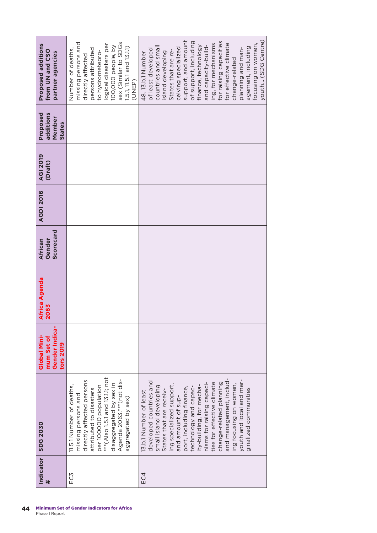|     | Indicator   SDG 2030                                                                                                                                                                                                                                                                                                                                                                                                                       | Gender Indica-<br>Global Mini-<br>mum Set of<br>tors 2019 | <b>Africa Agenda</b><br>2063 | Scorecard<br><b>African</b><br>Gender | <b>AGDI 2016</b> | AGI 2019<br>(Draft) | Proposed<br>additions<br>Member<br><b>States</b> | Proposed additions<br>from UN and CSO<br>partner agencies                                                                                                                                                                                                                                                                                                                                                         |
|-----|--------------------------------------------------------------------------------------------------------------------------------------------------------------------------------------------------------------------------------------------------------------------------------------------------------------------------------------------------------------------------------------------------------------------------------------------|-----------------------------------------------------------|------------------------------|---------------------------------------|------------------|---------------------|--------------------------------------------------|-------------------------------------------------------------------------------------------------------------------------------------------------------------------------------------------------------------------------------------------------------------------------------------------------------------------------------------------------------------------------------------------------------------------|
| EC3 | ***(Also 1.5.1 and 13.1.1; not<br>Agenda 2063.*** (not dis-<br>directly affected persons<br>disaggregated by sex in<br>11.5.1 Number of deaths,<br>per 10000 population<br>attributed to disasters<br>missing persons and<br>aggregated by sex)                                                                                                                                                                                            |                                                           |                              |                                       |                  |                     |                                                  | sex (Similar to SDGs<br>missing persons and<br>logical disasters per<br>100,000 people, by<br>1.5.1, 11.5.1 and 13.1.1)<br>persons attributed<br>Number of deaths,<br>to hydrometeoro-<br>directly affected<br>(UNEP)                                                                                                                                                                                             |
| EC4 | and management, includ-<br>youth and local and mar-<br>developed countries and<br>ties for effective climate<br>change-related planning<br>nisms for raising capaci-<br>ing specialized support,<br>ing focusing on women,<br>ity-building, for mecha-<br>small island developing<br>technology and capac-<br>port, including finance,<br>ginalized communities<br>States that are receiv-<br>13.b.1 Number of least<br>and amount of sup- |                                                           |                              |                                       |                  |                     |                                                  | support, and amount<br>youth (SDG Centre)<br>for raising capacities<br>of support, including<br>ing, for mechanisms<br>for effective climate<br>focusing on women,<br>finance, technology<br>and capacity-build-<br>countries and small<br>agement, including<br>ceiving specialized<br>planning and man-<br>of least developed<br>States that are re-<br>island developing<br>48.13.b.1 Number<br>change-related |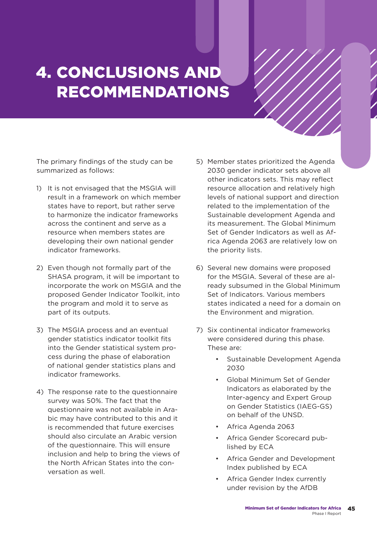# 4. CONCLUSIONS AND RECOMMENDATIONS

The primary findings of the study can be summarized as follows:

- 1) It is not envisaged that the MSGIA will result in a framework on which member states have to report, but rather serve to harmonize the indicator frameworks across the continent and serve as a resource when members states are developing their own national gender indicator frameworks.
- 2) Even though not formally part of the SHASA program, it will be important to incorporate the work on MSGIA and the proposed Gender Indicator Toolkit, into the program and mold it to serve as part of its outputs.
- 3) The MSGIA process and an eventual gender statistics indicator toolkit fits into the Gender statistical system process during the phase of elaboration of national gender statistics plans and indicator frameworks.
- 4) The response rate to the questionnaire survey was 50%. The fact that the questionnaire was not available in Arabic may have contributed to this and it is recommended that future exercises should also circulate an Arabic version of the questionnaire. This will ensure inclusion and help to bring the views of the North African States into the conversation as well.
- 5) Member states prioritized the Agenda 2030 gender indicator sets above all other indicators sets. This may reflect resource allocation and relatively high levels of national support and direction related to the implementation of the Sustainable development Agenda and its measurement. The Global Minimum Set of Gender Indicators as well as Africa Agenda 2063 are relatively low on the priority lists.
- 6) Several new domains were proposed for the MSGIA. Several of these are already subsumed in the Global Minimum Set of Indicators. Various members states indicated a need for a domain on the Environment and migration.
- 7) Six continental indicator frameworks were considered during this phase. These are:
	- Sustainable Development Agenda 2030
	- Global Minimum Set of Gender Indicators as elaborated by the Inter-agency and Expert Group on Gender Statistics (IAEG-GS) on behalf of the UNSD.
	- Africa Agenda 2063
	- Africa Gender Scorecard published by ECA
	- Africa Gender and Development Index published by ECA
	- Africa Gender Index currently under revision by the AfDB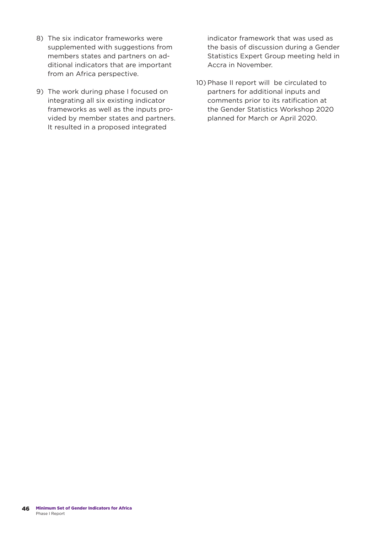- 8) The six indicator frameworks were supplemented with suggestions from members states and partners on additional indicators that are important from an Africa perspective.
- 9) The work during phase I focused on integrating all six existing indicator frameworks as well as the inputs provided by member states and partners. It resulted in a proposed integrated

indicator framework that was used as the basis of discussion during a Gender Statistics Expert Group meeting held in Accra in November.

10) Phase II report will be circulated to partners for additional inputs and comments prior to its ratification at the Gender Statistics Workshop 2020 planned for March or April 2020.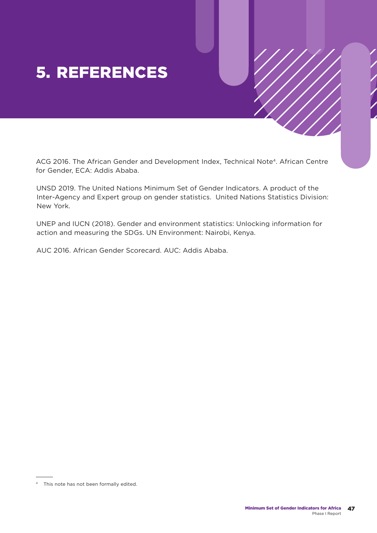## 5. REFERENCES

ACG 2016. The African Gender and Development Index, Technical Note4. African Centre for Gender, ECA: Addis Ababa.

UNSD 2019. The United Nations Minimum Set of Gender Indicators. A product of the Inter-Agency and Expert group on gender statistics. United Nations Statistics Division: New York.

UNEP and IUCN (2018). Gender and environment statistics: Unlocking information for action and measuring the SDGs. UN Environment: Nairobi, Kenya.

AUC 2016. African Gender Scorecard. AUC: Addis Ababa.

<sup>4</sup> This note has not been formally edited.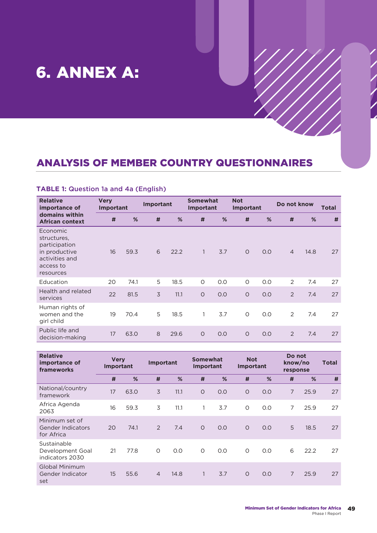## 6. ANNEX A:

## ANALYSIS OF MEMBER COUNTRY QUESTIONNAIRES

#### **TABLE 1:** Question 1a and 4a (English)

| <b>Relative</b><br>importance of                                                                      | <b>Very</b><br><b>Important</b> |      | <b>Important</b> |      | <b>Somewhat</b><br><b>Important</b> |     | <b>Not</b><br>Important |     | Do not know    |      | Total |
|-------------------------------------------------------------------------------------------------------|---------------------------------|------|------------------|------|-------------------------------------|-----|-------------------------|-----|----------------|------|-------|
| domains within<br><b>African context</b>                                                              | #                               | %    | #                | %    | #                                   | %   | #                       | %   | #              | %    | #     |
| Economic<br>structures.<br>participation<br>in productive<br>activities and<br>access to<br>resources | 16                              | 59.3 | 6                | 22.2 | $\mathbf{1}$                        | 3.7 | $\overline{O}$          | O.O | $\overline{4}$ | 14.8 | 27    |
| Education                                                                                             | 20                              | 74.1 | 5                | 18.5 | $\circ$                             | O.O | $\circ$                 | 0.0 | 2              | 7.4  | 27    |
| Health and related<br>services                                                                        | 22                              | 81.5 | 3                | 11.1 | $\circ$                             | O.O | $\circ$                 | O.O | 2              | 7.4  | 27    |
| Human rights of<br>women and the<br>girl child                                                        | 19                              | 70.4 | 5                | 18.5 | $\mathbf{1}$                        | 3.7 | $\circ$                 | O.O | 2              | 7.4  | 27    |
| Public life and<br>decision-making                                                                    | 17                              | 63.0 | 8                | 29.6 | $\circ$                             | O.O | $\overline{O}$          | O.O | 2              | 7.4  | 27    |

| <b>Relative</b><br>importance of<br>frameworks     | <b>Very</b><br><b>Important</b> |      | Important      |      | <b>Somewhat</b><br><b>Important</b> |     | <b>Not</b><br><b>Important</b> |     | Do not<br>know/no<br>response |      | Total |
|----------------------------------------------------|---------------------------------|------|----------------|------|-------------------------------------|-----|--------------------------------|-----|-------------------------------|------|-------|
|                                                    | #                               | %    | #              | %    | #                                   | %   | #                              | %   | #                             | %    | #     |
| National/country<br>framework                      | 17                              | 63.0 | 3              | 11.1 | $\circ$                             | O.O | $\circ$                        | O.O | 7                             | 25.9 | 27    |
| Africa Agenda<br>2063                              | 16                              | 59.3 | 3              | 11.1 | $\mathbf{1}$                        | 3.7 | $\circ$                        | O.O | 7                             | 25.9 | 27    |
| Minimum set of<br>Gender Indicators<br>for Africa  | 20                              | 74.1 | $\mathcal{P}$  | 7.4  | $\Omega$                            | O.O | $\Omega$                       | O.O | 5                             | 18.5 | 27    |
| Sustainable<br>Development Goal<br>indicators 2030 | 21                              | 77.8 | $\Omega$       | 0.0  | $\Omega$                            | O.O | $\Omega$                       | 0.0 | 6                             | 22.2 | 27    |
| Global Minimum<br>Gender Indicator<br>set          | 15                              | 55.6 | $\overline{4}$ | 14.8 |                                     | 3.7 | $\Omega$                       | O.O | $\overline{7}$                | 25.9 | 27    |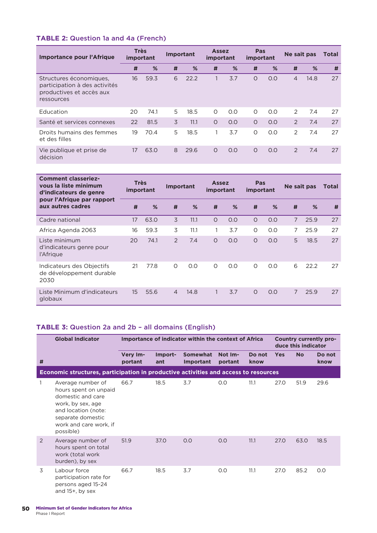## **TABLE 2:** Question 1a and 4a (French)

| Importance pour l'Afrique                                                                          | <b>Très</b><br>important |      | <b>Important</b> |      | <b>Assez</b><br>important |     | Pas<br>important |     | Ne sait pas    |      | Total |
|----------------------------------------------------------------------------------------------------|--------------------------|------|------------------|------|---------------------------|-----|------------------|-----|----------------|------|-------|
|                                                                                                    | #                        | %    | #                | %    | #                         | %   | #                | %   | #              | %    | #     |
| Structures économiques.<br>participation à des activités<br>productives et accès aux<br>ressources | 16                       | 59.3 | 6                | 22.2 | $\mathbf{1}$              | 3.7 | $\Omega$         | 0.0 | $\overline{4}$ | 14.8 | 27    |
| Education                                                                                          | 20                       | 74.1 | 5                | 18.5 | $\Omega$                  | O.O | $\Omega$         | 0.0 | $\mathcal{L}$  | 7.4  | 27    |
| Santé et services connexes                                                                         | 22                       | 81.5 | 3                | 11.1 | $\Omega$                  | 0.0 | $\Omega$         | 0.0 | 2              | 7.4  | 27    |
| Droits humains des femmes<br>et des filles                                                         | 19                       | 70.4 | 5                | 18.5 | 1                         | 3.7 | $\Omega$         | 0.0 | 2              | 7.4  | 27    |
| Vie publique et prise de<br>décision                                                               | 17                       | 63.0 | 8                | 29.6 | $\Omega$                  | O.O | $\Omega$         | 0.0 | 2              | 7.4  | 27    |

| <b>Comment classeriez-</b><br>vous la liste minimum<br>d'indicateurs de genre | <b>Très</b><br>important |      | <b>Important</b> |      | <b>Assez</b><br>important |     | Pas<br>important |     | Ne sait pas    |      | Total |
|-------------------------------------------------------------------------------|--------------------------|------|------------------|------|---------------------------|-----|------------------|-----|----------------|------|-------|
| pour l'Afrique par rapport<br>aux autres cadres                               | #                        | %    | #                | %    | #                         | %   | #                | %   | #              | %    | #     |
| Cadre national                                                                | 17                       | 63.0 | 3                | 11.1 | $\circ$                   | O.O | $\circ$          | O.O | $\overline{7}$ | 25.9 | 27    |
| Africa Agenda 2063                                                            | 16                       | 59.3 | 3                | 11.1 |                           | 3.7 | $\circ$          | O.O | $\overline{7}$ | 25.9 | 27    |
| Liste minimum<br>d'indicateurs genre pour<br>l'Afrique                        | 20                       | 74.1 | 2                | 7.4  | $\circ$                   | O.O | $\circ$          | O.O | 5              | 18.5 | 27    |
| Indicateurs des Objectifs<br>de développement durable<br>2030                 | 21                       | 77.8 | 0                | O.O  | $\Omega$                  | O.O | $\Omega$         | O.O | 6              | 22.2 | 27    |
| Liste Minimum d'indicateurs<br>globaux                                        | 15                       | 55.6 | $\overline{4}$   | 14.8 | $\mathbf{1}$              | 3.7 | $\Omega$         | O.O | $\overline{7}$ | 25.9 | 27    |

## **TABLE 3:** Question 2a and 2b – all domains (English)

|   | <b>Global Indicator</b>                                                                                                                                                 |                     |                | Importance of indicator within the context of Africa |                    |                |            | duce this indicator | Country currently pro- |
|---|-------------------------------------------------------------------------------------------------------------------------------------------------------------------------|---------------------|----------------|------------------------------------------------------|--------------------|----------------|------------|---------------------|------------------------|
| # |                                                                                                                                                                         | Very Im-<br>portant | Import-<br>ant | <b>Somewhat</b><br>Important                         | Not Im-<br>portant | Do not<br>know | <b>Yes</b> | <b>No</b>           | Do not<br>know         |
|   | Economic structures, participation in productive activities and access to resources                                                                                     |                     |                |                                                      |                    |                |            |                     |                        |
|   | Average number of<br>hours spent on unpaid<br>domestic and care<br>work, by sex, age<br>and location (note:<br>separate domestic<br>work and care work, if<br>possible) | 66.7                | 18.5           | 3.7                                                  | O.O                | 11.1           | 27.0       | 51.9                | 29.6                   |
| 2 | Average number of<br>hours spent on total<br>work (total work<br>burden), by sex                                                                                        | 51.9                | 37.0           | O.O                                                  | 0.0                | 11.1           | 27.0       | 63.0                | 18.5                   |
| 3 | Labour force<br>participation rate for<br>persons aged 15-24<br>and $15+$ , by sex                                                                                      | 66.7                | 18.5           | 3.7                                                  | O.O                | 11.1           | 27.0       | 85.2                | O.O                    |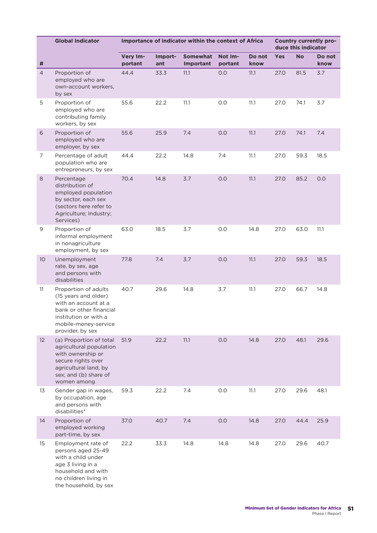|                 | <b>Global Indicator</b>                                                                                                                                              |                     |                | Importance of indicator within the context of Africa |                    |                |      | duce this indicator | Country currently pro- |
|-----------------|----------------------------------------------------------------------------------------------------------------------------------------------------------------------|---------------------|----------------|------------------------------------------------------|--------------------|----------------|------|---------------------|------------------------|
| #               |                                                                                                                                                                      | Very Im-<br>portant | Import-<br>ant | Somewhat<br>Important                                | Not Im-<br>portant | Do not<br>know | Yes  | <b>No</b>           | Do not<br>know         |
| $\overline{4}$  | Proportion of<br>employed who are<br>own-account workers,<br>by sex                                                                                                  | 44.4                | 33.3           | 11.1                                                 | 0.0                | 11.1           | 27.0 | 81.5                | 3.7                    |
| 5               | Proportion of<br>employed who are<br>contributing family<br>workers, by sex                                                                                          | 55.6                | 22.2           | 11.1                                                 | 0.0                | 11.1           | 27.0 | 74.1                | 3.7                    |
| $\sqrt{6}$      | Proportion of<br>employed who are<br>employer, by sex                                                                                                                | 55.6                | 25.9           | 7.4                                                  | 0.0                | 11.1           | 27.0 | 74.1                | 7.4                    |
| 7               | Percentage of adult<br>population who are<br>entrepreneurs, by sex                                                                                                   | 44.4                | 22.2           | 14.8                                                 | 7.4                | 11.1           | 27.0 | 59.3                | 18.5                   |
| $\,8\,$         | Percentage<br>distribution of<br>employed population<br>by sector, each sex<br>(sectors here refer to<br>Agriculture; Industry;<br>Services)                         | 70.4                | 14.8           | 3.7                                                  | 0.0                | 11.1           | 27.0 | 85.2                | O.O                    |
| 9               | Proportion of<br>informal employment<br>in nonagriculture<br>employment, by sex                                                                                      | 63.0                | 18.5           | 3.7                                                  | 0.0                | 14.8           | 27.0 | 63.0                | 11.1                   |
| 10 <sup>°</sup> | Unemployment<br>rate, by sex, age<br>and persons with<br>disabilities                                                                                                | 77.8                | 7.4            | 3.7                                                  | 0.0                | 11.1           | 27.0 | 59.3                | 18.5                   |
| 11              | Proportion of adults<br>(15 years and older)<br>with an account at a<br>bank or other financial<br>institution or with a<br>mobile-money-service<br>provider, by sex | 40.7                | 29.6           | 14.8                                                 | 3.7                | 11.1           | 27.0 | 66.7                | 14.8                   |
| 12              | (a) Proportion of total<br>agricultural population<br>with ownership or<br>secure rights over<br>agricultural land, by<br>sex; and (b) share of<br>women among       | 51.9                | 22.2           | 11.1                                                 | 0.0                | 14.8           | 27.0 | 48.1                | 29.6                   |
| 13              | Gender gap in wages,<br>by occupation, age<br>and persons with<br>disabilities*                                                                                      | 59.3                | 22.2           | 7.4                                                  | 0.0                | 11.1           | 27.0 | 29.6                | 48.1                   |
| 14              | Proportion of<br>employed working<br>part-time, by sex                                                                                                               | 37.0                | 40.7           | 7.4                                                  | 0.0                | 14.8           | 27.0 | 44.4                | 25.9                   |
| 15              | Employment rate of<br>persons aged 25-49<br>with a child under<br>age 3 living in a<br>household and with<br>no children living in<br>the household, by sex          | 22.2                | 33.3           | 14.8                                                 | 14.8               | 14.8           | 27.0 | 29.6                | 40.7                   |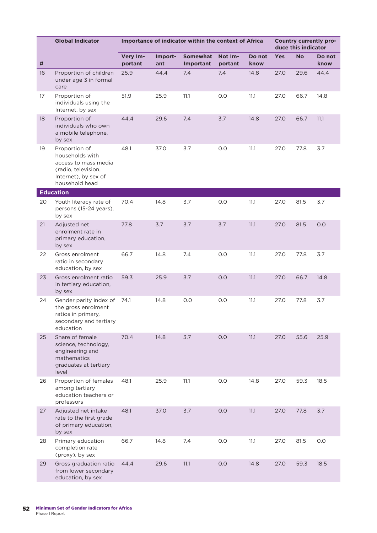|    | <b>Global Indicator</b>                                                                                                   | Importance of indicator within the context of Africa |                | Country currently pro-<br>duce this indicator<br><b>Yes</b><br><b>No</b><br>Do not |                    |                |      |      |      |
|----|---------------------------------------------------------------------------------------------------------------------------|------------------------------------------------------|----------------|------------------------------------------------------------------------------------|--------------------|----------------|------|------|------|
| #  |                                                                                                                           | Very Im-<br>portant                                  | Import-<br>ant | <b>Somewhat</b><br>Important                                                       | Not Im-<br>portant | Do not<br>know |      |      | know |
| 16 | Proportion of children<br>under age 3 in formal<br>care                                                                   | 25.9                                                 | 44.4           | 7.4                                                                                | 7.4                | 14.8           | 27.0 | 29.6 | 44.4 |
| 17 | Proportion of<br>individuals using the<br>Internet, by sex                                                                | 51.9                                                 | 25.9           | 11.1                                                                               | 0.0                | 11.1           | 27.0 | 66.7 | 14.8 |
| 18 | Proportion of<br>individuals who own<br>a mobile telephone,<br>by sex                                                     | 44.4                                                 | 29.6           | 7.4                                                                                | 3.7                | 14.8           | 27.0 | 66.7 | 11.1 |
| 19 | Proportion of<br>households with<br>access to mass media<br>(radio, television,<br>Internet), by sex of<br>household head | 48.1                                                 | 37.0           | 3.7                                                                                | 0.0                | 11.1           | 27.0 | 77.8 | 3.7  |
|    | <b>Education</b>                                                                                                          |                                                      |                |                                                                                    |                    |                |      |      |      |
| 20 | Youth literacy rate of<br>persons (15-24 years),<br>by sex                                                                | 70.4                                                 | 14.8           | 3.7                                                                                | 0.0                | 11.1           | 27.0 | 81.5 | 3.7  |
| 21 | Adjusted net<br>enrolment rate in<br>primary education,<br>by sex                                                         | 77.8                                                 | 3.7            | 3.7                                                                                | 3.7                | 11.1           | 27.0 | 81.5 | 0.0  |
| 22 | Gross enrolment<br>ratio in secondary<br>education, by sex                                                                | 66.7                                                 | 14.8           | 7.4                                                                                | 0.0                | 11.1           | 27.0 | 77.8 | 3.7  |
| 23 | Gross enrolment ratio<br>in tertiary education,<br>by sex                                                                 | 59.3                                                 | 25.9           | 3.7                                                                                | 0.0                | 11.1           | 27.0 | 66.7 | 14.8 |
| 24 | Gender parity index of<br>the gross enrolment<br>ratios in primary,<br>secondary and tertiary<br>education                | 74.1                                                 | 14.8           | 0.0                                                                                | 0.0                | 11.1           | 27.0 | 77.8 | 3.7  |
| 25 | Share of female<br>science, technology,<br>engineering and<br>mathematics<br>graduates at tertiary<br>level               | 70.4                                                 | 14.8           | 3.7                                                                                | 0.0                | 11.1           | 27.0 | 55.6 | 25.9 |
| 26 | Proportion of females<br>among tertiary<br>education teachers or<br>professors                                            | 48.1                                                 | 25.9           | 11.1                                                                               | 0.0                | 14.8           | 27.0 | 59.3 | 18.5 |
| 27 | Adjusted net intake<br>rate to the first grade<br>of primary education,<br>by sex                                         | 48.1                                                 | 37.0           | 3.7                                                                                | 0.0                | 11.1           | 27.0 | 77.8 | 3.7  |
| 28 | Primary education<br>completion rate<br>(proxy), by sex                                                                   | 66.7                                                 | 14.8           | 7.4                                                                                | 0.0                | 11.1           | 27.0 | 81.5 | 0.0  |
| 29 | Gross graduation ratio<br>from lower secondary<br>education, by sex                                                       | 44.4                                                 | 29.6           | 11.1                                                                               | 0.0                | 14.8           | 27.0 | 59.3 | 18.5 |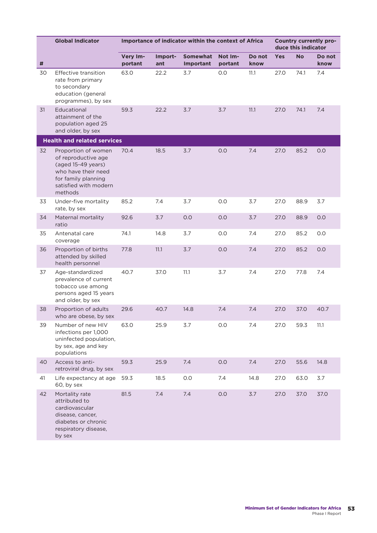|    | <b>Global Indicator</b>                                                                                                                            |                     |                | Importance of indicator within the context of Africa |                    |                |            | duce this indicator | Country currently pro- |
|----|----------------------------------------------------------------------------------------------------------------------------------------------------|---------------------|----------------|------------------------------------------------------|--------------------|----------------|------------|---------------------|------------------------|
| #  |                                                                                                                                                    | Very Im-<br>portant | Import-<br>ant | <b>Somewhat</b><br>Important                         | Not Im-<br>portant | Do not<br>know | <b>Yes</b> | <b>No</b>           | Do not<br>know         |
| 30 | Effective transition<br>rate from primary<br>to secondary<br>education (general<br>programmes), by sex                                             | 63.0                | 22.2           | 3.7                                                  | 0.0                | 11.1           | 27.0       | 74.1                | 7.4                    |
| 31 | Educational<br>attainment of the<br>population aged 25<br>and older, by sex                                                                        | 59.3                | 22.2           | 3.7                                                  | 3.7                | 11.1           | 27.0       | 74.1                | 7.4                    |
|    | <b>Health and related services</b>                                                                                                                 |                     |                |                                                      |                    |                |            |                     |                        |
| 32 | Proportion of women<br>of reproductive age<br>(aged 15-49 years)<br>who have their need<br>for family planning<br>satisfied with modern<br>methods | 70.4                | 18.5           | 3.7                                                  | 0.0                | 7.4            | 27.0       | 85.2                | 0.0                    |
| 33 | Under-five mortality<br>rate, by sex                                                                                                               | 85.2                | 7.4            | 3.7                                                  | 0.0                | 3.7            | 27.0       | 88.9                | 3.7                    |
| 34 | Maternal mortality<br>ratio                                                                                                                        | 92.6                | 3.7            | 0.0                                                  | 0.0                | 3.7            | 27.0       | 88.9                | 0.0                    |
| 35 | Antenatal care<br>coverage                                                                                                                         | 74.1                | 14.8           | 3.7                                                  | 0.0                | 7.4            | 27.0       | 85.2                | 0.0                    |
| 36 | Proportion of births<br>attended by skilled<br>health personnel                                                                                    | 77.8                | 11.1           | 3.7                                                  | 0.0                | 7.4            | 27.0       | 85.2                | 0.0                    |
| 37 | Age-standardized<br>prevalence of current<br>tobacco use among<br>persons aged 15 years<br>and older, by sex                                       | 40.7                | 37.0           | 11.1                                                 | 3.7                | 7.4            | 27.0       | 77.8                | 7.4                    |
| 38 | Proportion of adults<br>who are obese, by sex                                                                                                      | 29.6                | 40.7           | 14.8                                                 | 7.4                | 7.4            | 27.0       | 37.0                | 40.7                   |
| 39 | Number of new HIV<br>infections per 1,000<br>uninfected population,<br>by sex, age and key<br>populations                                          | 63.0                | 25.9           | 3.7                                                  | 0.0                | 7.4            | 27.0       | 59.3                | 11.1                   |
| 40 | Access to anti-<br>retroviral drug, by sex                                                                                                         | 59.3                | 25.9           | 7.4                                                  | 0.0                | 7.4            | 27.0       | 55.6                | 14.8                   |
| 41 | Life expectancy at age<br>60, by sex                                                                                                               | 59.3                | 18.5           | 0.0                                                  | 7.4                | 14.8           | 27.0       | 63.0                | 3.7                    |
| 42 | Mortality rate<br>attributed to<br>cardiovascular<br>disease, cancer,<br>diabetes or chronic<br>respiratory disease,<br>by sex                     | 81.5                | 7.4            | 7.4                                                  | 0.0                | 3.7            | 27.0       | 37.0                | 37.0                   |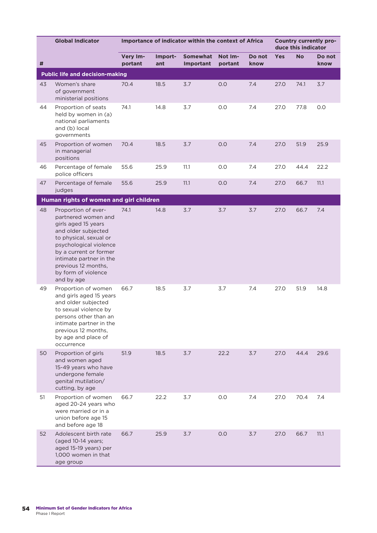|    | <b>Global Indicator</b>                                                                                                                                                                                                                                       | Importance of indicator within the context of Africa |                |                       |                    |                | Country currently pro-<br>duce this indicator |           |                |
|----|---------------------------------------------------------------------------------------------------------------------------------------------------------------------------------------------------------------------------------------------------------------|------------------------------------------------------|----------------|-----------------------|--------------------|----------------|-----------------------------------------------|-----------|----------------|
| #  |                                                                                                                                                                                                                                                               | Very Im-<br>portant                                  | Import-<br>ant | Somewhat<br>Important | Not Im-<br>portant | Do not<br>know | <b>Yes</b>                                    | <b>No</b> | Do not<br>know |
|    | <b>Public life and decision-making</b>                                                                                                                                                                                                                        |                                                      |                |                       |                    |                |                                               |           |                |
| 43 | Women's share<br>of government<br>ministerial positions                                                                                                                                                                                                       | 70.4                                                 | 18.5           | 3.7                   | 0.0                | 7.4            | 27.0                                          | 74.1      | 3.7            |
| 44 | Proportion of seats<br>held by women in (a)<br>national parliaments<br>and (b) local<br>governments                                                                                                                                                           | 74.1                                                 | 14.8           | 3.7                   | 0.0                | 7.4            | 27.0                                          | 77.8      | 0.0            |
| 45 | Proportion of women<br>in managerial<br>positions                                                                                                                                                                                                             | 70.4                                                 | 18.5           | 3.7                   | 0.0                | 7.4            | 27.0                                          | 51.9      | 25.9           |
| 46 | Percentage of female<br>police officers                                                                                                                                                                                                                       | 55.6                                                 | 25.9           | 11.1                  | 0.0                | 7.4            | 27.0                                          | 44.4      | 22.2           |
| 47 | Percentage of female<br>judges                                                                                                                                                                                                                                | 55.6                                                 | 25.9           | 11.1                  | 0.0                | 7.4            | 27.0                                          | 66.7      | 11.1           |
|    | Human rights of women and girl children                                                                                                                                                                                                                       |                                                      |                |                       |                    |                |                                               |           |                |
| 48 | Proportion of ever-<br>partnered women and<br>girls aged 15 years<br>and older subjected<br>to physical, sexual or<br>psychological violence<br>by a current or former<br>intimate partner in the<br>previous 12 months,<br>by form of violence<br>and by age | 74.1                                                 | 14.8           | 3.7                   | 3.7                | 3.7            | 27.0                                          | 66.7      | 7.4            |
| 49 | Proportion of women<br>and girls aged 15 years<br>and older subjected<br>to sexual violence by<br>persons other than an<br>intimate partner in the<br>previous 12 months,<br>by age and place of<br>occurrence                                                | 66.7                                                 | 18.5           | 3.7                   | 3.7                | 7.4            | 27.0                                          | 51.9      | 14.8           |
| 50 | Proportion of girls<br>and women aged<br>15-49 years who have<br>undergone female<br>genital mutilation/<br>cutting, by age                                                                                                                                   | 51.9                                                 | 18.5           | 3.7                   | 22.2               | 3.7            | 27.0                                          | 44.4      | 29.6           |
| 51 | Proportion of women<br>aged 20-24 years who<br>were married or in a<br>union before age 15<br>and before age 18                                                                                                                                               | 66.7                                                 | 22.2           | 3.7                   | 0.0                | 7.4            | 27.0                                          | 70.4      | 7.4            |
| 52 | Adolescent birth rate<br>(aged 10-14 years;<br>aged 15-19 years) per<br>1,000 women in that<br>age group                                                                                                                                                      | 66.7                                                 | 25.9           | 3.7                   | 0.0                | 3.7            | 27.0                                          | 66.7      | 11.1           |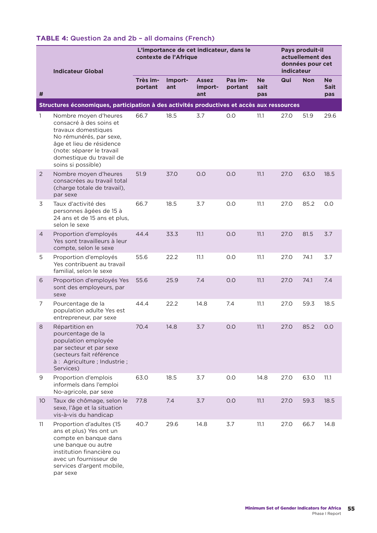## **TABLE 4:** Question 2a and 2b – all domains (French)

|                | <b>Indicateur Global</b>                                                                                                                                                                                      |                     | L'importance de cet indicateur, dans le<br>contexte de l'Afrique | Pays produit-il<br>actuellement des<br>données pour cet<br>indicateur |                    |                          |      |            |                                 |
|----------------|---------------------------------------------------------------------------------------------------------------------------------------------------------------------------------------------------------------|---------------------|------------------------------------------------------------------|-----------------------------------------------------------------------|--------------------|--------------------------|------|------------|---------------------------------|
| #              |                                                                                                                                                                                                               | Très im-<br>portant | Import-<br>ant                                                   | <b>Assez</b><br>import-<br>ant                                        | Pas im-<br>portant | <b>Ne</b><br>sait<br>pas | Qui  | <b>Non</b> | <b>Ne</b><br><b>Sait</b><br>pas |
|                | Structures économiques, participation à des activités productives et accès aux ressources                                                                                                                     |                     |                                                                  |                                                                       |                    |                          |      |            |                                 |
| 1              | Nombre moyen d'heures<br>consacré à des soins et<br>travaux domestiques<br>No rémunérés, par sexe,<br>âge et lieu de résidence<br>(note: séparer le travail<br>domestique du travail de<br>soins si possible) | 66.7                | 18.5                                                             | 3.7                                                                   | 0.0                | 11.1                     | 27.0 | 51.9       | 29.6                            |
| $\overline{2}$ | Nombre moyen d'heures<br>consacrées au travail total<br>(charge totale de travail),<br>par sexe                                                                                                               | 51.9                | 37.0                                                             | 0.0                                                                   | 0.0                | 11.1                     | 27.0 | 63.0       | 18.5                            |
| 3              | Taux d'activité des<br>personnes âgées de 15 à<br>24 ans et de 15 ans et plus,<br>selon le sexe                                                                                                               | 66.7                | 18.5                                                             | 3.7                                                                   | 0.0                | 11.1                     | 27.0 | 85.2       | O.O                             |
| 4              | Proportion d'employés<br>Yes sont travailleurs à leur<br>compte, selon le sexe                                                                                                                                | 44.4                | 33.3                                                             | 11.1                                                                  | O.O                | 11.1                     | 27.0 | 81.5       | 3.7                             |
| 5              | Proportion d'employés<br>Yes contribuent au travail<br>familial, selon le sexe                                                                                                                                | 55.6                | 22.2                                                             | 11.1                                                                  | 0.0                | 11.1                     | 27.0 | 74.1       | 3.7                             |
| 6              | Proportion d'employés Yes<br>sont des employeurs, par<br>sexe                                                                                                                                                 | 55.6                | 25.9                                                             | 7.4                                                                   | 0.0                | 11.1                     | 27.0 | 74.1       | 7.4                             |
| 7              | Pourcentage de la<br>population adulte Yes est<br>entrepreneur, par sexe                                                                                                                                      | 44.4                | 22.2                                                             | 14.8                                                                  | 7.4                | 11.1                     | 27.0 | 59.3       | 18.5                            |
| 8              | Répartition en<br>pourcentage de la<br>population employée<br>par secteur et par sexe<br>(secteurs fait référence<br>à : Agriculture ; Industrie ;<br>Services)                                               | 70.4                | 14.8                                                             | 3.7                                                                   | 0.0                | 11.1                     | 27.0 | 85.2       | 0.0                             |
| 9              | Proportion d'emplois<br>informels dans l'emploi<br>No-agricole, par sexe                                                                                                                                      | 63.0                | 18.5                                                             | 3.7                                                                   | 0.0                | 14.8                     | 27.0 | 63.0       | 11.1                            |
| 10             | Taux de chômage, selon le<br>sexe, l'âge et la situation<br>vis-à-vis du handicap                                                                                                                             | 77.8                | 7.4                                                              | 3.7                                                                   | 0.0                | 11.1                     | 27.0 | 59.3       | 18.5                            |
| 11             | Proportion d'adultes (15<br>ans et plus) Yes ont un<br>compte en banque dans<br>une banque ou autre<br>institution financière ou<br>avec un fournisseur de<br>services d'argent mobile,<br>par sexe           | 40.7                | 29.6                                                             | 14.8                                                                  | 3.7                | 11.1                     | 27.0 | 66.7       | 14.8                            |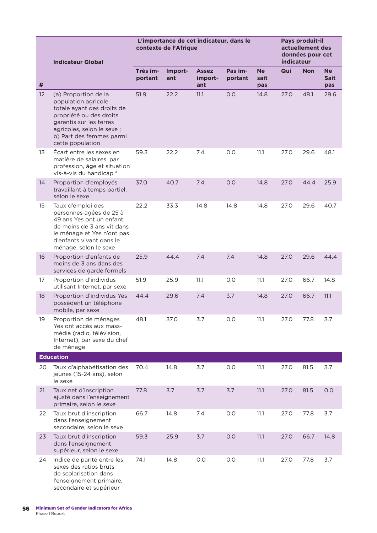|    |                                                                                                                                                                                                               |                     | L'importance de cet indicateur, dans le<br>contexte de l'Afrique | Pays produit-il<br>actuellement des<br>données pour cet<br>indicateur |                    |                          |      |            |                                 |
|----|---------------------------------------------------------------------------------------------------------------------------------------------------------------------------------------------------------------|---------------------|------------------------------------------------------------------|-----------------------------------------------------------------------|--------------------|--------------------------|------|------------|---------------------------------|
|    | <b>Indicateur Global</b>                                                                                                                                                                                      |                     |                                                                  |                                                                       |                    |                          |      |            |                                 |
| #  |                                                                                                                                                                                                               | Très im-<br>portant | Import-<br>ant                                                   | <b>Assez</b><br>import-<br>ant                                        | Pas im-<br>portant | <b>Ne</b><br>sait<br>pas | Qui  | <b>Non</b> | <b>Ne</b><br><b>Sait</b><br>pas |
| 12 | (a) Proportion de la<br>population agricole<br>totale ayant des droits de<br>propriété ou des droits<br>garantis sur les terres<br>agricoles, selon le sexe ;<br>b) Part des femmes parmi<br>cette population | 51.9                | 22.2                                                             | 11.1                                                                  | 0.0                | 14.8                     | 27.0 | 48.1       | 29.6                            |
| 13 | Écart entre les sexes en<br>matière de salaires, par<br>profession, âge et situation<br>vis-à-vis du handicap *                                                                                               | 59.3                | 22.2                                                             | 7.4                                                                   | 0.0                | 11.1                     | 27.0 | 29.6       | 48.1                            |
| 14 | Proportion d'employés<br>travaillant à temps partiel,<br>selon le sexe                                                                                                                                        | 37.0                | 40.7                                                             | 7.4                                                                   | 0.0                | 14.8                     | 27.0 | 44.4       | 25.9                            |
| 15 | Taux d'emploi des<br>personnes âgées de 25 à<br>49 ans Yes ont un enfant<br>de moins de 3 ans vit dans<br>le ménage et Yes n'ont pas<br>d'enfants vivant dans le<br>ménage, selon le sexe                     | 22.2                | 33.3                                                             | 14.8                                                                  | 14.8               | 14.8                     | 27.0 | 29.6       | 40.7                            |
| 16 | Proportion d'enfants de<br>moins de 3 ans dans des<br>services de garde formels                                                                                                                               | 25.9                | 44.4                                                             | 7.4                                                                   | 7.4                | 14.8                     | 27.0 | 29.6       | 44.4                            |
| 17 | Proportion d'individus<br>utilisant Internet, par sexe                                                                                                                                                        | 51.9                | 25.9                                                             | 11.1                                                                  | 0.0                | 11.1                     | 27.0 | 66.7       | 14.8                            |
| 18 | Proportion d'individus Yes<br>possèdent un téléphone<br>mobile, par sexe                                                                                                                                      | 44.4                | 29.6                                                             | 7.4                                                                   | 3.7                | 14.8                     | 27.0 | 66.7       | 11.1                            |
| 19 | Proportion de ménages<br>Yes ont accès aux mass-<br>média (radio, télévision,<br>Internet), par sexe du chef<br>de ménage                                                                                     | 48.1                | 37.0                                                             | 3.7                                                                   | 0.0                | 11.1                     | 27.0 | 77.8       | 3.7                             |
|    | <b>Education</b>                                                                                                                                                                                              |                     |                                                                  |                                                                       |                    |                          |      |            |                                 |
| 20 | Taux d'alphabétisation des<br>jeunes (15-24 ans), selon<br>le sexe                                                                                                                                            | 70.4                | 14.8                                                             | 3.7                                                                   | 0.0                | 11.1                     | 27.0 | 81.5       | 3.7                             |
| 21 | Taux net d'inscription<br>ajusté dans l'enseignement<br>primaire, selon le sexe                                                                                                                               | 77.8                | 3.7                                                              | 3.7                                                                   | 3.7                | 11.1                     | 27.0 | 81.5       | 0.0                             |
| 22 | Taux brut d'inscription<br>dans l'enseignement<br>secondaire, selon le sexe                                                                                                                                   | 66.7                | 14.8                                                             | 7.4                                                                   | 0.0                | 11.1                     | 27.0 | 77.8       | 3.7                             |
| 23 | Taux brut d'inscription<br>dans l'enseignement<br>supérieur, selon le sexe                                                                                                                                    | 59.3                | 25.9                                                             | 3.7                                                                   | 0.0                | 11.1                     | 27.0 | 66.7       | 14.8                            |
| 24 | Indice de parité entre les<br>sexes des ratios bruts<br>de scolarisation dans<br>l'enseignement primaire,<br>secondaire et supérieur                                                                          | 74.1                | 14.8                                                             | 0.0                                                                   | 0.0                | 11.1                     | 27.0 | 77.8       | 3.7                             |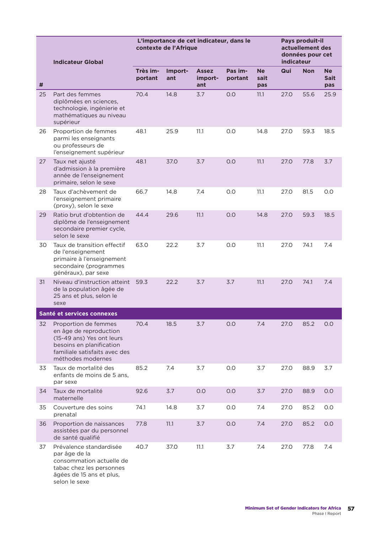|    |                                                                                                                                                               | L'importance de cet indicateur, dans le<br>contexte de l'Afrique |                |                                |                    |                          |      | Pays produit-il<br>actuellement des<br>données pour cet<br>indicateur |                                 |  |  |
|----|---------------------------------------------------------------------------------------------------------------------------------------------------------------|------------------------------------------------------------------|----------------|--------------------------------|--------------------|--------------------------|------|-----------------------------------------------------------------------|---------------------------------|--|--|
|    | <b>Indicateur Global</b>                                                                                                                                      |                                                                  |                |                                |                    |                          |      |                                                                       |                                 |  |  |
| #  |                                                                                                                                                               | Très im-<br>portant                                              | Import-<br>ant | <b>Assez</b><br>import-<br>ant | Pas im-<br>portant | <b>Ne</b><br>sait<br>pas | Qui  | <b>Non</b>                                                            | <b>Ne</b><br><b>Sait</b><br>pas |  |  |
| 25 | Part des femmes<br>diplômées en sciences,<br>technologie, ingénierie et<br>mathématiques au niveau<br>supérieur                                               | 70.4                                                             | 14.8           | 3.7                            | 0.0                | 11.1                     | 27.0 | 55.6                                                                  | 25.9                            |  |  |
| 26 | Proportion de femmes<br>parmi les enseignants<br>ou professeurs de<br>l'enseignement supérieur                                                                | 48.1                                                             | 25.9           | 11.1                           | O.O                | 14.8                     | 27.0 | 59.3                                                                  | 18.5                            |  |  |
| 27 | Taux net ajusté<br>d'admission à la première<br>année de l'enseignement<br>primaire, selon le sexe                                                            | 48.1                                                             | 37.0           | 3.7                            | O.O                | 11.1                     | 27.0 | 77.8                                                                  | 3.7                             |  |  |
| 28 | Taux d'achèvement de<br>l'enseignement primaire<br>(proxy), selon le sexe                                                                                     | 66.7                                                             | 14.8           | 7.4                            | 0.0                | 11.1                     | 27.0 | 81.5                                                                  | 0.0                             |  |  |
| 29 | Ratio brut d'obtention de<br>diplôme de l'enseignement<br>secondaire premier cycle,<br>selon le sexe                                                          | 44.4                                                             | 29.6           | 11.1                           | O.O                | 14.8                     | 27.0 | 59.3                                                                  | 18.5                            |  |  |
| 30 | Taux de transition effectif<br>de l'enseignement<br>primaire à l'enseignement<br>secondaire (programmes<br>généraux), par sexe                                | 63.0                                                             | 22.2           | 3.7                            | O.O                | 11.1                     | 27.0 | 74.1                                                                  | 7.4                             |  |  |
| 31 | Niveau d'instruction atteint<br>de la population âgée de<br>25 ans et plus, selon le<br>sexe                                                                  | 59.3                                                             | 22.2           | 3.7                            | 3.7                | 11.1                     | 27.0 | 74.1                                                                  | 7.4                             |  |  |
|    | Santé et services connexes                                                                                                                                    |                                                                  |                |                                |                    |                          |      |                                                                       |                                 |  |  |
| 32 | Proportion de femmes<br>en âge de reproduction<br>(15-49 ans) Yes ont leurs<br>besoins en planification<br>familiale satisfaits avec des<br>méthodes modernes | 70.4                                                             | 18.5           | 3.7                            | 0.0                | 7.4                      | 27.0 | 85.2                                                                  | 0.0                             |  |  |
| 33 | Taux de mortalité des<br>enfants de moins de 5 ans,<br>par sexe                                                                                               | 85.2                                                             | 7.4            | 3.7                            | 0.0                | 3.7                      | 27.0 | 88.9                                                                  | 3.7                             |  |  |
| 34 | Taux de mortalité<br>maternelle                                                                                                                               | 92.6                                                             | 3.7            | 0.0                            | 0.0                | 3.7                      | 27.0 | 88.9                                                                  | 0.0                             |  |  |
| 35 | Couverture des soins<br>prenatal                                                                                                                              | 74.1                                                             | 14.8           | 3.7                            | 0.0                | 7.4                      | 27.0 | 85.2                                                                  | 0.0                             |  |  |
| 36 | Proportion de naissances<br>assistées par du personnel<br>de santé qualifié                                                                                   | 77.8                                                             | 11.1           | 3.7                            | 0.0                | 7.4                      | 27.0 | 85.2                                                                  | 0.0                             |  |  |
| 37 | Prévalence standardisée<br>par âge de la<br>consommation actuelle de<br>tabac chez les personnes<br>âgées de 15 ans et plus,<br>selon le sexe                 | 40.7                                                             | 37.0           | 11.1                           | 3.7                | 7.4                      | 27.0 | 77.8                                                                  | 7.4                             |  |  |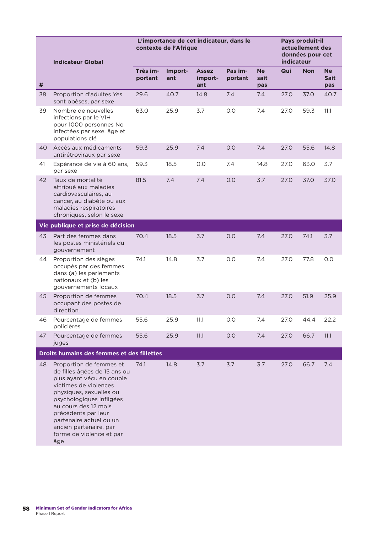|    | <b>Indicateur Global</b>                                                                                                                                                                                                                                                                                    | L'importance de cet indicateur, dans le<br>contexte de l'Afrique |                |                                |                    |                          |      | Pays produit-il<br>actuellement des<br>données pour cet<br>indicateur |                                 |  |  |
|----|-------------------------------------------------------------------------------------------------------------------------------------------------------------------------------------------------------------------------------------------------------------------------------------------------------------|------------------------------------------------------------------|----------------|--------------------------------|--------------------|--------------------------|------|-----------------------------------------------------------------------|---------------------------------|--|--|
| #  |                                                                                                                                                                                                                                                                                                             | Très im-<br>portant                                              | Import-<br>ant | <b>Assez</b><br>import-<br>ant | Pas im-<br>portant | <b>Ne</b><br>sait<br>pas | Qui  | <b>Non</b>                                                            | <b>Ne</b><br><b>Sait</b><br>pas |  |  |
| 38 | Proportion d'adultes Yes<br>sont obèses, par sexe                                                                                                                                                                                                                                                           | 29.6                                                             | 40.7           | 14.8                           | 7.4                | 7.4                      | 27.0 | 37.0                                                                  | 40.7                            |  |  |
| 39 | Nombre de nouvelles<br>infections par le VIH<br>pour 1000 personnes No<br>infectées par sexe, âge et<br>populations clé                                                                                                                                                                                     | 63.0                                                             | 25.9           | 3.7                            | O.O                | 7.4                      | 27.0 | 59.3                                                                  | 11.1                            |  |  |
| 40 | Accès aux médicaments<br>antirétroviraux par sexe                                                                                                                                                                                                                                                           | 59.3                                                             | 25.9           | 7.4                            | O.O                | 7.4                      | 27.0 | 55.6                                                                  | 14.8                            |  |  |
| 41 | Espérance de vie à 60 ans,<br>par sexe                                                                                                                                                                                                                                                                      | 59.3                                                             | 18.5           | 0.0                            | 7.4                | 14.8                     | 27.0 | 63.0                                                                  | 3.7                             |  |  |
| 42 | Taux de mortalité<br>attribué aux maladies<br>cardiovasculaires, au<br>cancer, au diabète ou aux<br>maladies respiratoires<br>chroniques, selon le sexe                                                                                                                                                     | 81.5                                                             | 7.4            | 7.4                            | 0.0                | 3.7                      | 27.0 | 37.0                                                                  | 37.0                            |  |  |
|    | Vie publique et prise de décision                                                                                                                                                                                                                                                                           |                                                                  |                |                                |                    |                          |      |                                                                       |                                 |  |  |
| 43 | Part des femmes dans<br>les postes ministériels du<br>gouvernement                                                                                                                                                                                                                                          | 70.4                                                             | 18.5           | 3.7                            | O.O                | 7.4                      | 27.0 | 74.1                                                                  | 3.7                             |  |  |
| 44 | Proportion des sièges<br>occupés par des femmes<br>dans (a) les parlements<br>nationaux et (b) les<br>gouvernements locaux                                                                                                                                                                                  | 74.1                                                             | 14.8           | 3.7                            | O.O                | 7.4                      | 27.0 | 77.8                                                                  | 0.0                             |  |  |
| 45 | Proportion de femmes<br>occupant des postes de<br>direction                                                                                                                                                                                                                                                 | 70.4                                                             | 18.5           | 3.7                            | O.O                | 7.4                      | 27.0 | 51.9                                                                  | 25.9                            |  |  |
| 46 | Pourcentage de femmes<br>policières                                                                                                                                                                                                                                                                         | 55.6                                                             | 25.9           | 11.1                           | $0.0\,$            | 7.4                      | 27.0 | 44.4                                                                  | 22.2                            |  |  |
| 47 | Pourcentage de femmes<br>juges                                                                                                                                                                                                                                                                              | 55.6                                                             | 25.9           | 11.1                           | 0.0                | 7.4                      | 27.0 | 66.7                                                                  | 11.1                            |  |  |
|    | Droits humains des femmes et des fillettes                                                                                                                                                                                                                                                                  |                                                                  |                |                                |                    |                          |      |                                                                       |                                 |  |  |
| 48 | Proportion de femmes et<br>de filles âgées de 15 ans ou<br>plus ayant vécu en couple<br>victimes de violences<br>physiques, sexuelles ou<br>psychologiques infligées<br>au cours des 12 mois<br>précédents par leur<br>partenaire actuel ou un<br>ancien partenaire, par<br>forme de violence et par<br>âge | 74.1                                                             | 14.8           | 3.7                            | 3.7                | 3.7                      | 27.0 | 66.7                                                                  | 7.4                             |  |  |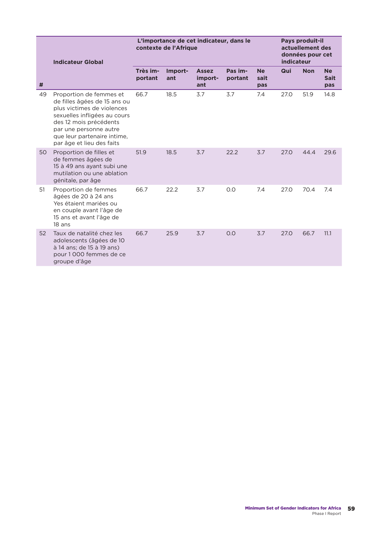|    | <b>Indicateur Global</b>                                                                                                                                                                                                              | L'importance de cet indicateur, dans le<br>contexte de l'Afrique |                |                                |                    |                          |      | Pays produit-il<br>actuellement des<br>données pour cet<br>indicateur |                                 |  |  |
|----|---------------------------------------------------------------------------------------------------------------------------------------------------------------------------------------------------------------------------------------|------------------------------------------------------------------|----------------|--------------------------------|--------------------|--------------------------|------|-----------------------------------------------------------------------|---------------------------------|--|--|
| #  |                                                                                                                                                                                                                                       | Très im-<br>portant                                              | Import-<br>ant | <b>Assez</b><br>import-<br>ant | Pas im-<br>portant | <b>Ne</b><br>sait<br>pas | Qui  | <b>Non</b>                                                            | <b>Ne</b><br><b>Sait</b><br>pas |  |  |
| 49 | Proportion de femmes et<br>de filles âgées de 15 ans ou<br>plus victimes de violences<br>sexuelles infligées au cours<br>des 12 mois précédents<br>par une personne autre<br>que leur partenaire intime,<br>par âge et lieu des faits | 66.7                                                             | 18.5           | 3.7                            | 3.7                | 7.4                      | 27.0 | 51.9                                                                  | 14.8                            |  |  |
| 50 | Proportion de filles et<br>de femmes âgées de<br>15 à 49 ans ayant subi une<br>mutilation ou une ablation<br>génitale, par âge                                                                                                        | 51.9                                                             | 18.5           | 3.7                            | 22.2               | 3.7                      | 27.0 | 44.4                                                                  | 29.6                            |  |  |
| 51 | Proportion de femmes<br>âgées de 20 à 24 ans<br>Yes étaient mariées ou<br>en couple avant l'âge de<br>15 ans et avant l'âge de<br>$18$ ans                                                                                            | 66.7                                                             | 22.2           | 3.7                            | O.O                | 7.4                      | 27.0 | 70.4                                                                  | 7.4                             |  |  |
| 52 | Taux de natalité chez les<br>adolescents (âgées de 10<br>à 14 ans; de 15 à 19 ans)<br>pour 1000 femmes de ce<br>groupe d'âge                                                                                                          | 66.7                                                             | 25.9           | 3.7                            | O.O                | 3.7                      | 27.0 | 66.7                                                                  | 11.1                            |  |  |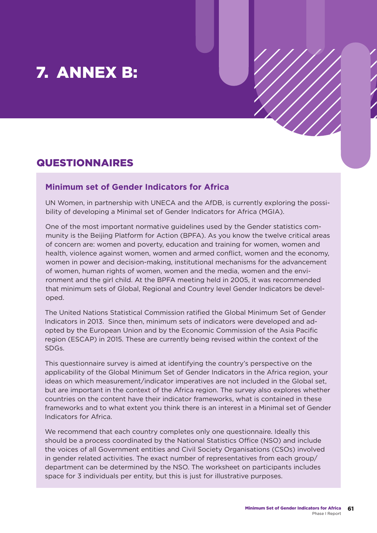# 7. ANNEX B:

## QUESTIONNAIRES

## **Minimum set of Gender Indicators for Africa**

UN Women, in partnership with UNECA and the AfDB, is currently exploring the possibility of developing a Minimal set of Gender Indicators for Africa (MGIA).

One of the most important normative guidelines used by the Gender statistics community is the Beijing Platform for Action (BPFA). As you know the twelve critical areas of concern are: women and poverty, education and training for women, women and health, violence against women, women and armed conflict, women and the economy, women in power and decision-making, institutional mechanisms for the advancement of women, human rights of women, women and the media, women and the environment and the girl child. At the BPFA meeting held in 2005, it was recommended that minimum sets of Global, Regional and Country level Gender Indicators be developed.

The United Nations Statistical Commission ratified the Global Minimum Set of Gender Indicators in 2013. Since then, minimum sets of indicators were developed and adopted by the European Union and by the Economic Commission of the Asia Pacific region (ESCAP) in 2015. These are currently being revised within the context of the SDGs.

This questionnaire survey is aimed at identifying the country's perspective on the applicability of the Global Minimum Set of Gender Indicators in the Africa region, your ideas on which measurement/indicator imperatives are not included in the Global set, but are important in the context of the Africa region. The survey also explores whether countries on the content have their indicator frameworks, what is contained in these frameworks and to what extent you think there is an interest in a Minimal set of Gender Indicators for Africa.

We recommend that each country completes only one questionnaire. Ideally this should be a process coordinated by the National Statistics Office (NSO) and include the voices of all Government entities and Civil Society Organisations (CSOs) involved in gender related activities. The exact number of representatives from each group/ department can be determined by the NSO. The worksheet on participants includes space for 3 individuals per entity, but this is just for illustrative purposes.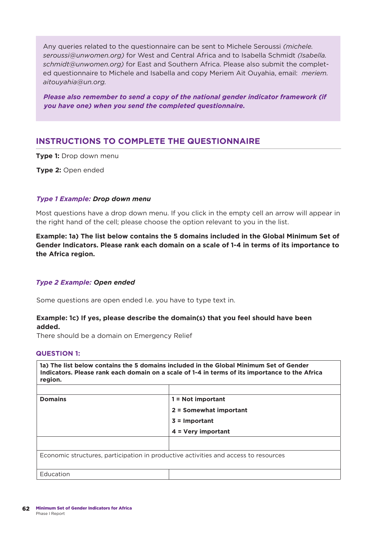Any queries related to the questionnaire can be sent to Michele Seroussi *(michele. seroussi@unwomen.org)* for West and Central Africa and to Isabella Schmidt *(Isabella. schmidt@unwomen.org)* for East and Southern Africa. Please also submit the completed questionnaire to Michele and Isabella and copy Meriem Ait Ouyahia, email: *meriem. aitouyahia@un.org.*

*Please also remember to send a copy of the national gender indicator framework (if you have one) when you send the completed questionnaire.* 

## **INSTRUCTIONS TO COMPLETE THE QUESTIONNAIRE**

**Type 1:** Drop down menu

**Type 2:** Open ended

#### *Type 1 Example: Drop down menu*

Most questions have a drop down menu. If you click in the empty cell an arrow will appear in the right hand of the cell; please choose the option relevant to you in the list.

**Example: 1a) The list below contains the 5 domains included in the Global Minimum Set of Gender Indicators. Please rank each domain on a scale of 1-4 in terms of its importance to the Africa region.**

#### *Type 2 Example: Open ended*

Some questions are open ended I.e. you have to type text in.

### **Example: 1c) If yes, please describe the domain(s) that you feel should have been added.**

There should be a domain on Emergency Relief

#### **QUESTION 1:**

**1a) The list below contains the 5 domains included in the Global Minimum Set of Gender Indicators. Please rank each domain on a scale of 1-4 in terms of its importance to the Africa region.**

| <b>Domains</b>                                                                      | 1 = Not important      |
|-------------------------------------------------------------------------------------|------------------------|
|                                                                                     | 2 = Somewhat important |
|                                                                                     | $3 =$ Important        |
|                                                                                     | $4 = Very$ important   |
|                                                                                     |                        |
| Economic structures, participation in productive activities and access to resources |                        |
|                                                                                     |                        |
| Education                                                                           |                        |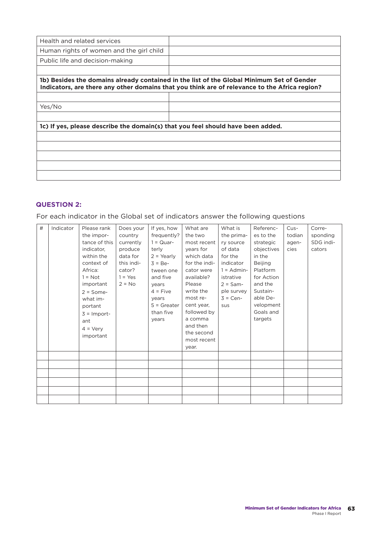| Health and related services                                                     |                                                                                                                                                                                            |
|---------------------------------------------------------------------------------|--------------------------------------------------------------------------------------------------------------------------------------------------------------------------------------------|
| Human rights of women and the girl child                                        |                                                                                                                                                                                            |
| Public life and decision-making                                                 |                                                                                                                                                                                            |
|                                                                                 |                                                                                                                                                                                            |
|                                                                                 | 1b) Besides the domains already contained in the list of the Global Minimum Set of Gender<br>Indicators, are there any other domains that you think are of relevance to the Africa region? |
|                                                                                 |                                                                                                                                                                                            |
| Yes/No                                                                          |                                                                                                                                                                                            |
|                                                                                 |                                                                                                                                                                                            |
| 1c) If yes, please describe the domain(s) that you feel should have been added. |                                                                                                                                                                                            |
|                                                                                 |                                                                                                                                                                                            |
|                                                                                 |                                                                                                                                                                                            |
|                                                                                 |                                                                                                                                                                                            |
|                                                                                 |                                                                                                                                                                                            |
|                                                                                 |                                                                                                                                                                                            |

### **QUESTION 2:**

For each indicator in the Global set of indicators answer the following questions

| # | Indicator | Please rank       | Does your  | If yes, how   | What are      | What is      | Referenc-  | Cus-   | Corre-    |
|---|-----------|-------------------|------------|---------------|---------------|--------------|------------|--------|-----------|
|   |           | the impor-        | country    | frequently?   | the two       | the prima-   | es to the  | todian | sponding  |
|   |           | tance of this     | currently  | $1 = Quar-$   | most recent   | ry source    | strategic  | agen-  | SDG indi- |
|   |           | indicator,        | produce    | terly         | years for     | of data      | objectives | cies   | cators    |
|   |           | within the        | data for   | $2 = Yearly$  | which data    | for the      | in the     |        |           |
|   |           | context of        | this indi- | $3 = Be-$     | for the indi- | indicator    | Beijing    |        |           |
|   |           | Africa:           | cator?     | tween one     | cator were    | $1 =$ Admin- | Platform   |        |           |
|   |           | $1 = Not$         | $1 = Yes$  | and five      | available?    | istrative    | for Action |        |           |
|   |           | important         | $2 = No$   | years         | Please        | $2 = Sam-$   | and the    |        |           |
|   |           | $2 = Some-$       |            | $4 = Five$    | write the     | ple survey   | Sustain-   |        |           |
|   |           | what im-          |            | years         | most re-      | $3 = Cen-$   | able De-   |        |           |
|   |           | portant           |            | $5 =$ Greater | cent year,    | sus          | velopment  |        |           |
|   |           | $3 =$ Import-     |            | than five     | followed by   |              | Goals and  |        |           |
|   |           | ant               |            | years         | a comma       |              | targets    |        |           |
|   |           |                   |            |               | and then      |              |            |        |           |
|   |           | $4 = \text{Verv}$ |            |               | the second    |              |            |        |           |
|   |           | important         |            |               | most recent   |              |            |        |           |
|   |           |                   |            |               | year.         |              |            |        |           |
|   |           |                   |            |               |               |              |            |        |           |
|   |           |                   |            |               |               |              |            |        |           |
|   |           |                   |            |               |               |              |            |        |           |
|   |           |                   |            |               |               |              |            |        |           |
|   |           |                   |            |               |               |              |            |        |           |
|   |           |                   |            |               |               |              |            |        |           |
|   |           |                   |            |               |               |              |            |        |           |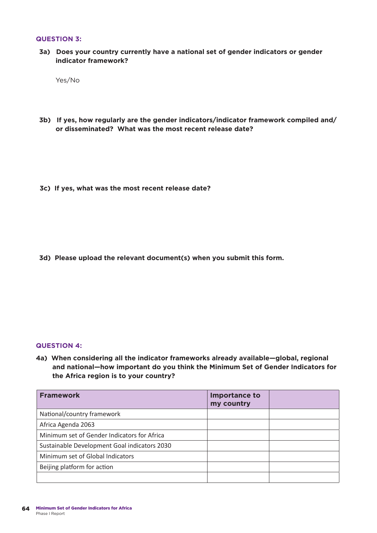#### **QUESTION 3:**

**3a) Does your country currently have a national set of gender indicators or gender indicator framework?**

Yes/No

- **3b) If yes, how regularly are the gender indicators/indicator framework compiled and/ or disseminated? What was the most recent release date?**
- **3c) If yes, what was the most recent release date?**

**3d) Please upload the relevant document(s) when you submit this form.** 

#### **QUESTION 4:**

**4a) When considering all the indicator frameworks already available—global, regional and national—how important do you think the Minimum Set of Gender Indicators for the Africa region is to your country?**

| <b>Framework</b>                             | Importance to<br>my country |  |
|----------------------------------------------|-----------------------------|--|
| National/country framework                   |                             |  |
| Africa Agenda 2063                           |                             |  |
| Minimum set of Gender Indicators for Africa  |                             |  |
| Sustainable Development Goal indicators 2030 |                             |  |
| Minimum set of Global Indicators             |                             |  |
| Beijing platform for action                  |                             |  |
|                                              |                             |  |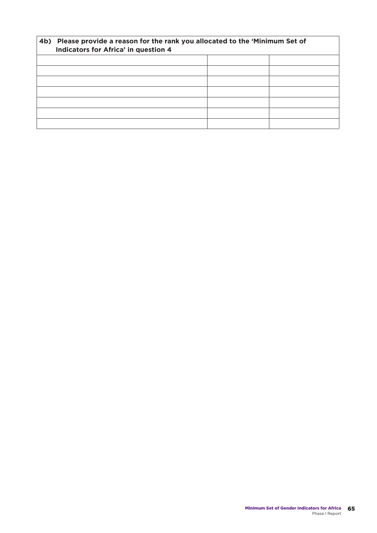| 4b) | Please provide a reason for the rank you allocated to the 'Minimum Set of<br>Indicators for Africa' in question 4 |  |  |
|-----|-------------------------------------------------------------------------------------------------------------------|--|--|
|     |                                                                                                                   |  |  |
|     |                                                                                                                   |  |  |
|     |                                                                                                                   |  |  |
|     |                                                                                                                   |  |  |
|     |                                                                                                                   |  |  |
|     |                                                                                                                   |  |  |
|     |                                                                                                                   |  |  |